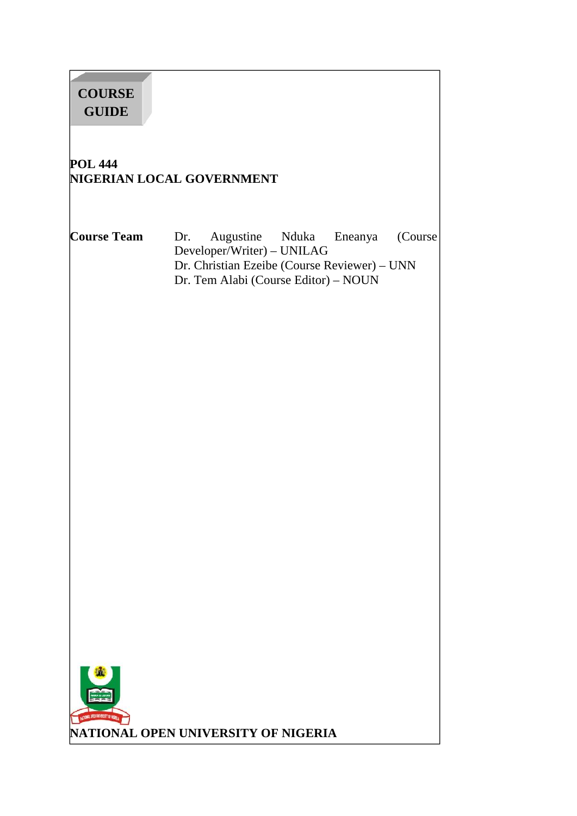# **POL 444 NIGERIAN LOCAL GOVERNMENT Course Team** Dr. Augustine Nduka Eneanya (Course Developer/Writer) – UNILAG Dr. Christian Ezeibe (Course Reviewer) – UNN Dr. Tem Alabi (Course Editor) – NOUN **NATIONAL OPEN UNIVERSITY OF NIGERIA COURSE GUIDE**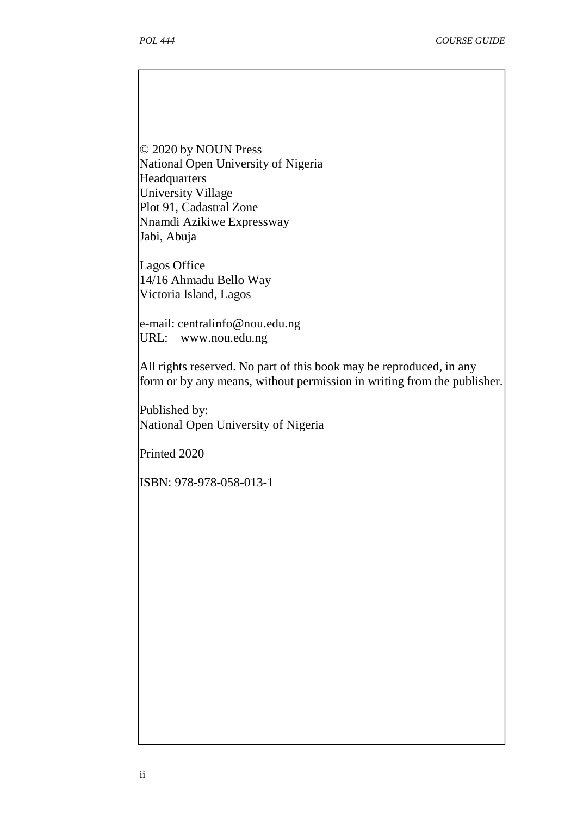© 2020 by NOUN Press National Open University of Nigeria Headquarters University Village Plot 91, Cadastral Zone Nnamdi Azikiwe Expressway Jabi, Abuja

Lagos Office 14/16 Ahmadu Bello Way Victoria Island, Lagos

e-mail: centralinfo@nou.edu.ng URL: www.nou.edu.ng

All rights reserved. No part of this book may be reproduced, in any form or by any means, without permission in writing from the publisher.

Published by: National Open University of Nigeria

Printed 2020

ISBN: 978-978-058-013-1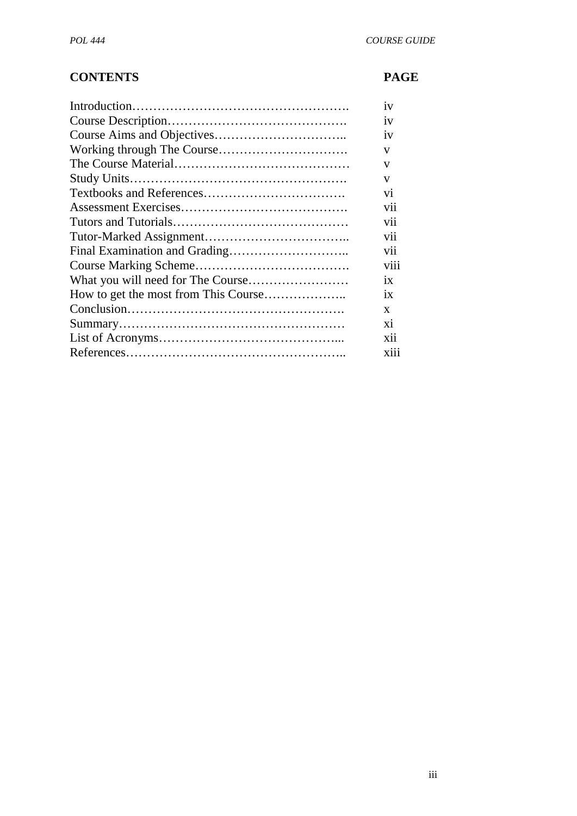# **CONTENTS PAGE**

| iv             |
|----------------|
| 1V             |
| iv             |
| V              |
| $\mathbf{V}$   |
| $\mathbf{V}$   |
| vi             |
| vii            |
| V11            |
| vii            |
| vii            |
| V111           |
| ix             |
| ix             |
| X              |
| $\overline{X}$ |
| xii            |
| X111           |
|                |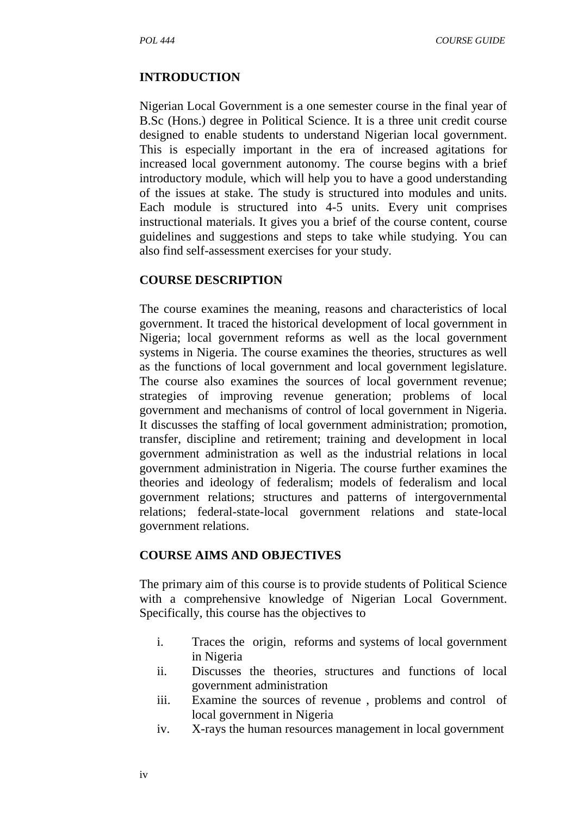#### **INTRODUCTION**

Nigerian Local Government is a one semester course in the final year of B.Sc (Hons.) degree in Political Science. It is a three unit credit course designed to enable students to understand Nigerian local government. This is especially important in the era of increased agitations for increased local government autonomy. The course begins with a brief introductory module, which will help you to have a good understanding of the issues at stake. The study is structured into modules and units. Each module is structured into 4-5 units. Every unit comprises instructional materials. It gives you a brief of the course content, course guidelines and suggestions and steps to take while studying. You can also find self-assessment exercises for your study.

#### **COURSE DESCRIPTION**

The course examines the meaning, reasons and characteristics of local government. It traced the historical development of local government in Nigeria; local government reforms as well as the local government systems in Nigeria. The course examines the theories, structures as well as the functions of local government and local government legislature. The course also examines the sources of local government revenue; strategies of improving revenue generation; problems of local government and mechanisms of control of local government in Nigeria. It discusses the staffing of local government administration; promotion, transfer, discipline and retirement; training and development in local government administration as well as the industrial relations in local government administration in Nigeria. The course further examines the theories and ideology of federalism; models of federalism and local government relations; structures and patterns of intergovernmental relations; federal-state-local government relations and state-local government relations.

#### **COURSE AIMS AND OBJECTIVES**

The primary aim of this course is to provide students of Political Science with a comprehensive knowledge of Nigerian Local Government. Specifically, this course has the objectives to

- i. Traces the origin, reforms and systems of local government in Nigeria
- ii. Discusses the theories, structures and functions of local government administration
- iii. Examine the sources of revenue , problems and control of local government in Nigeria
- iv. X-rays the human resources management in local government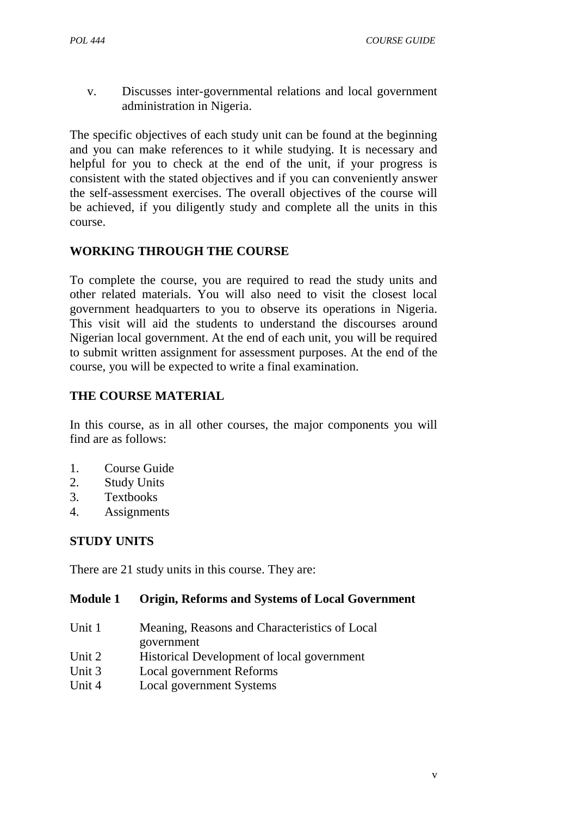v. Discusses inter-governmental relations and local government administration in Nigeria.

The specific objectives of each study unit can be found at the beginning and you can make references to it while studying. It is necessary and helpful for you to check at the end of the unit, if your progress is consistent with the stated objectives and if you can conveniently answer the self-assessment exercises. The overall objectives of the course will be achieved, if you diligently study and complete all the units in this course.

# **WORKING THROUGH THE COURSE**

To complete the course, you are required to read the study units and other related materials. You will also need to visit the closest local government headquarters to you to observe its operations in Nigeria. This visit will aid the students to understand the discourses around Nigerian local government. At the end of each unit, you will be required to submit written assignment for assessment purposes. At the end of the course, you will be expected to write a final examination.

# **THE COURSE MATERIAL**

In this course, as in all other courses, the major components you will find are as follows:

- 1. Course Guide
- 2. Study Units
- 3. Textbooks
- 4. Assignments

# **STUDY UNITS**

There are 21 study units in this course. They are:

# **Module 1 Origin, Reforms and Systems of Local Government**

- Unit 1 Meaning, Reasons and Characteristics of Local government
- Unit 2 Historical Development of local government
- Unit 3 Local government Reforms
- Unit 4 Local government Systems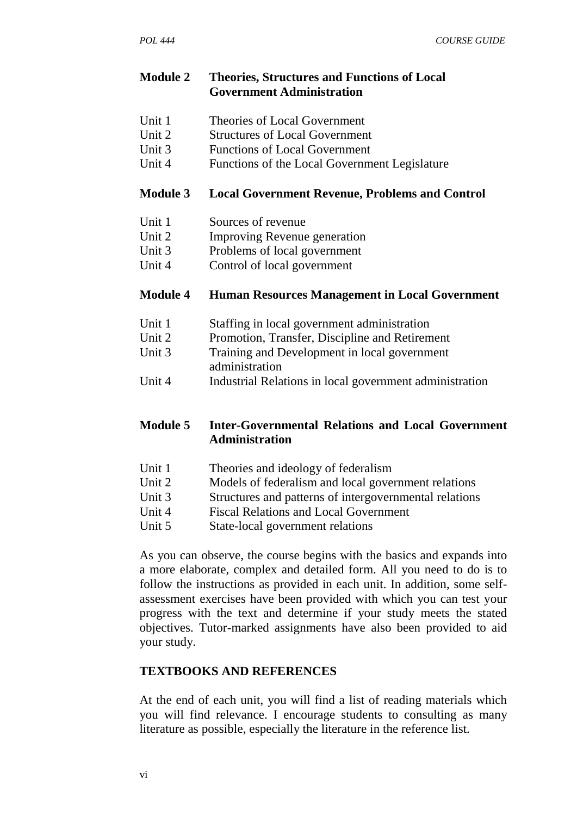#### **Module 2 Theories, Structures and Functions of Local Government Administration**

- Unit 1 Theories of Local Government
- Unit 2 Structures of Local Government
- Unit 3 Functions of Local Government
- Unit 4 Functions of the Local Government Legislature

#### **Module 3 Local Government Revenue, Problems and Control**

- Unit 1 Sources of revenue
- Unit 2 Improving Revenue generation
- Unit 3 Problems of local government
- Unit 4 Control of local government

#### **Module 4 Human Resources Management in Local Government**

- Unit 1 Staffing in local government administration
- Unit 2 Promotion, Transfer, Discipline and Retirement
- Unit 3 Training and Development in local government administration
- Unit 4 Industrial Relations in local government administration

#### **Module 5 Inter-Governmental Relations and Local Government Administration**

- Unit 1 Theories and ideology of federalism
- Unit 2 Models of federalism and local government relations
- Unit 3 Structures and patterns of intergovernmental relations
- Unit 4 Fiscal Relations and Local Government
- Unit 5 State-local government relations

As you can observe, the course begins with the basics and expands into a more elaborate, complex and detailed form. All you need to do is to follow the instructions as provided in each unit. In addition, some self assessment exercises have been provided with which you can test your progress with the text and determine if your study meets the stated objectives. Tutor-marked assignments have also been provided to aid your study.

#### **TEXTBOOKS AND REFERENCES**

At the end of each unit, you will find a list of reading materials which you will find relevance. I encourage students to consulting as many literature as possible, especially the literature in the reference list.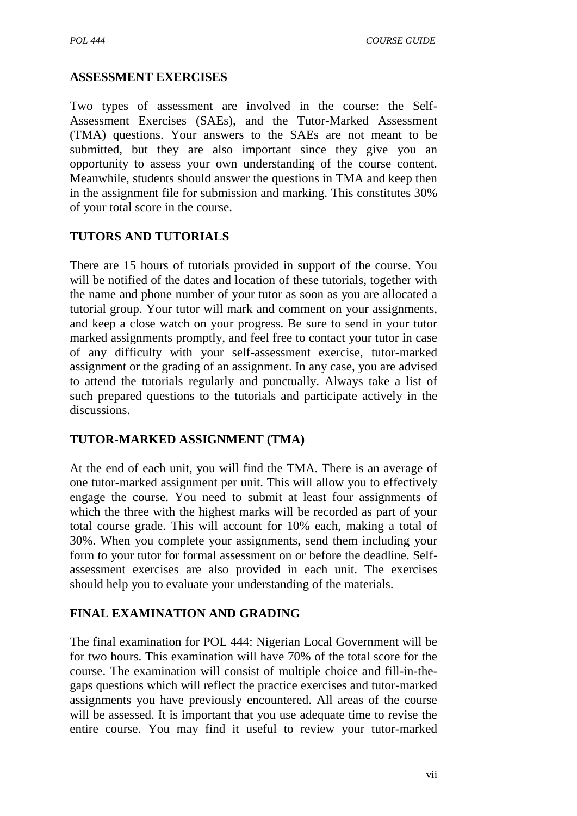# **ASSESSMENT EXERCISES**

Two types of assessment are involved in the course: the Self- Assessment Exercises (SAEs), and the Tutor-Marked Assessment (TMA) questions. Your answers to the SAEs are not meant to be submitted, but they are also important since they give you an opportunity to assess your own understanding of the course content. Meanwhile, students should answer the questions in TMA and keep then in the assignment file for submission and marking. This constitutes 30% of your total score in the course.

# **TUTORS AND TUTORIALS**

There are 15 hours of tutorials provided in support of the course. You will be notified of the dates and location of these tutorials, together with the name and phone number of your tutor as soon as you are allocated a tutorial group. Your tutor will mark and comment on your assignments, and keep a close watch on your progress. Be sure to send in your tutor marked assignments promptly, and feel free to contact your tutor in case of any difficulty with your self-assessment exercise, tutor-marked assignment or the grading of an assignment. In any case, you are advised to attend the tutorials regularly and punctually. Always take a list of such prepared questions to the tutorials and participate actively in the discussions.

# **TUTOR-MARKED ASSIGNMENT (TMA)**

At the end of each unit, you will find the TMA. There is an average of one tutor-marked assignment per unit. This will allow you to effectively engage the course. You need to submit at least four assignments of which the three with the highest marks will be recorded as part of your total course grade. This will account for 10% each, making a total of 30%. When you complete your assignments, send them including your form to your tutor for formal assessment on or before the deadline. Self assessment exercises are also provided in each unit. The exercises should help you to evaluate your understanding of the materials.

# **FINAL EXAMINATION AND GRADING**

The final examination for POL 444: Nigerian Local Government will be for two hours. This examination will have 70% of the total score for the course. The examination will consist of multiple choice and fill-in-the gaps questions which will reflect the practice exercises and tutor-marked assignments you have previously encountered. All areas of the course will be assessed. It is important that you use adequate time to revise the entire course. You may find it useful to review your tutor-marked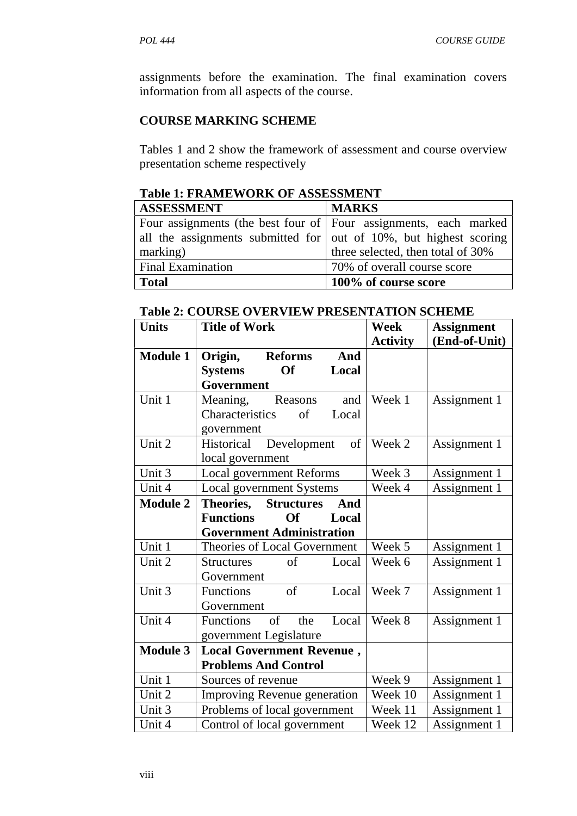assignments before the examination. The final examination covers information from all aspects of the course.

#### **COURSE MARKING SCHEME**

Tables 1 and 2 show the framework of assessment and course overview presentation scheme respectively

| Table 1: FRAME WORK OF ASSESSMENT                                         |                                   |  |
|---------------------------------------------------------------------------|-----------------------------------|--|
| <b>ASSESSMENT</b>                                                         | <b>MARKS</b>                      |  |
| Four assignments (the best four of Four assignments, each marked          |                                   |  |
| all the assignments submitted for $\vert$ out of 10%, but highest scoring |                                   |  |
| marking)                                                                  | three selected, then total of 30% |  |
| <b>Final Examination</b>                                                  | 70% of overall course score       |  |
| <b>Total</b>                                                              | 100% of course score              |  |

# **Table 1: FRAMEWORK OF ASSESSMENT**

# **Table 2: COURSE OVERVIEW PRESENTATION SCHEME**

| <b>Units</b>    | <b>Title of Work</b>                   | <b>Week</b>     | <b>Assignment</b> |
|-----------------|----------------------------------------|-----------------|-------------------|
|                 |                                        | <b>Activity</b> | (End-of-Unit)     |
| <b>Module 1</b> | Origin,<br><b>Reforms</b><br>And       |                 |                   |
|                 | <b>Systems</b><br>Of<br>Local          |                 |                   |
|                 | Government                             |                 |                   |
| Unit 1          | Meaning,<br>Reasons<br>and             | Week 1          | Assignment 1      |
|                 | Characteristics<br>$\sigma$ f<br>Local |                 |                   |
|                 | government                             |                 |                   |
| Unit 2          | Historical<br>Development<br>of        | Week 2          | Assignment 1      |
|                 | local government                       |                 |                   |
| Unit 3          | <b>Local government Reforms</b>        | Week 3          | Assignment 1      |
| Unit 4          | Local government Systems               | Week 4          | Assignment 1      |
| <b>Module 2</b> | Theories,<br><b>Structures</b><br>And  |                 |                   |
|                 | <b>Functions</b><br>Of<br>Local        |                 |                   |
|                 | <b>Government Administration</b>       |                 |                   |
| Unit 1          | Theories of Local Government           | Week 5          | Assignment 1      |
| Unit 2          | of<br>Local<br><b>Structures</b>       | Week 6          | Assignment 1      |
|                 | Government                             |                 |                   |
| Unit 3          | of<br><b>Functions</b><br>Local        | Week 7          | Assignment 1      |
|                 | Government                             |                 |                   |
| Unit 4          | Functions<br>of<br>the<br>Local        | Week 8          | Assignment 1      |
|                 | government Legislature                 |                 |                   |
| <b>Module 3</b> | <b>Local Government Revenue,</b>       |                 |                   |
|                 | <b>Problems And Control</b>            |                 |                   |
| Unit 1          | Sources of revenue                     | Week 9          | Assignment 1      |
| Unit 2          | <b>Improving Revenue generation</b>    | Week 10         | Assignment 1      |
| Unit 3          | Problems of local government           | Week 11         | Assignment 1      |
|                 |                                        |                 |                   |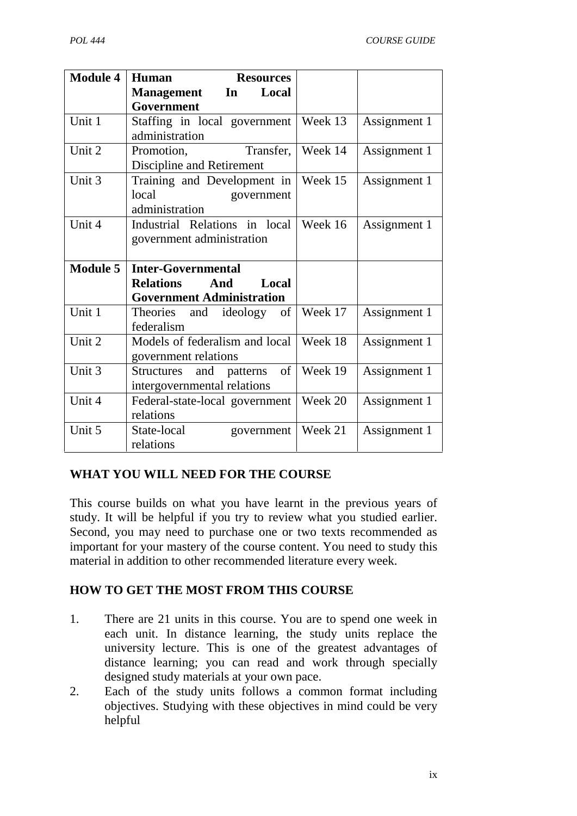| <b>Module 4</b> | Human<br><b>Resources</b>                                                 |         |              |
|-----------------|---------------------------------------------------------------------------|---------|--------------|
|                 | Local<br><b>Management</b><br>In<br>Government                            |         |              |
| Unit 1          | Staffing in local government<br>administration                            | Week 13 | Assignment 1 |
| Unit 2          | Transfer,<br>Promotion,<br>Discipline and Retirement                      | Week 14 | Assignment 1 |
| Unit 3          | Training and Development in<br>local<br>government<br>administration      | Week 15 | Assignment 1 |
| Unit 4          | Industrial Relations in local<br>government administration                | Week 16 | Assignment 1 |
| <b>Module 5</b> | <b>Inter-Governmental</b>                                                 |         |              |
|                 | <b>Relations</b><br>And<br>Local<br><b>Government Administration</b>      |         |              |
| Unit 1          | Theories<br>and ideology of<br>federalism                                 | Week 17 | Assignment 1 |
| Unit 2          | Models of federalism and local<br>government relations                    | Week 18 | Assignment 1 |
|                 |                                                                           |         |              |
| Unit 3          | of<br>and<br><b>Structures</b><br>patterns<br>intergovernmental relations | Week 19 | Assignment 1 |
| Unit 4          | Federal-state-local government<br>relations                               | Week 20 | Assignment 1 |

# **WHAT YOU WILL NEED FOR THE COURSE**

This course builds on what you have learnt in the previous years of study. It will be helpful if you try to review what you studied earlier. Second, you may need to purchase one or two texts recommended as important for your mastery of the course content. You need to study this material in addition to other recommended literature every week.

#### **HOW TO GET THE MOST FROM THIS COURSE**

- 1. There are 21 units in this course. You are to spend one week in each unit. In distance learning, the study units replace the university lecture. This is one of the greatest advantages of distance learning; you can read and work through specially designed study materials at your own pace.
- 2. Each of the study units follows a common format including objectives. Studying with these objectives in mind could be very helpful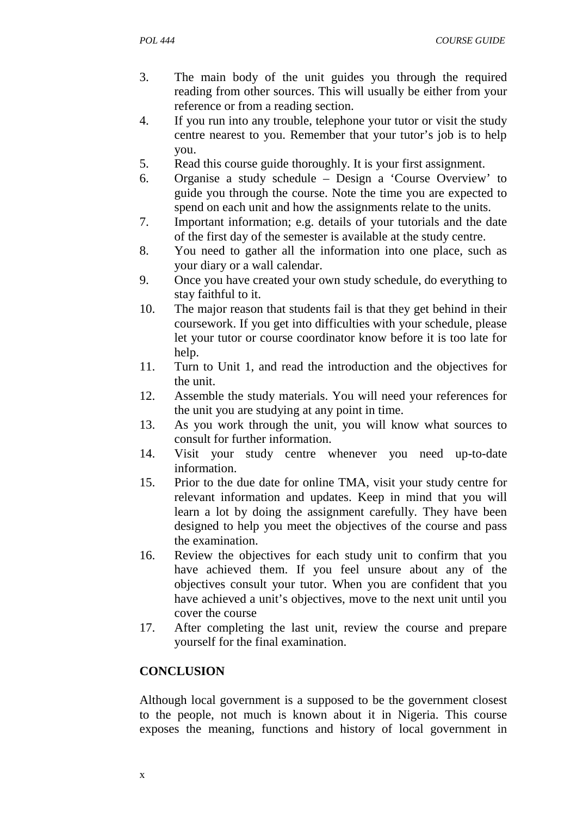- 3. The main body of the unit guides you through the required reading from other sources. This will usually be either from your reference or from a reading section.
- 4. If you run into any trouble, telephone your tutor or visit the study centre nearest to you. Remember that your tutor's job is to help you.
- 5. Read this course guide thoroughly. It is your first assignment.
- 6. Organise a study schedule Design a 'Course Overview' to guide you through the course. Note the time you are expected to spend on each unit and how the assignments relate to the units.
- 7. Important information; e.g. details of your tutorials and the date of the first day of the semester is available at the study centre.
- 8. You need to gather all the information into one place, such as your diary or a wall calendar.
- 9. Once you have created your own study schedule, do everything to stay faithful to it.
- 10. The major reason that students fail is that they get behind in their coursework. If you get into difficulties with your schedule, please let your tutor or course coordinator know before it is too late for help.
- 11. Turn to Unit 1, and read the introduction and the objectives for the unit.
- 12. Assemble the study materials. You will need your references for the unit you are studying at any point in time.
- 13. As you work through the unit, you will know what sources to consult for further information.
- 14. Visit your study centre whenever you need up-to-date information.
- 15. Prior to the due date for online TMA, visit your study centre for relevant information and updates. Keep in mind that you will learn a lot by doing the assignment carefully. They have been designed to help you meet the objectives of the course and pass the examination.
- 16. Review the objectives for each study unit to confirm that you have achieved them. If you feel unsure about any of the objectives consult your tutor. When you are confident that you have achieved a unit's objectives, move to the next unit until you cover the course
- 17. After completing the last unit, review the course and prepare yourself for the final examination.

# **CONCLUSION**

Although local government is a supposed to be the government closest to the people, not much is known about it in Nigeria. This course exposes the meaning, functions and history of local government in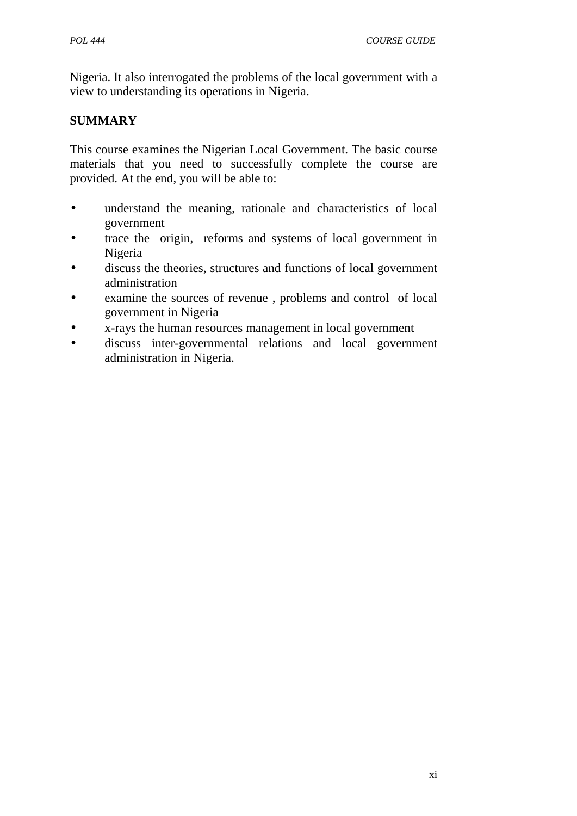Nigeria. It also interrogated the problems of the local government with a view to understanding its operations in Nigeria.

# **SUMMARY**

This course examines the Nigerian Local Government. The basic course materials that you need to successfully complete the course are provided. At the end, you will be able to:

- understand the meaning, rationale and characteristics of local government
- trace the origin, reforms and systems of local government in Nigeria
- discuss the theories, structures and functions of local government administration
- examine the sources of revenue , problems and control of local government in Nigeria
- x-rays the human resources management in local government
- discuss inter-governmental relations and local government administration in Nigeria.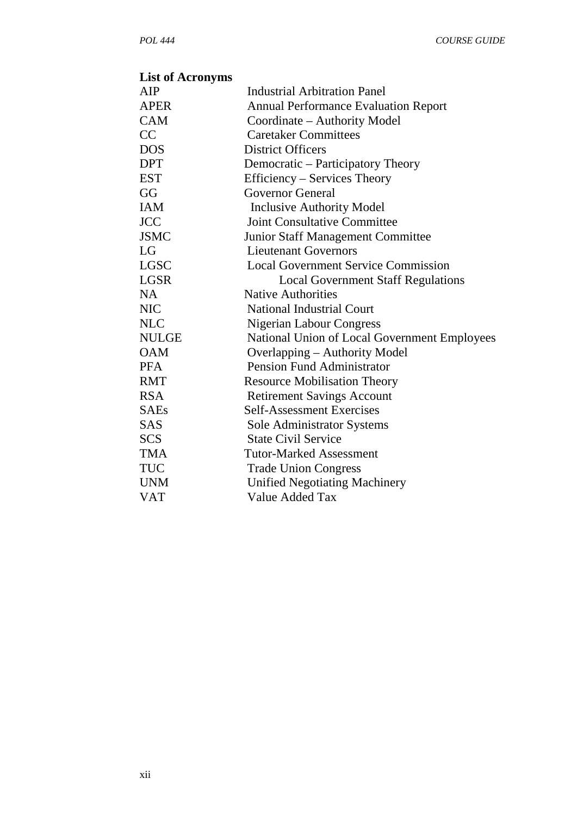# **List of Acronyms**

| AIP          | <b>Industrial Arbitration Panel</b>          |
|--------------|----------------------------------------------|
| <b>APER</b>  | <b>Annual Performance Evaluation Report</b>  |
| <b>CAM</b>   | Coordinate – Authority Model                 |
| CC           | <b>Caretaker Committees</b>                  |
| <b>DOS</b>   | <b>District Officers</b>                     |
| <b>DPT</b>   | Democratic – Participatory Theory            |
| <b>EST</b>   | Efficiency – Services Theory                 |
| GG           | <b>Governor General</b>                      |
| <b>IAM</b>   | <b>Inclusive Authority Model</b>             |
| <b>JCC</b>   | <b>Joint Consultative Committee</b>          |
| <b>JSMC</b>  | Junior Staff Management Committee            |
| LG           | <b>Lieutenant Governors</b>                  |
| <b>LGSC</b>  | <b>Local Government Service Commission</b>   |
| <b>LGSR</b>  | <b>Local Government Staff Regulations</b>    |
| NA           | <b>Native Authorities</b>                    |
| <b>NIC</b>   | <b>National Industrial Court</b>             |
| <b>NLC</b>   | Nigerian Labour Congress                     |
| <b>NULGE</b> | National Union of Local Government Employees |
| <b>OAM</b>   | Overlapping – Authority Model                |
| <b>PFA</b>   | <b>Pension Fund Administrator</b>            |
| <b>RMT</b>   | <b>Resource Mobilisation Theory</b>          |
| <b>RSA</b>   | <b>Retirement Savings Account</b>            |
| <b>SAEs</b>  | <b>Self-Assessment Exercises</b>             |
| <b>SAS</b>   | <b>Sole Administrator Systems</b>            |
| <b>SCS</b>   | <b>State Civil Service</b>                   |
| <b>TMA</b>   | <b>Tutor-Marked Assessment</b>               |
| TUC          | <b>Trade Union Congress</b>                  |
| <b>UNM</b>   | <b>Unified Negotiating Machinery</b>         |
| <b>VAT</b>   | Value Added Tax                              |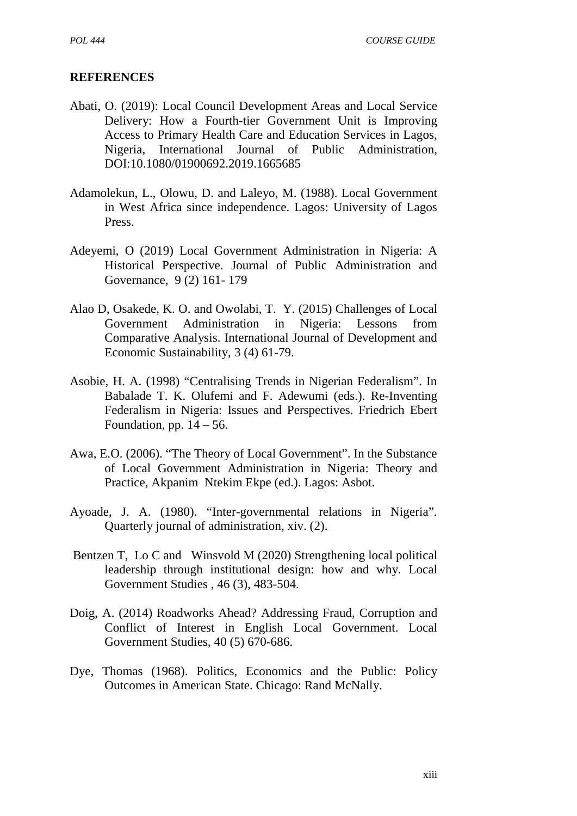#### **REFERENCES**

- Abati, O. (2019): Local Council Development Areas and Local Service Delivery: How a Fourth-tier Government Unit is Improving Access to Primary Health Care and Education Services in Lagos, Nigeria, International Journal of Public Administration, DOI:10.1080/01900692.2019.1665685
- Adamolekun, L., Olowu, D. and Laleyo, M. (1988). Local Government in West Africa since independence. Lagos: University of Lagos Press.
- Adeyemi, O (2019) Local Government Administration in Nigeria: A Historical Perspective. Journal of Public Administration and Governance, 9 (2) 161- 179
- Alao D, Osakede, K. O. and Owolabi, T. Y. (2015) Challenges of Local Government Administration in Nigeria: Lessons from Comparative Analysis. International Journal of Development and Economic Sustainability, 3 (4) 61-79.
- Asobie, H. A. (1998) "Centralising Trends in Nigerian Federalism". In Babalade T. K. Olufemi and F. Adewumi (eds.). Re-Inventing Federalism in Nigeria: Issues and Perspectives. Friedrich Ebert Foundation, pp.  $14 - 56$ .
- Awa, E.O. (2006). "The Theory of Local Government". In the Substance of Local Government Administration in Nigeria: Theory and Practice, Akpanim Ntekim Ekpe (ed.). Lagos: Asbot.
- Ayoade, J. A. (1980). "Inter-governmental relations in Nigeria". Quarterly journal of administration, xiv. (2).
- Bentzen T, Lo C and Winsvold M (2020) Strengthening local political leadership through institutional design: how and why. Local Government Studies , 46 (3), 483-504.
- Doig, A. (2014) Roadworks Ahead? Addressing Fraud, Corruption and Conflict of Interest in English Local Government. Local Government Studies, 40 (5) 670-686.
- Dye, Thomas (1968). Politics, Economics and the Public: Policy Outcomes in American State. Chicago: Rand McNally.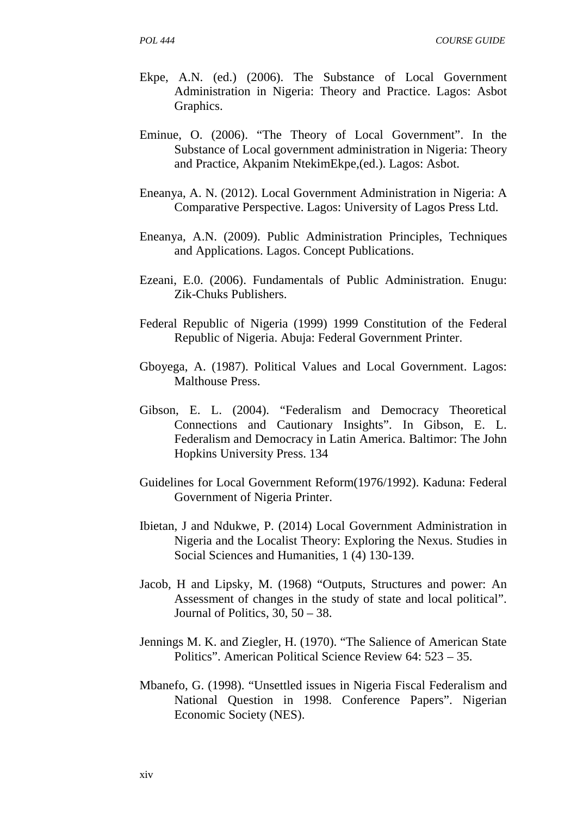- Ekpe, A.N. (ed.) (2006). The Substance of Local Government Administration in Nigeria: Theory and Practice. Lagos: Asbot Graphics.
- Eminue, O. (2006). "The Theory of Local Government". In the Substance of Local government administration in Nigeria: Theory and Practice, Akpanim NtekimEkpe,(ed.). Lagos: Asbot.
- Eneanya, A. N. (2012). Local Government Administration in Nigeria: A Comparative Perspective. Lagos: University of Lagos Press Ltd.
- Eneanya, A.N. (2009). Public Administration Principles, Techniques and Applications. Lagos. Concept Publications.
- Ezeani, E.0. (2006). Fundamentals of Public Administration. Enugu: Zik-Chuks Publishers.
- Federal Republic of Nigeria (1999) 1999 Constitution of the Federal Republic of Nigeria. Abuja: Federal Government Printer.
- Gboyega, A. (1987). Political Values and Local Government. Lagos: Malthouse Press.
- Gibson, E. L. (2004). "Federalism and Democracy Theoretical Connections and Cautionary Insights". In Gibson, E. L. Federalism and Democracy in Latin America. Baltimor: The John Hopkins University Press. 134
- Guidelines for Local Government Reform(1976/1992). Kaduna: Federal Government of Nigeria Printer.
- Ibietan, J and Ndukwe, P. (2014) Local Government Administration in Nigeria and the Localist Theory: Exploring the Nexus. Studies in Social Sciences and Humanities, 1 (4) 130-139.
- Jacob, H and Lipsky, M. (1968) "Outputs, Structures and power: An Assessment of changes in the study of state and local political". Journal of Politics,  $30, 50 - 38$ .
- Jennings M. K. and Ziegler, H. (1970). "The Salience of American State Politics". American Political Science Review 64: 523 – 35.
- Mbanefo, G. (1998). "Unsettled issues in Nigeria Fiscal Federalism and National Question in 1998. Conference Papers". Nigerian Economic Society (NES).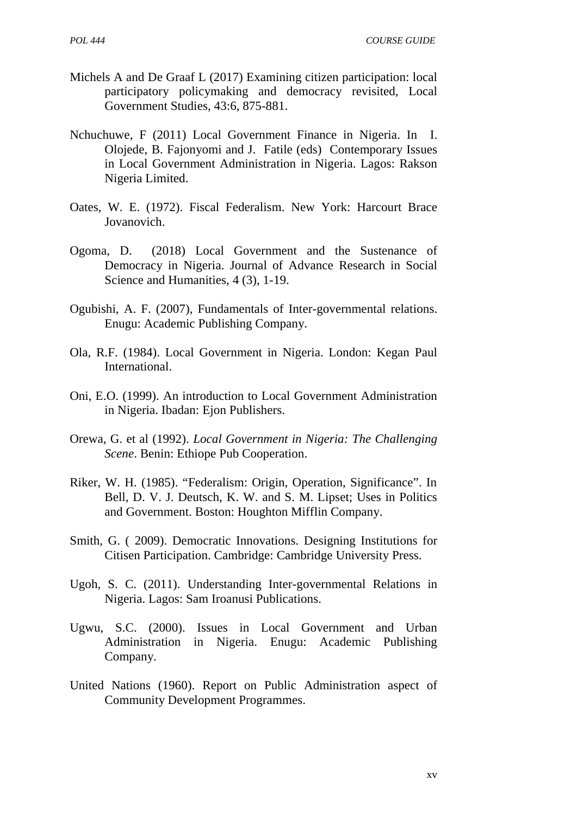- Michels A and De Graaf L (2017) Examining citizen participation: local participatory policymaking and democracy revisited, Local Government Studies, 43:6, 875-881.
- Nchuchuwe, F (2011) Local Government Finance in Nigeria. In I. Olojede, B. Fajonyomi and J. Fatile (eds) Contemporary Issues in Local Government Administration in Nigeria. Lagos: Rakson Nigeria Limited.
- Oates, W. E. (1972). Fiscal Federalism. New York: Harcourt Brace Jovanovich.
- Ogoma, D. (2018) Local Government and the Sustenance of Democracy in Nigeria. Journal of Advance Research in Social Science and Humanities, 4 (3), 1-19.
- Ogubishi, A. F. (2007), Fundamentals of Inter-governmental relations. Enugu: Academic Publishing Company.
- Ola, R.F. (1984). Local Government in Nigeria. London: Kegan Paul International.
- Oni, E.O. (1999). An introduction to Local Government Administration in Nigeria. Ibadan: Ejon Publishers.
- Orewa, G. et al (1992). *Local Government in Nigeria: The Challenging Scene*. Benin: Ethiope Pub Cooperation.
- Riker, W. H. (1985). "Federalism: Origin, Operation, Significance". In Bell, D. V. J. Deutsch, K. W. and S. M. Lipset; Uses in Politics and Government. Boston: Houghton Mifflin Company.
- Smith, G. ( 2009). Democratic Innovations. Designing Institutions for Citisen Participation. Cambridge: Cambridge University Press.
- Ugoh, S. C. (2011). Understanding Inter-governmental Relations in Nigeria. Lagos: Sam Iroanusi Publications.
- Ugwu, S.C. (2000). Issues in Local Government and Urban Administration in Nigeria. Enugu: Academic Publishing Company.
- United Nations (1960). Report on Public Administration aspect of Community Development Programmes.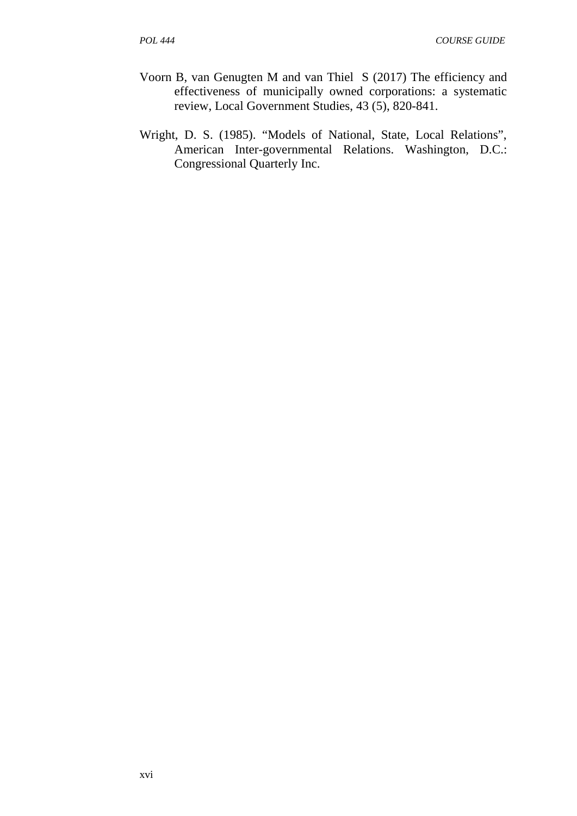- Voorn B, van Genugten M and van Thiel S (2017) The efficiency and effectiveness of municipally owned corporations: a systematic review, Local Government Studies, 43 (5), 820-841.
- Wright, D. S. (1985). "Models of National, State, Local Relations", American Inter-governmental Relations. Washington, D.C.: Congressional Quarterly Inc.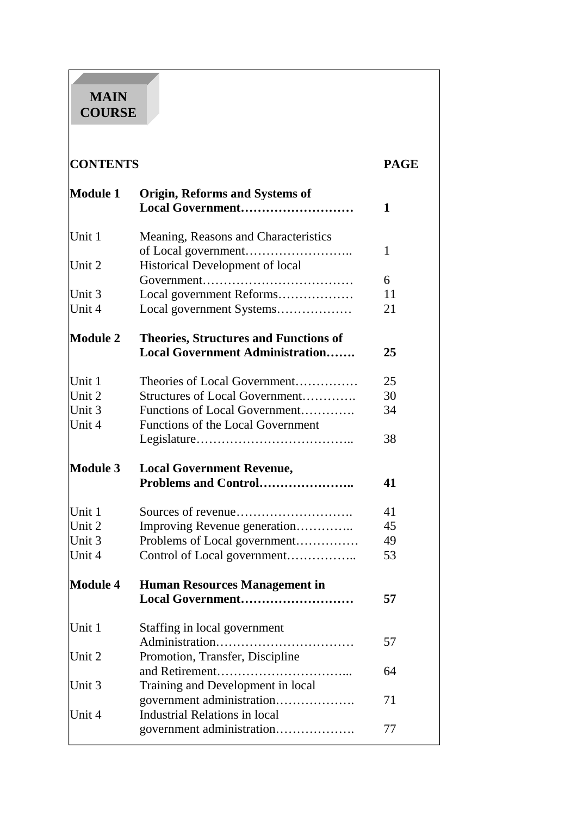# **MAIN COURSE**

| <b>CONTENTS</b>  |                                                           | <b>PAGE</b> |
|------------------|-----------------------------------------------------------|-------------|
| <b>Module 1</b>  | <b>Origin, Reforms and Systems of</b><br>Local Government | 1           |
| Unit 1           | Meaning, Reasons and Characteristics                      | 1           |
| Unit 2           | Historical Development of local                           |             |
|                  |                                                           | 6           |
| Unit 3<br>Unit 4 | Local government Reforms<br>Local government Systems      | 11<br>21    |
| <b>Module 2</b>  | <b>Theories, Structures and Functions of</b>              |             |
|                  | <b>Local Government Administration</b>                    | 25          |
| Unit 1           | Theories of Local Government                              | 25          |
| Unit 2           | Structures of Local Government                            | 30          |
| Unit 3           | Functions of Local Government                             | 34          |
| Unit 4           | Functions of the Local Government                         |             |
|                  |                                                           | 38          |
| <b>Module 3</b>  | <b>Local Government Revenue,</b>                          |             |
|                  | Problems and Control                                      | 41          |
| Unit 1           |                                                           | 41          |
| Unit 2           | Improving Revenue generation                              | 45          |
| Unit 3           | Problems of Local government                              | 49          |
| Unit 4           | Control of Local government                               | 53          |
|                  |                                                           |             |
| <b>Module 4</b>  | <b>Human Resources Management in</b>                      |             |
|                  | Local Government                                          | 57          |
| Unit 1           | Staffing in local government                              |             |
|                  |                                                           | 57          |
| Unit 2           | Promotion, Transfer, Discipline                           |             |
|                  |                                                           | 64          |
| Unit 3           | Training and Development in local                         |             |
|                  | government administration                                 | 71          |
| Unit 4           | <b>Industrial Relations in local</b>                      |             |
|                  | government administration                                 | 77          |
|                  |                                                           |             |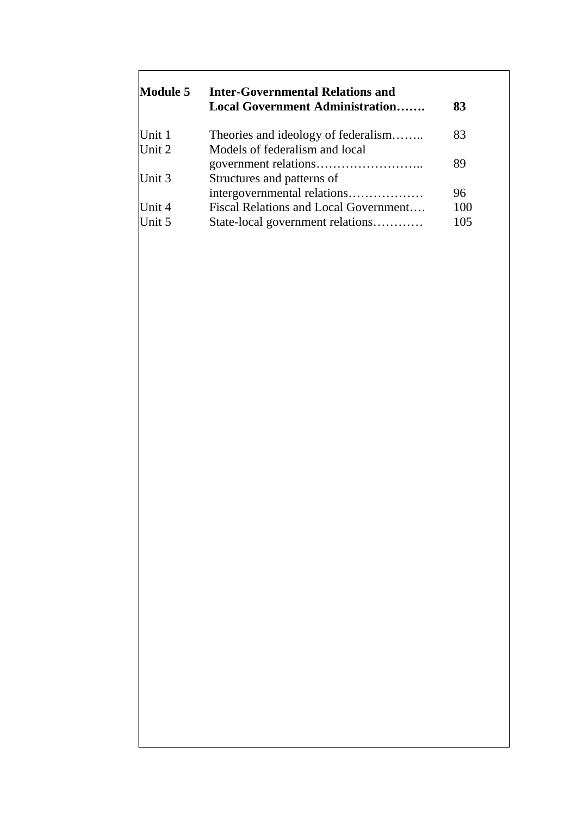| Module 5 | <b>Inter-Governmental Relations and</b><br><b>Local Government Administration</b> | 83  |
|----------|-----------------------------------------------------------------------------------|-----|
| Unit $1$ | Theories and ideology of federalism                                               | 83  |
| Unit $2$ | Models of federalism and local                                                    |     |
|          |                                                                                   | 89  |
| Unit $3$ | Structures and patterns of                                                        |     |
|          | intergovernmental relations                                                       | 96  |
| Unit $4$ | Fiscal Relations and Local Government                                             | 100 |
| Unit 5   | State-local government relations                                                  | 105 |

 $\overline{1}$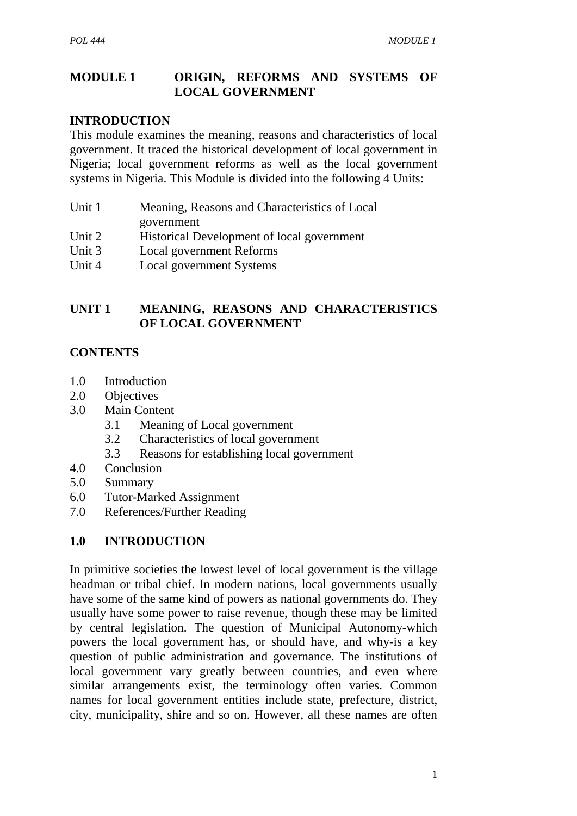#### **MODULE 1 ORIGIN, REFORMS AND SYSTEMS OF LOCAL GOVERNMENT**

#### **INTRODUCTION**

This module examines the meaning, reasons and characteristics of local government. It traced the historical development of local government in Nigeria; local government reforms as well as the local government systems in Nigeria. This Module is divided into the following 4 Units:

- Unit 1 Meaning, Reasons and Characteristics of Local government
- Unit 2 Historical Development of local government
- Unit 3 Local government Reforms
- Unit 4 Local government Systems

#### **UNIT 1 MEANING, REASONS AND CHARACTERISTICS OF LOCAL GOVERNMENT**

#### **CONTENTS**

- 1.0 Introduction
- 2.0 Objectives
- 3.0 Main Content
	- 3.1 Meaning of Local government
	- 3.2 Characteristics of local government
	- 3.3 Reasons for establishing local government
- 4.0 Conclusion
- 5.0 Summary
- 6.0 Tutor-Marked Assignment
- 7.0 References/Further Reading

#### **1.0 INTRODUCTION**

In primitive societies the lowest level of local government is the village headman or tribal chief. In modern nations, local governments usually have some of the same kind of powers as national governments do. They usually have some power to raise revenue, though these may be limited by central legislation. The question of Municipal Autonomy-which powers the local government has, or should have, and why-is a key question of public administration and governance. The institutions of local government vary greatly between countries, and even where similar arrangements exist, the terminology often varies. Common names for local government entities include state, prefecture, district, city, municipality, shire and so on. However, all these names are often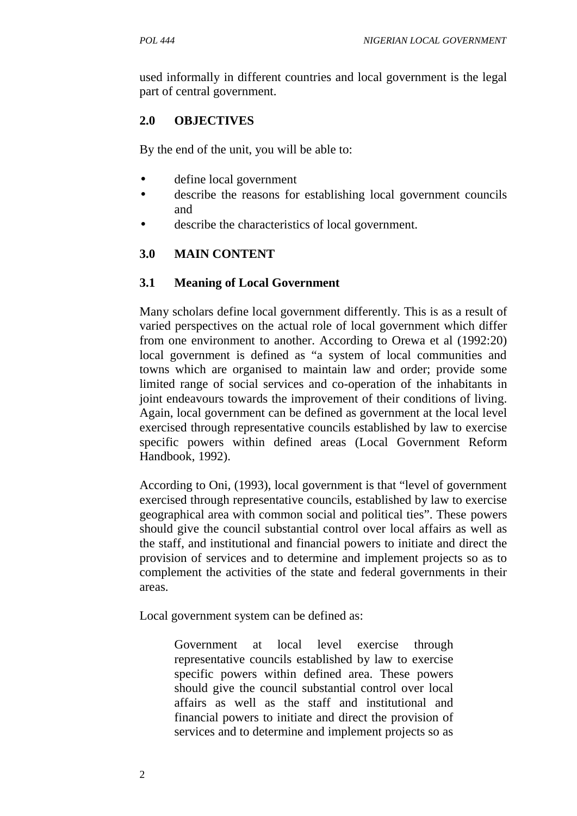used informally in different countries and local government is the legal part of central government.

# **2.0 OBJECTIVES**

By the end of the unit, you will be able to:

- define local government
- describe the reasons for establishing local government councils and
- describe the characteristics of local government.

# **3.0 MAIN CONTENT**

#### **3.1 Meaning of Local Government**

Many scholars define local government differently. This is as a result of varied perspectives on the actual role of local government which differ from one environment to another. According to Orewa et al (1992:20) local government is defined as "a system of local communities and towns which are organised to maintain law and order; provide some limited range of social services and co-operation of the inhabitants in joint endeavours towards the improvement of their conditions of living. Again, local government can be defined as government at the local level exercised through representative councils established by law to exercise specific powers within defined areas (Local Government Reform Handbook, 1992).

According to Oni, (1993), local government is that "level of government exercised through representative councils, established by law to exercise geographical area with common social and political ties". These powers should give the council substantial control over local affairs as well as the staff, and institutional and financial powers to initiate and direct the provision of services and to determine and implement projects so as to complement the activities of the state and federal governments in their areas.

Local government system can be defined as:

Government at local level exercise through representative councils established by law to exercise specific powers within defined area. These powers should give the council substantial control over local affairs as well as the staff and institutional and financial powers to initiate and direct the provision of services and to determine and implement projects so as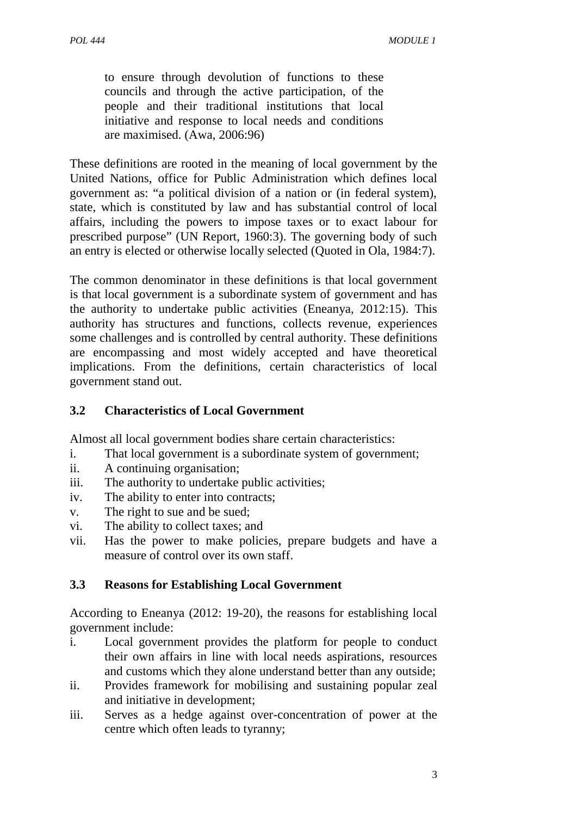to ensure through devolution of functions to these councils and through the active participation, of the people and their traditional institutions that local initiative and response to local needs and conditions are maximised. (Awa, 2006:96)

These definitions are rooted in the meaning of local government by the United Nations, office for Public Administration which defines local government as: "a political division of a nation or (in federal system), state, which is constituted by law and has substantial control of local affairs, including the powers to impose taxes or to exact labour for prescribed purpose" (UN Report, 1960:3). The governing body of such an entry is elected or otherwise locally selected (Quoted in Ola, 1984:7).

The common denominator in these definitions is that local government is that local government is a subordinate system of government and has the authority to undertake public activities (Eneanya, 2012:15). This authority has structures and functions, collects revenue, experiences some challenges and is controlled by central authority. These definitions are encompassing and most widely accepted and have theoretical implications. From the definitions, certain characteristics of local government stand out.

#### **3.2 Characteristics of Local Government**

Almost all local government bodies share certain characteristics:

- i. That local government is a subordinate system of government;
- ii. A continuing organisation;
- iii. The authority to undertake public activities;
- iv. The ability to enter into contracts;
- v. The right to sue and be sued;
- vi. The ability to collect taxes; and
- vii. Has the power to make policies, prepare budgets and have a measure of control over its own staff.

# **3.3 Reasons for Establishing Local Government**

According to Eneanya (2012: 19-20), the reasons for establishing local government include:

- i. Local government provides the platform for people to conduct their own affairs in line with local needs aspirations, resources and customs which they alone understand better than any outside;
- ii. Provides framework for mobilising and sustaining popular zeal and initiative in development;
- iii. Serves as a hedge against over-concentration of power at the centre which often leads to tyranny;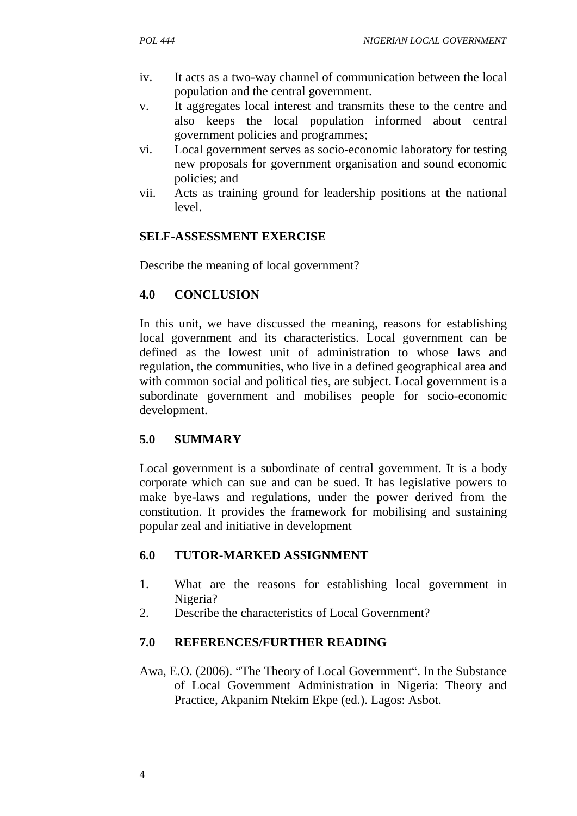- iv. It acts as a two-way channel of communication between the local population and the central government.
- v. It aggregates local interest and transmits these to the centre and also keeps the local population informed about central government policies and programmes;
- vi. Local government serves as socio-economic laboratory for testing new proposals for government organisation and sound economic policies; and
- vii. Acts as training ground for leadership positions at the national level.

# **SELF-ASSESSMENT EXERCISE**

Describe the meaning of local government?

# **4.0 CONCLUSION**

In this unit, we have discussed the meaning, reasons for establishing local government and its characteristics. Local government can be defined as the lowest unit of administration to whose laws and regulation, the communities, who live in a defined geographical area and with common social and political ties, are subject. Local government is a subordinate government and mobilises people for socio-economic development.

# **5.0 SUMMARY**

Local government is a subordinate of central government. It is a body corporate which can sue and can be sued. It has legislative powers to make bye-laws and regulations, under the power derived from the constitution. It provides the framework for mobilising and sustaining popular zeal and initiative in development

# **6.0 TUTOR-MARKED ASSIGNMENT**

- 1. What are the reasons for establishing local government in Nigeria?
- 2. Describe the characteristics of Local Government?

# **7.0 REFERENCES/FURTHER READING**

Awa, E.O. (2006). "The Theory of Local Government". In the Substance of Local Government Administration in Nigeria: Theory and Practice, Akpanim Ntekim Ekpe (ed.). Lagos: Asbot.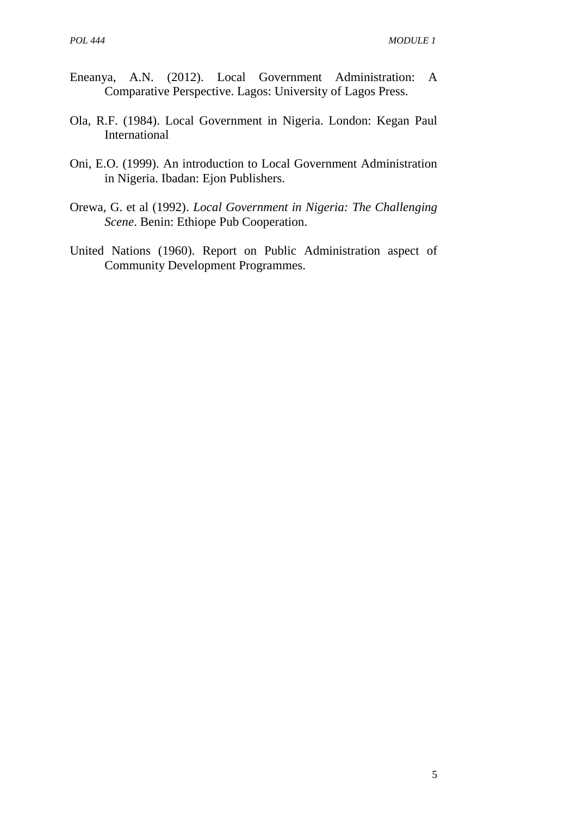- Eneanya, A.N. (2012). Local Government Administration: A Comparative Perspective. Lagos: University of Lagos Press.
- Ola, R.F. (1984). Local Government in Nigeria. London: Kegan Paul International
- Oni, E.O. (1999). An introduction to Local Government Administration in Nigeria. Ibadan: Ejon Publishers.
- Orewa, G. et al (1992). *Local Government in Nigeria: The Challenging Scene*. Benin: Ethiope Pub Cooperation.
- United Nations (1960). Report on Public Administration aspect of Community Development Programmes.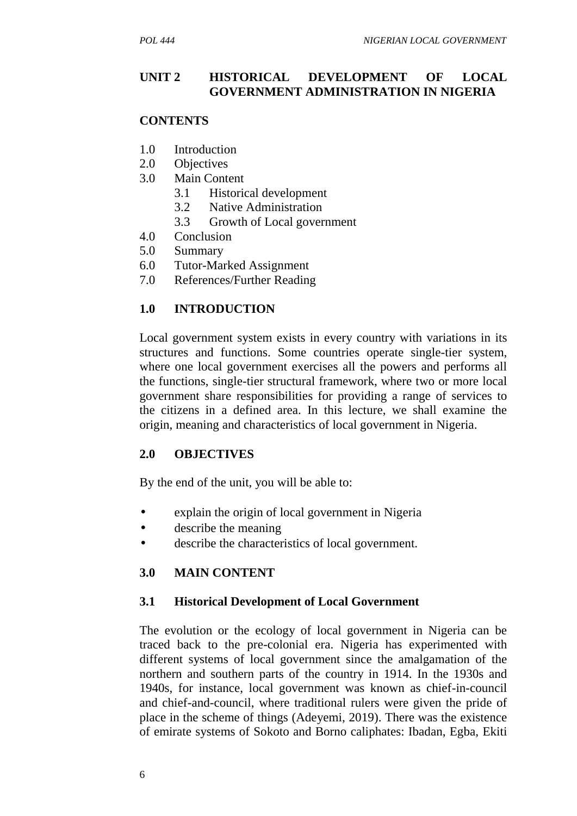#### **UNIT 2 HISTORICAL DEVELOPMENT OF LOCAL GOVERNMENT ADMINISTRATION IN NIGERIA**

#### **CONTENTS**

- 1.0 Introduction
- 2.0 Objectives
- 3.0 Main Content
	- 3.1 Historical development
	- 3.2 Native Administration
	- 3.3 Growth of Local government
- 4.0 Conclusion
- 5.0 Summary
- 6.0 Tutor-Marked Assignment
- 7.0 References/Further Reading

#### **1.0 INTRODUCTION**

Local government system exists in every country with variations in its structures and functions. Some countries operate single-tier system, where one local government exercises all the powers and performs all the functions, single-tier structural framework, where two or more local government share responsibilities for providing a range of services to the citizens in a defined area. In this lecture, we shall examine the origin, meaning and characteristics of local government in Nigeria.

#### **2.0 OBJECTIVES**

By the end of the unit, you will be able to:

- explain the origin of local government in Nigeria
- describe the meaning
- describe the characteristics of local government.

#### **3.0 MAIN CONTENT**

#### **3.1 Historical Development of Local Government**

The evolution or the ecology of local government in Nigeria can be traced back to the pre-colonial era. Nigeria has experimented with different systems of local government since the amalgamation of the northern and southern parts of the country in 1914. In the 1930s and 1940s, for instance, local government was known as chief-in-council and chief-and-council, where traditional rulers were given the pride of place in the scheme of things (Adeyemi, 2019). There was the existence of emirate systems of Sokoto and Borno caliphates: Ibadan, Egba, Ekiti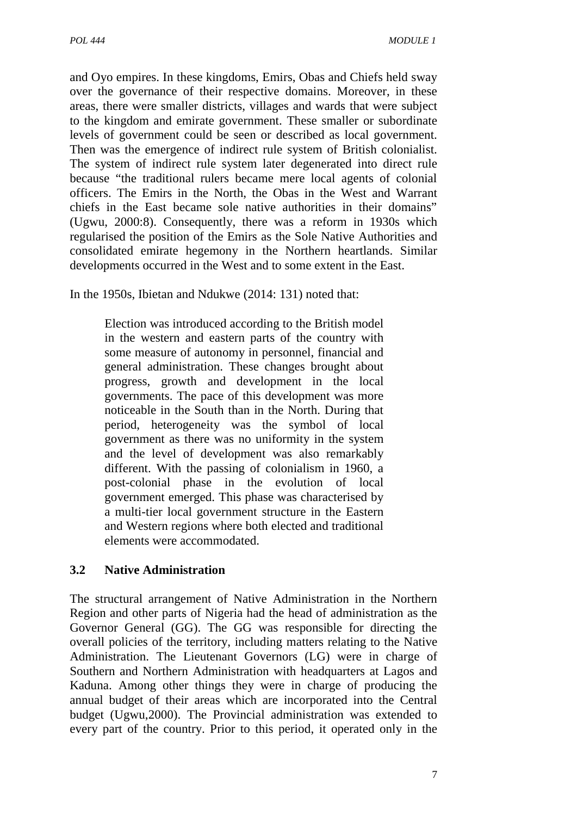and Oyo empires. In these kingdoms, Emirs, Obas and Chiefs held sway over the governance of their respective domains. Moreover, in these areas, there were smaller districts, villages and wards that were subject to the kingdom and emirate government. These smaller or subordinate levels of government could be seen or described as local government. Then was the emergence of indirect rule system of British colonialist. The system of indirect rule system later degenerated into direct rule because "the traditional rulers became mere local agents of colonial officers. The Emirs in the North, the Obas in the West and Warrant chiefs in the East became sole native authorities in their domains" (Ugwu, 2000:8). Consequently, there was a reform in 1930s which regularised the position of the Emirs as the Sole Native Authorities and consolidated emirate hegemony in the Northern heartlands. Similar developments occurred in the West and to some extent in the East.

In the 1950s, Ibietan and Ndukwe (2014: 131) noted that:

Election was introduced according to the British model in the western and eastern parts of the country with some measure of autonomy in personnel, financial and general administration. These changes brought about progress, growth and development in the local governments. The pace of this development was more noticeable in the South than in the North. During that period, heterogeneity was the symbol of local government as there was no uniformity in the system and the level of development was also remarkably different. With the passing of colonialism in 1960, a post-colonial phase in the evolution of local government emerged. This phase was characterised by a multi-tier local government structure in the Eastern and Western regions where both elected and traditional elements were accommodated.

# **3.2 Native Administration**

The structural arrangement of Native Administration in the Northern Region and other parts of Nigeria had the head of administration as the Governor General (GG). The GG was responsible for directing the overall policies of the territory, including matters relating to the Native Administration. The Lieutenant Governors (LG) were in charge of Southern and Northern Administration with headquarters at Lagos and Kaduna. Among other things they were in charge of producing the annual budget of their areas which are incorporated into the Central budget (Ugwu,2000). The Provincial administration was extended to every part of the country. Prior to this period, it operated only in the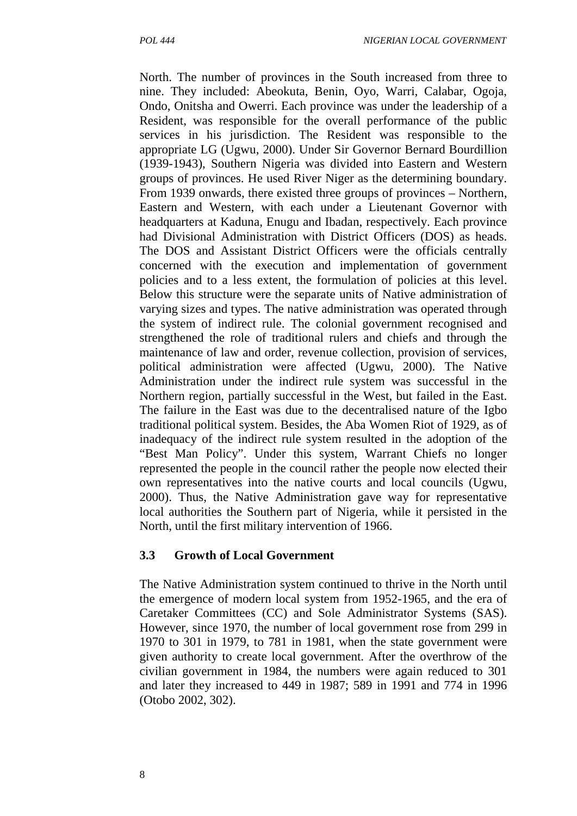North. The number of provinces in the South increased from three to nine. They included: Abeokuta, Benin, Oyo, Warri, Calabar, Ogoja, Ondo, Onitsha and Owerri. Each province was under the leadership of a Resident, was responsible for the overall performance of the public services in his jurisdiction. The Resident was responsible to the appropriate LG (Ugwu, 2000). Under Sir Governor Bernard Bourdillion (1939-1943), Southern Nigeria was divided into Eastern and Western groups of provinces. He used River Niger as the determining boundary. From 1939 onwards, there existed three groups of provinces – Northern, Eastern and Western, with each under a Lieutenant Governor with headquarters at Kaduna, Enugu and Ibadan, respectively. Each province had Divisional Administration with District Officers (DOS) as heads. The DOS and Assistant District Officers were the officials centrally concerned with the execution and implementation of government policies and to a less extent, the formulation of policies at this level. Below this structure were the separate units of Native administration of varying sizes and types. The native administration was operated through the system of indirect rule. The colonial government recognised and strengthened the role of traditional rulers and chiefs and through the maintenance of law and order, revenue collection, provision of services, political administration were affected (Ugwu, 2000). The Native Administration under the indirect rule system was successful in the Northern region, partially successful in the West, but failed in the East. The failure in the East was due to the decentralised nature of the Igbo traditional political system. Besides, the Aba Women Riot of 1929, as of inadequacy of the indirect rule system resulted in the adoption of the "Best Man Policy". Under this system, Warrant Chiefs no longer represented the people in the council rather the people now elected their own representatives into the native courts and local councils (Ugwu, 2000). Thus, the Native Administration gave way for representative local authorities the Southern part of Nigeria, while it persisted in the North, until the first military intervention of 1966.

#### **3.3 Growth of Local Government**

The Native Administration system continued to thrive in the North until the emergence of modern local system from 1952-1965, and the era of Caretaker Committees (CC) and Sole Administrator Systems (SAS). However, since 1970, the number of local government rose from 299 in 1970 to 301 in 1979, to 781 in 1981, when the state government were given authority to create local government. After the overthrow of the civilian government in 1984, the numbers were again reduced to 301 and later they increased to 449 in 1987; 589 in 1991 and 774 in 1996 (Otobo 2002, 302).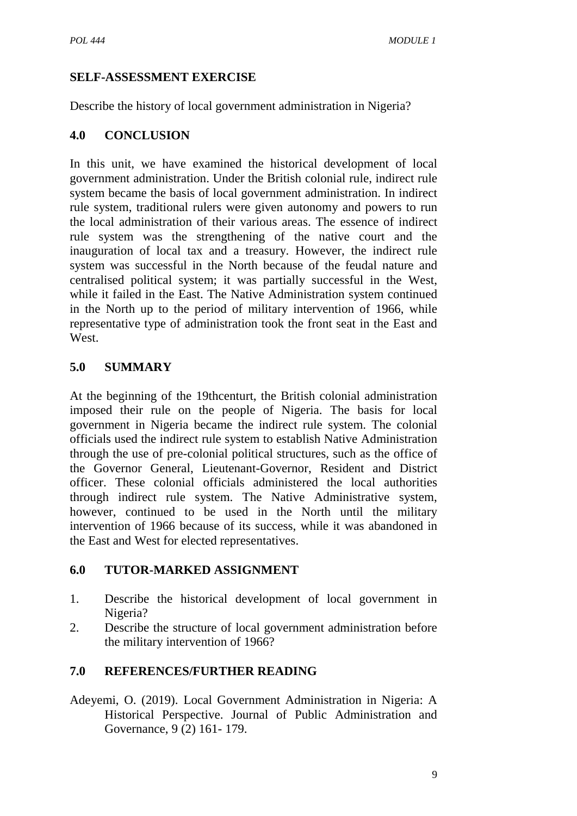# **SELF-ASSESSMENT EXERCISE**

Describe the history of local government administration in Nigeria?

#### **4.0 CONCLUSION**

In this unit, we have examined the historical development of local government administration. Under the British colonial rule, indirect rule system became the basis of local government administration. In indirect rule system, traditional rulers were given autonomy and powers to run the local administration of their various areas. The essence of indirect rule system was the strengthening of the native court and the inauguration of local tax and a treasury. However, the indirect rule system was successful in the North because of the feudal nature and centralised political system; it was partially successful in the West, while it failed in the East. The Native Administration system continued in the North up to the period of military intervention of 1966, while representative type of administration took the front seat in the East and West.

# **5.0 SUMMARY**

At the beginning of the 19thcenturt, the British colonial administration imposed their rule on the people of Nigeria. The basis for local government in Nigeria became the indirect rule system. The colonial officials used the indirect rule system to establish Native Administration through the use of pre-colonial political structures, such as the office of the Governor General, Lieutenant-Governor, Resident and District officer. These colonial officials administered the local authorities through indirect rule system. The Native Administrative system, however, continued to be used in the North until the military intervention of 1966 because of its success, while it was abandoned in the East and West for elected representatives.

#### **6.0 TUTOR-MARKED ASSIGNMENT**

- 1. Describe the historical development of local government in Nigeria?
- 2. Describe the structure of local government administration before the military intervention of 1966?

# **7.0 REFERENCES/FURTHER READING**

Adeyemi, O. (2019). Local Government Administration in Nigeria: A Historical Perspective. Journal of Public Administration and Governance, 9 (2) 161- 179.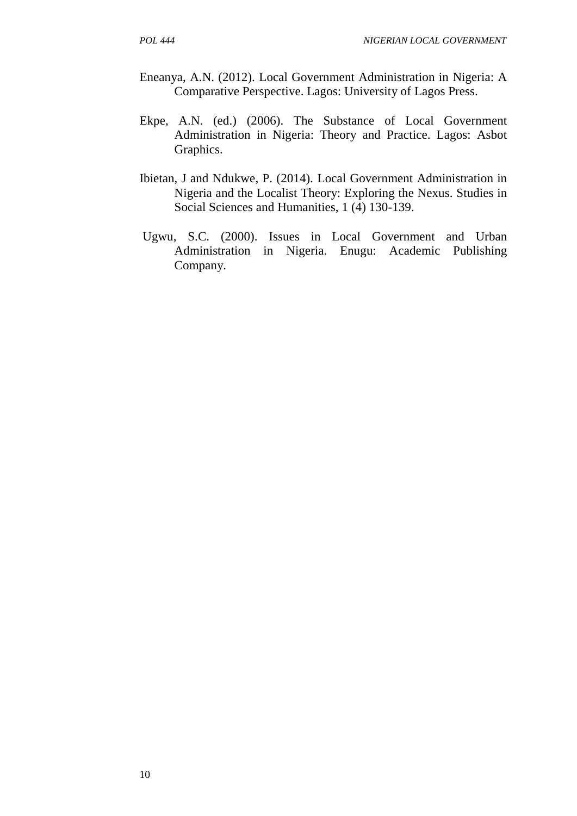- Eneanya, A.N. (2012). Local Government Administration in Nigeria: A Comparative Perspective. Lagos: University of Lagos Press.
- Ekpe, A.N. (ed.) (2006). The Substance of Local Government Administration in Nigeria: Theory and Practice. Lagos: Asbot Graphics.
- Ibietan, J and Ndukwe, P. (2014). Local Government Administration in Nigeria and the Localist Theory: Exploring the Nexus. Studies in Social Sciences and Humanities, 1 (4) 130-139.
- Ugwu, S.C. (2000). Issues in Local Government and Urban Administration in Nigeria. Enugu: Academic Publishing Company.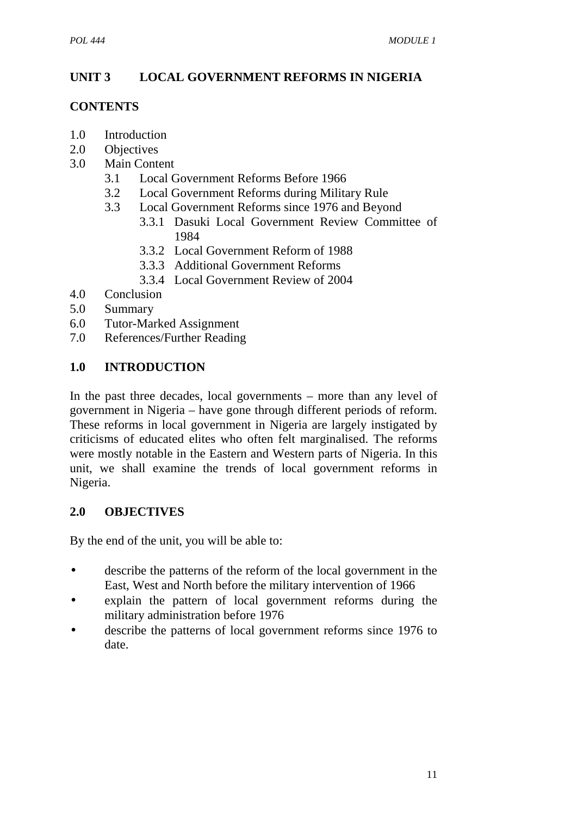# **UNIT 3 LOCAL GOVERNMENT REFORMS IN NIGERIA**

#### **CONTENTS**

- 1.0 Introduction
- 2.0 Objectives
- 3.0 Main Content
	- 3.1 Local Government Reforms Before 1966
	- 3.2 Local Government Reforms during Military Rule
	- 3.3 Local Government Reforms since 1976 and Beyond
		- 3.3.1 Dasuki Local Government Review Committee of 1984
		- 3.3.2 Local Government Reform of 1988
		- 3.3.3 Additional Government Reforms
		- 3.3.4 Local Government Review of 2004
- 4.0 Conclusion
- 5.0 Summary
- 6.0 Tutor-Marked Assignment
- 7.0 References/Further Reading

# **1.0 INTRODUCTION**

In the past three decades, local governments – more than any level of government in Nigeria – have gone through different periods of reform. These reforms in local government in Nigeria are largely instigated by criticisms of educated elites who often felt marginalised. The reforms were mostly notable in the Eastern and Western parts of Nigeria. In this unit, we shall examine the trends of local government reforms in Nigeria.

# **2.0 OBJECTIVES**

By the end of the unit, you will be able to:

- describe the patterns of the reform of the local government in the East, West and North before the military intervention of 1966
- explain the pattern of local government reforms during the military administration before 1976
- describe the patterns of local government reforms since 1976 to date.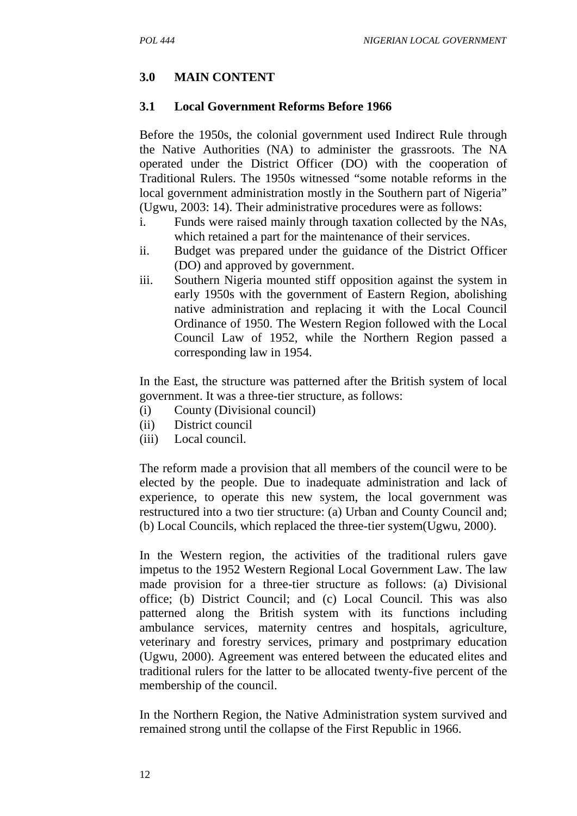#### **3.0 MAIN CONTENT**

#### **3.1 Local Government Reforms Before 1966**

Before the 1950s, the colonial government used Indirect Rule through the Native Authorities (NA) to administer the grassroots. The NA operated under the District Officer (DO) with the cooperation of Traditional Rulers. The 1950s witnessed "some notable reforms in the local government administration mostly in the Southern part of Nigeria" (Ugwu, 2003: 14). Their administrative procedures were as follows:

- i. Funds were raised mainly through taxation collected by the NAs, which retained a part for the maintenance of their services.
- ii. Budget was prepared under the guidance of the District Officer (DO) and approved by government.
- iii. Southern Nigeria mounted stiff opposition against the system in early 1950s with the government of Eastern Region, abolishing native administration and replacing it with the Local Council Ordinance of 1950. The Western Region followed with the Local Council Law of 1952, while the Northern Region passed a corresponding law in 1954.

In the East, the structure was patterned after the British system of local government. It was a three-tier structure, as follows:

- (i) County (Divisional council)
- (ii) District council
- (iii) Local council.

The reform made a provision that all members of the council were to be elected by the people. Due to inadequate administration and lack of experience, to operate this new system, the local government was restructured into a two tier structure: (a) Urban and County Council and; (b) Local Councils, which replaced the three-tier system(Ugwu, 2000).

In the Western region, the activities of the traditional rulers gave impetus to the 1952 Western Regional Local Government Law. The law made provision for a three-tier structure as follows: (a) Divisional office; (b) District Council; and (c) Local Council. This was also patterned along the British system with its functions including ambulance services, maternity centres and hospitals, agriculture, veterinary and forestry services, primary and postprimary education (Ugwu, 2000). Agreement was entered between the educated elites and traditional rulers for the latter to be allocated twenty-five percent of the membership of the council.

In the Northern Region, the Native Administration system survived and remained strong until the collapse of the First Republic in 1966.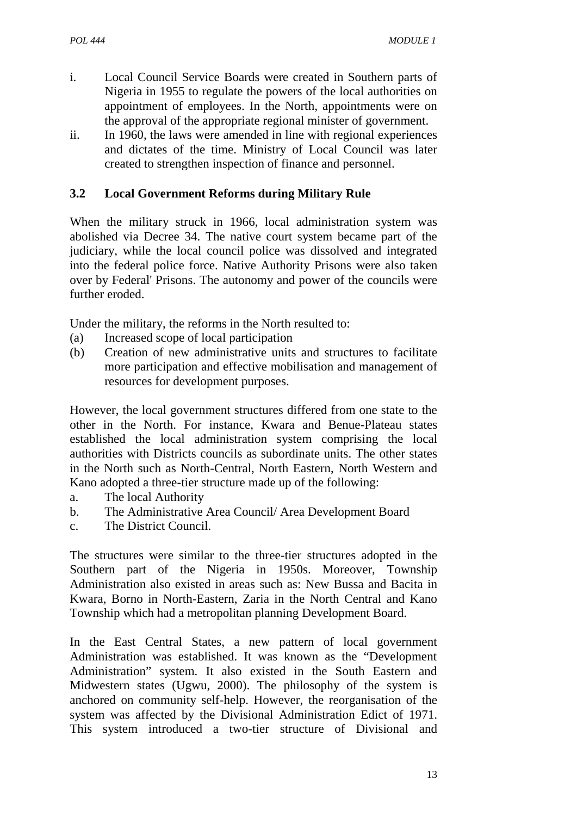- i. Local Council Service Boards were created in Southern parts of Nigeria in 1955 to regulate the powers of the local authorities on appointment of employees. In the North, appointments were on the approval of the appropriate regional minister of government.
- ii. In 1960, the laws were amended in line with regional experiences and dictates of the time. Ministry of Local Council was later created to strengthen inspection of finance and personnel.

#### **3.2 Local Government Reforms during Military Rule**

When the military struck in 1966, local administration system was abolished via Decree 34. The native court system became part of the judiciary, while the local council police was dissolved and integrated into the federal police force. Native Authority Prisons were also taken over by Federal' Prisons. The autonomy and power of the councils were further eroded.

Under the military, the reforms in the North resulted to:

- (a) Increased scope of local participation
- (b) Creation of new administrative units and structures to facilitate more participation and effective mobilisation and management of resources for development purposes.

However, the local government structures differed from one state to the other in the North. For instance, Kwara and Benue-Plateau states established the local administration system comprising the local authorities with Districts councils as subordinate units. The other states in the North such as North-Central, North Eastern, North Western and Kano adopted a three-tier structure made up of the following:

- a. The local Authority
- b. The Administrative Area Council/ Area Development Board
- c. The District Council.

The structures were similar to the three-tier structures adopted in the Southern part of the Nigeria in 1950s. Moreover, Township Administration also existed in areas such as: New Bussa and Bacita in Kwara, Borno in North-Eastern, Zaria in the North Central and Kano Township which had a metropolitan planning Development Board.

In the East Central States, a new pattern of local government Administration was established. It was known as the "Development Administration" system. It also existed in the South Eastern and Midwestern states (Ugwu, 2000). The philosophy of the system is anchored on community self-help. However, the reorganisation of the system was affected by the Divisional Administration Edict of 1971. This system introduced a two-tier structure of Divisional and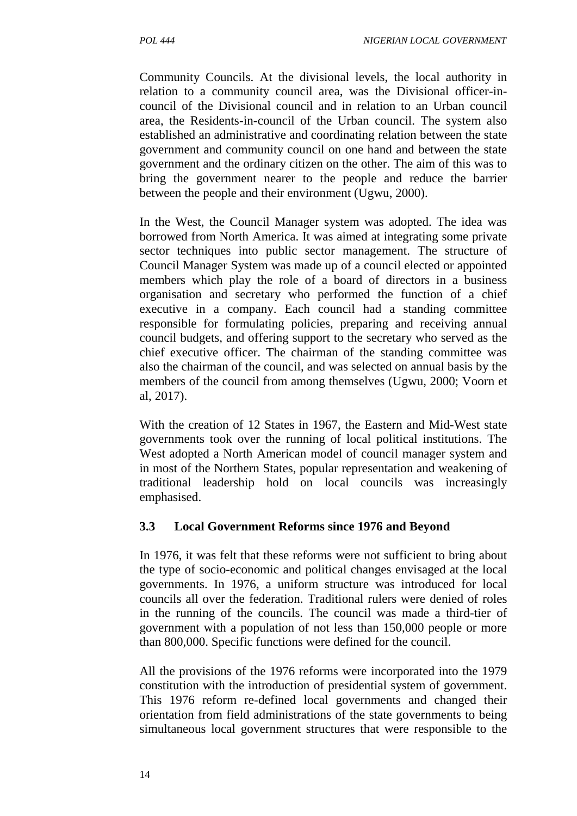Community Councils. At the divisional levels, the local authority in relation to a community council area, was the Divisional officer-in council of the Divisional council and in relation to an Urban council area, the Residents-in-council of the Urban council. The system also established an administrative and coordinating relation between the state government and community council on one hand and between the state government and the ordinary citizen on the other. The aim of this was to bring the government nearer to the people and reduce the barrier between the people and their environment (Ugwu, 2000).

In the West, the Council Manager system was adopted. The idea was borrowed from North America. It was aimed at integrating some private sector techniques into public sector management. The structure of Council Manager System was made up of a council elected or appointed members which play the role of a board of directors in a business organisation and secretary who performed the function of a chief executive in a company. Each council had a standing committee responsible for formulating policies, preparing and receiving annual council budgets, and offering support to the secretary who served as the chief executive officer. The chairman of the standing committee was also the chairman of the council, and was selected on annual basis by the members of the council from among themselves (Ugwu, 2000; Voorn et al, 2017).

With the creation of 12 States in 1967, the Eastern and Mid-West state governments took over the running of local political institutions. The West adopted a North American model of council manager system and in most of the Northern States, popular representation and weakening of traditional leadership hold on local councils was increasingly emphasised.

#### **3.3 Local Government Reforms since 1976 and Beyond**

In 1976, it was felt that these reforms were not sufficient to bring about the type of socio-economic and political changes envisaged at the local governments. In 1976, a uniform structure was introduced for local councils all over the federation. Traditional rulers were denied of roles in the running of the councils. The council was made a third-tier of government with a population of not less than 150,000 people or more than 800,000. Specific functions were defined for the council.

All the provisions of the 1976 reforms were incorporated into the 1979 constitution with the introduction of presidential system of government. This 1976 reform re-defined local governments and changed their orientation from field administrations of the state governments to being simultaneous local government structures that were responsible to the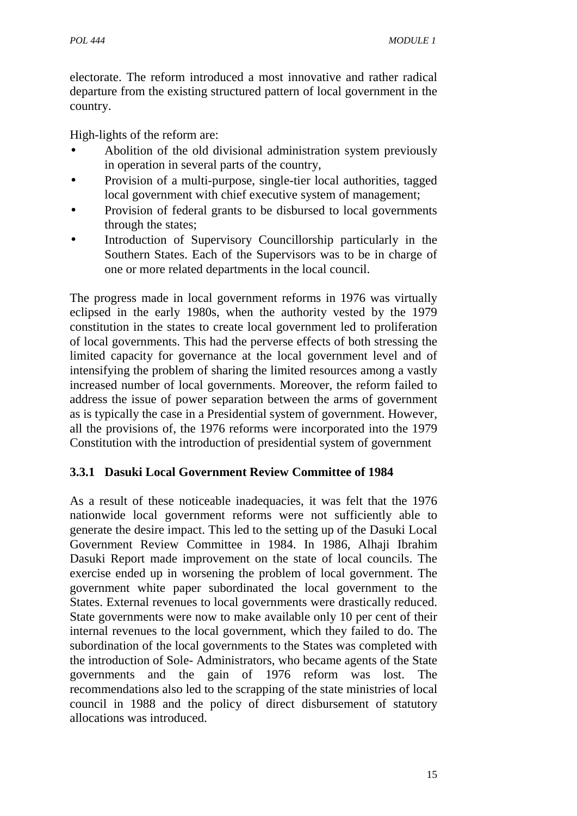electorate. The reform introduced a most innovative and rather radical departure from the existing structured pattern of local government in the country.

High-lights of the reform are:

- Abolition of the old divisional administration system previously in operation in several parts of the country,
- Provision of a multi-purpose, single-tier local authorities, tagged local government with chief executive system of management;
- Provision of federal grants to be disbursed to local governments through the states;
- Introduction of Supervisory Councillorship particularly in the Southern States. Each of the Supervisors was to be in charge of one or more related departments in the local council.

The progress made in local government reforms in 1976 was virtually eclipsed in the early 1980s, when the authority vested by the 1979 constitution in the states to create local government led to proliferation of local governments. This had the perverse effects of both stressing the limited capacity for governance at the local government level and of intensifying the problem of sharing the limited resources among a vastly increased number of local governments. Moreover, the reform failed to address the issue of power separation between the arms of government as is typically the case in a Presidential system of government. However, all the provisions of, the 1976 reforms were incorporated into the 1979 Constitution with the introduction of presidential system of government

# **3.3.1 Dasuki Local Government Review Committee of 1984**

As a result of these noticeable inadequacies, it was felt that the 1976 nationwide local government reforms were not sufficiently able to generate the desire impact. This led to the setting up of the Dasuki Local Government Review Committee in 1984. In 1986, Alhaji Ibrahim Dasuki Report made improvement on the state of local councils. The exercise ended up in worsening the problem of local government. The government white paper subordinated the local government to the States. External revenues to local governments were drastically reduced. State governments were now to make available only 10 per cent of their internal revenues to the local government, which they failed to do. The subordination of the local governments to the States was completed with the introduction of Sole- Administrators, who became agents of the State governments and the gain of 1976 reform was lost. The recommendations also led to the scrapping of the state ministries of local council in 1988 and the policy of direct disbursement of statutory allocations was introduced.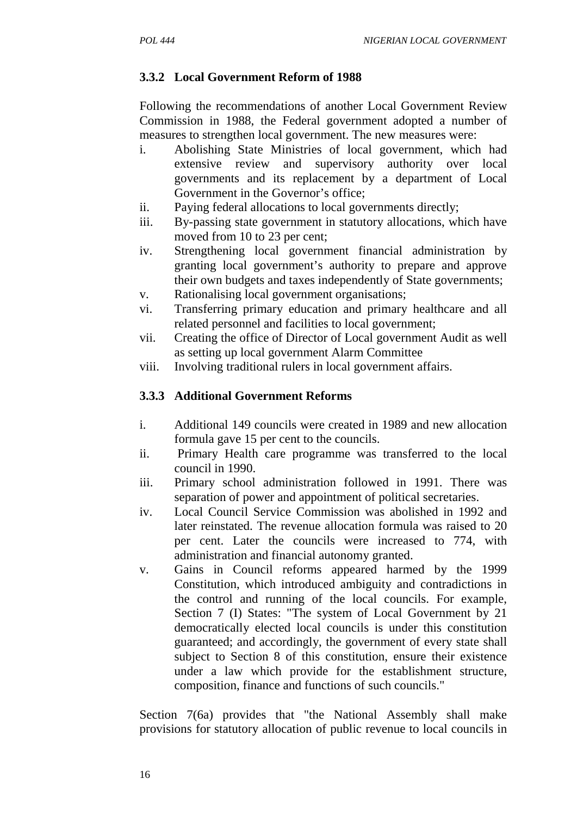# **3.3.2 Local Government Reform of 1988**

Following the recommendations of another Local Government Review Commission in 1988, the Federal government adopted a number of measures to strengthen local government. The new measures were:

- i. Abolishing State Ministries of local government, which had extensive review and supervisory authority over local governments and its replacement by a department of Local Government in the Governor's office;
- ii. Paying federal allocations to local governments directly;
- iii. By-passing state government in statutory allocations, which have moved from 10 to 23 per cent;
- iv. Strengthening local government financial administration by granting local government's authority to prepare and approve their own budgets and taxes independently of State governments;
- v. Rationalising local government organisations;
- vi. Transferring primary education and primary healthcare and all related personnel and facilities to local government;
- vii. Creating the office of Director of Local government Audit as well as setting up local government Alarm Committee
- viii. Involving traditional rulers in local government affairs.

# **3.3.3 Additional Government Reforms**

- i. Additional 149 councils were created in 1989 and new allocation formula gave 15 per cent to the councils.
- ii. Primary Health care programme was transferred to the local council in 1990.
- iii. Primary school administration followed in 1991. There was separation of power and appointment of political secretaries.
- iv. Local Council Service Commission was abolished in 1992 and later reinstated. The revenue allocation formula was raised to 20 per cent. Later the councils were increased to 774, with administration and financial autonomy granted.
- v. Gains in Council reforms appeared harmed by the 1999 Constitution, which introduced ambiguity and contradictions in the control and running of the local councils. For example, Section 7 (I) States: "The system of Local Government by 21 democratically elected local councils is under this constitution guaranteed; and accordingly, the government of every state shall subject to Section 8 of this constitution, ensure their existence under a law which provide for the establishment structure, composition, finance and functions of such councils."

Section 7(6a) provides that "the National Assembly shall make provisions for statutory allocation of public revenue to local councils in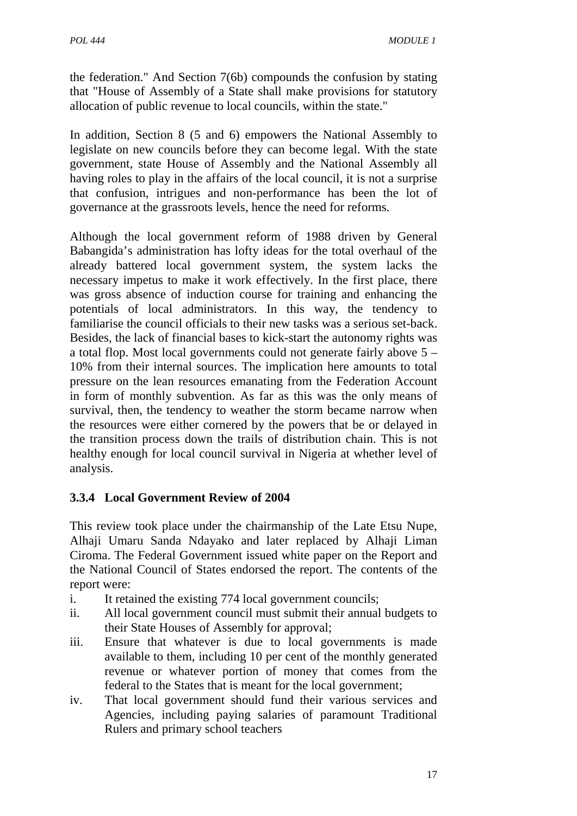the federation." And Section 7(6b) compounds the confusion by stating that "House of Assembly of a State shall make provisions for statutory allocation of public revenue to local councils, within the state."

In addition, Section 8 (5 and 6) empowers the National Assembly to legislate on new councils before they can become legal. With the state government, state House of Assembly and the National Assembly all having roles to play in the affairs of the local council, it is not a surprise that confusion, intrigues and non-performance has been the lot of governance at the grassroots levels, hence the need for reforms.

Although the local government reform of 1988 driven by General Babangida's administration has lofty ideas for the total overhaul of the already battered local government system, the system lacks the necessary impetus to make it work effectively. In the first place, there was gross absence of induction course for training and enhancing the potentials of local administrators. In this way, the tendency to familiarise the council officials to their new tasks was a serious set-back. Besides, the lack of financial bases to kick-start the autonomy rights was a total flop. Most local governments could not generate fairly above 5 – 10% from their internal sources. The implication here amounts to total pressure on the lean resources emanating from the Federation Account in form of monthly subvention. As far as this was the only means of survival, then, the tendency to weather the storm became narrow when the resources were either cornered by the powers that be or delayed in the transition process down the trails of distribution chain. This is not healthy enough for local council survival in Nigeria at whether level of analysis.

# **3.3.4 Local Government Review of 2004**

This review took place under the chairmanship of the Late Etsu Nupe, Alhaji Umaru Sanda Ndayako and later replaced by Alhaji Liman Ciroma. The Federal Government issued white paper on the Report and the National Council of States endorsed the report. The contents of the report were:

- i. It retained the existing 774 local government councils;
- ii. All local government council must submit their annual budgets to their State Houses of Assembly for approval;
- iii. Ensure that whatever is due to local governments is made available to them, including 10 per cent of the monthly generated revenue or whatever portion of money that comes from the federal to the States that is meant for the local government;
- iv. That local government should fund their various services and Agencies, including paying salaries of paramount Traditional Rulers and primary school teachers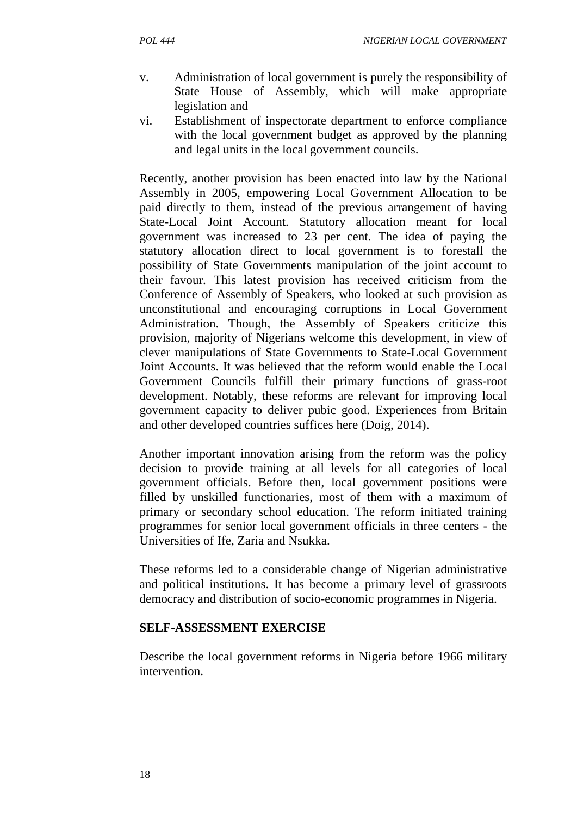- v. Administration of local government is purely the responsibility of State House of Assembly, which will make appropriate legislation and
- vi. Establishment of inspectorate department to enforce compliance with the local government budget as approved by the planning and legal units in the local government councils.

Recently, another provision has been enacted into law by the National Assembly in 2005, empowering Local Government Allocation to be paid directly to them, instead of the previous arrangement of having State-Local Joint Account. Statutory allocation meant for local government was increased to 23 per cent. The idea of paying the statutory allocation direct to local government is to forestall the possibility of State Governments manipulation of the joint account to their favour. This latest provision has received criticism from the Conference of Assembly of Speakers, who looked at such provision as unconstitutional and encouraging corruptions in Local Government Administration. Though, the Assembly of Speakers criticize this provision, majority of Nigerians welcome this development, in view of clever manipulations of State Governments to State-Local Government Joint Accounts. It was believed that the reform would enable the Local Government Councils fulfill their primary functions of grass-root development. Notably, these reforms are relevant for improving local government capacity to deliver pubic good. Experiences from Britain and other developed countries suffices here (Doig, 2014).

Another important innovation arising from the reform was the policy decision to provide training at all levels for all categories of local government officials. Before then, local government positions were filled by unskilled functionaries, most of them with a maximum of primary or secondary school education. The reform initiated training programmes for senior local government officials in three centers - the Universities of Ife, Zaria and Nsukka.

These reforms led to a considerable change of Nigerian administrative and political institutions. It has become a primary level of grassroots democracy and distribution of socio-economic programmes in Nigeria.

#### **SELF-ASSESSMENT EXERCISE**

Describe the local government reforms in Nigeria before 1966 military intervention.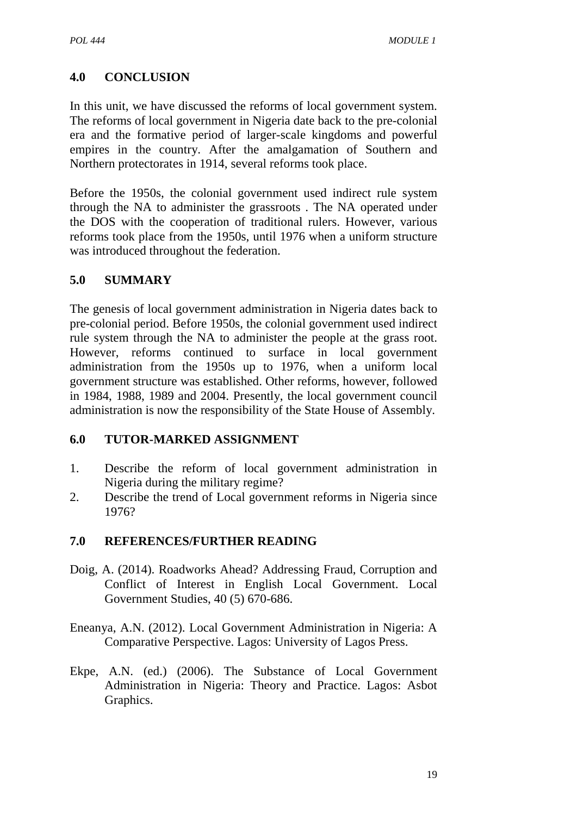# **4.0 CONCLUSION**

In this unit, we have discussed the reforms of local government system. The reforms of local government in Nigeria date back to the pre-colonial era and the formative period of larger-scale kingdoms and powerful empires in the country. After the amalgamation of Southern and Northern protectorates in 1914, several reforms took place.

Before the 1950s, the colonial government used indirect rule system through the NA to administer the grassroots . The NA operated under the DOS with the cooperation of traditional rulers. However, various reforms took place from the 1950s, until 1976 when a uniform structure was introduced throughout the federation.

### **5.0 SUMMARY**

The genesis of local government administration in Nigeria dates back to pre-colonial period. Before 1950s, the colonial government used indirect rule system through the NA to administer the people at the grass root. However, reforms continued to surface in local government administration from the 1950s up to 1976, when a uniform local government structure was established. Other reforms, however, followed in 1984, 1988, 1989 and 2004. Presently, the local government council administration is now the responsibility of the State House of Assembly.

### **6.0 TUTOR-MARKED ASSIGNMENT**

- 1. Describe the reform of local government administration in Nigeria during the military regime?
- 2. Describe the trend of Local government reforms in Nigeria since 1976?

- Doig, A. (2014). Roadworks Ahead? Addressing Fraud, Corruption and Conflict of Interest in English Local Government. Local Government Studies, 40 (5) 670-686.
- Eneanya, A.N. (2012). Local Government Administration in Nigeria: A Comparative Perspective. Lagos: University of Lagos Press.
- Ekpe, A.N. (ed.) (2006). The Substance of Local Government Administration in Nigeria: Theory and Practice. Lagos: Asbot Graphics.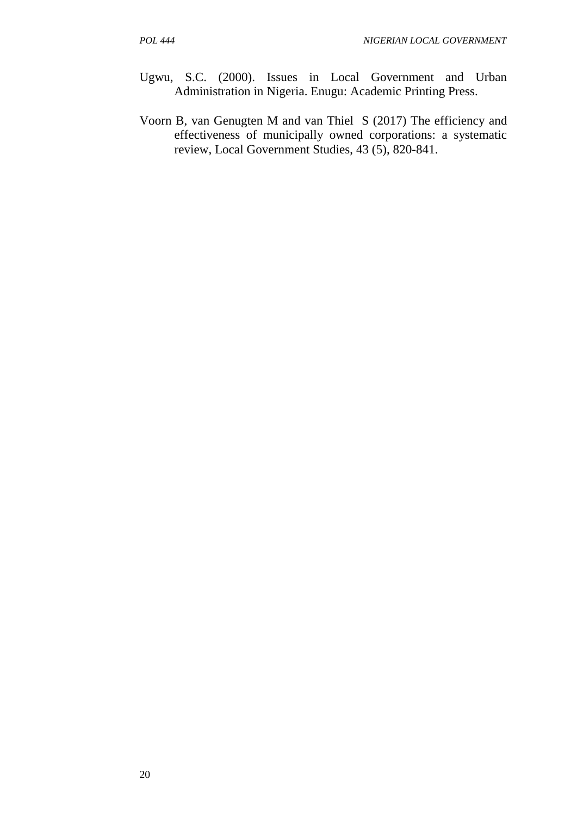- Ugwu, S.C. (2000). Issues in Local Government and Urban Administration in Nigeria. Enugu: Academic Printing Press.
- Voorn B, van Genugten M and van Thiel S (2017) The efficiency and effectiveness of municipally owned corporations: a systematic review, Local Government Studies, 43 (5), 820-841.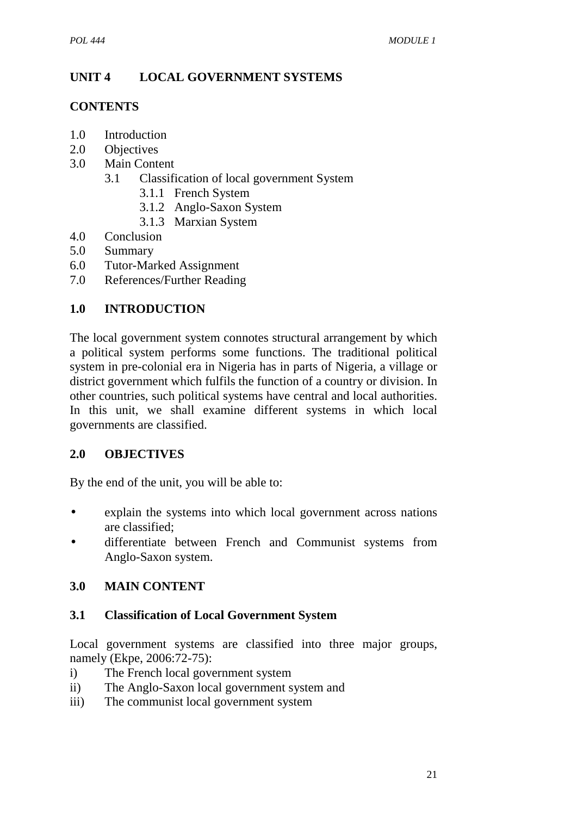# **UNIT 4 LOCAL GOVERNMENT SYSTEMS**

### **CONTENTS**

- 1.0 Introduction<br>2.0 Objectives
- **Objectives**
- 3.0 Main Content
	- 3.1 Classification of local government System
		- 3.1.1 French System
		- 3.1.2 Anglo-Saxon System
		- 3.1.3 Marxian System
- 4.0 Conclusion
- 5.0 Summary
- 6.0 Tutor-Marked Assignment
- 7.0 References/Further Reading

## **1.0 INTRODUCTION**

The local government system connotes structural arrangement by which a political system performs some functions. The traditional political system in pre-colonial era in Nigeria has in parts of Nigeria, a village or district government which fulfils the function of a country or division. In other countries, such political systems have central and local authorities. In this unit, we shall examine different systems in which local governments are classified.

## **2.0 OBJECTIVES**

By the end of the unit, you will be able to:

- explain the systems into which local government across nations are classified;
- differentiate between French and Communist systems from Anglo-Saxon system.

## **3.0 MAIN CONTENT**

### **3.1 Classification of Local Government System**

Local government systems are classified into three major groups, namely (Ekpe, 2006:72-75):

- i) The French local government system
- ii) The Anglo-Saxon local government system and
- iii) The communist local government system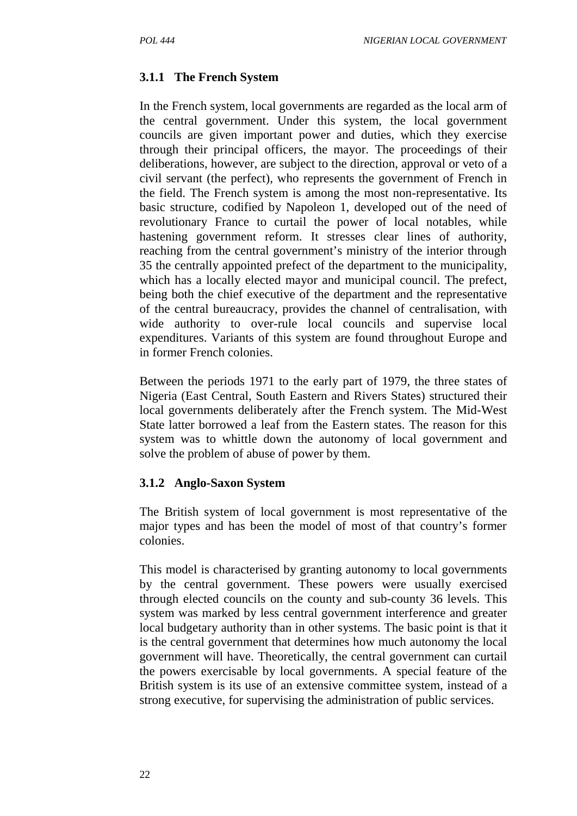### **3.1.1 The French System**

In the French system, local governments are regarded as the local arm of the central government. Under this system, the local government councils are given important power and duties, which they exercise through their principal officers, the mayor. The proceedings of their deliberations, however, are subject to the direction, approval or veto of a civil servant (the perfect), who represents the government of French in the field. The French system is among the most non-representative. Its basic structure, codified by Napoleon 1, developed out of the need of revolutionary France to curtail the power of local notables, while hastening government reform. It stresses clear lines of authority, reaching from the central government's ministry of the interior through 35 the centrally appointed prefect of the department to the municipality, which has a locally elected mayor and municipal council. The prefect, being both the chief executive of the department and the representative of the central bureaucracy, provides the channel of centralisation, with wide authority to over-rule local councils and supervise local expenditures. Variants of this system are found throughout Europe and in former French colonies.

Between the periods 1971 to the early part of 1979, the three states of Nigeria (East Central, South Eastern and Rivers States) structured their local governments deliberately after the French system. The Mid-West State latter borrowed a leaf from the Eastern states. The reason for this system was to whittle down the autonomy of local government and solve the problem of abuse of power by them.

### **3.1.2 Anglo-Saxon System**

The British system of local government is most representative of the major types and has been the model of most of that country's former colonies.

This model is characterised by granting autonomy to local governments by the central government. These powers were usually exercised through elected councils on the county and sub-county 36 levels. This system was marked by less central government interference and greater local budgetary authority than in other systems. The basic point is that it is the central government that determines how much autonomy the local government will have. Theoretically, the central government can curtail the powers exercisable by local governments. A special feature of the British system is its use of an extensive committee system, instead of a strong executive, for supervising the administration of public services.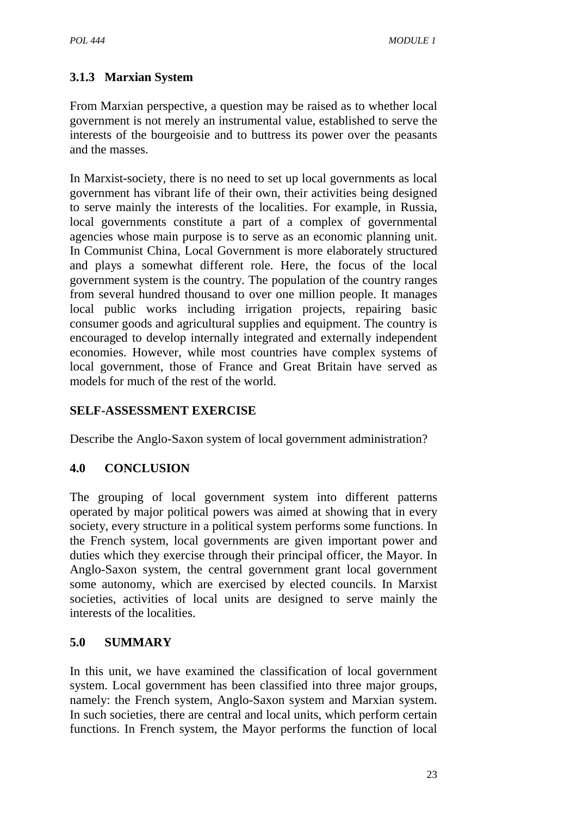# **3.1.3 Marxian System**

From Marxian perspective, a question may be raised as to whether local government is not merely an instrumental value, established to serve the interests of the bourgeoisie and to buttress its power over the peasants and the masses.

In Marxist-society, there is no need to set up local governments as local government has vibrant life of their own, their activities being designed to serve mainly the interests of the localities. For example, in Russia, local governments constitute a part of a complex of governmental agencies whose main purpose is to serve as an economic planning unit. In Communist China, Local Government is more elaborately structured and plays a somewhat different role. Here, the focus of the local government system is the country. The population of the country ranges from several hundred thousand to over one million people. It manages local public works including irrigation projects, repairing basic consumer goods and agricultural supplies and equipment. The country is encouraged to develop internally integrated and externally independent economies. However, while most countries have complex systems of local government, those of France and Great Britain have served as models for much of the rest of the world.

# **SELF-ASSESSMENT EXERCISE**

Describe the Anglo-Saxon system of local government administration?

## **4.0 CONCLUSION**

The grouping of local government system into different patterns operated by major political powers was aimed at showing that in every society, every structure in a political system performs some functions. In the French system, local governments are given important power and duties which they exercise through their principal officer, the Mayor. In Anglo-Saxon system, the central government grant local government some autonomy, which are exercised by elected councils. In Marxist societies, activities of local units are designed to serve mainly the interests of the localities.

## **5.0 SUMMARY**

In this unit, we have examined the classification of local government system. Local government has been classified into three major groups, namely: the French system, Anglo-Saxon system and Marxian system. In such societies, there are central and local units, which perform certain functions. In French system, the Mayor performs the function of local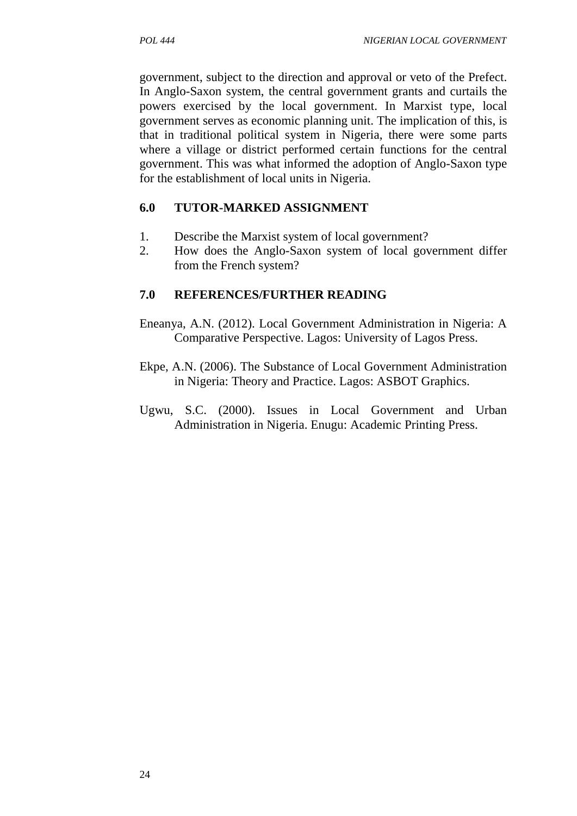government, subject to the direction and approval or veto of the Prefect. In Anglo-Saxon system, the central government grants and curtails the powers exercised by the local government. In Marxist type, local government serves as economic planning unit. The implication of this, is that in traditional political system in Nigeria, there were some parts where a village or district performed certain functions for the central government. This was what informed the adoption of Anglo-Saxon type for the establishment of local units in Nigeria.

## **6.0 TUTOR-MARKED ASSIGNMENT**

- 1. Describe the Marxist system of local government?
- 2. How does the Anglo-Saxon system of local government differ from the French system?

- Eneanya, A.N. (2012). Local Government Administration in Nigeria: A Comparative Perspective. Lagos: University of Lagos Press.
- Ekpe, A.N. (2006). The Substance of Local Government Administration in Nigeria: Theory and Practice. Lagos: ASBOT Graphics.
- Ugwu, S.C. (2000). Issues in Local Government and Urban Administration in Nigeria. Enugu: Academic Printing Press.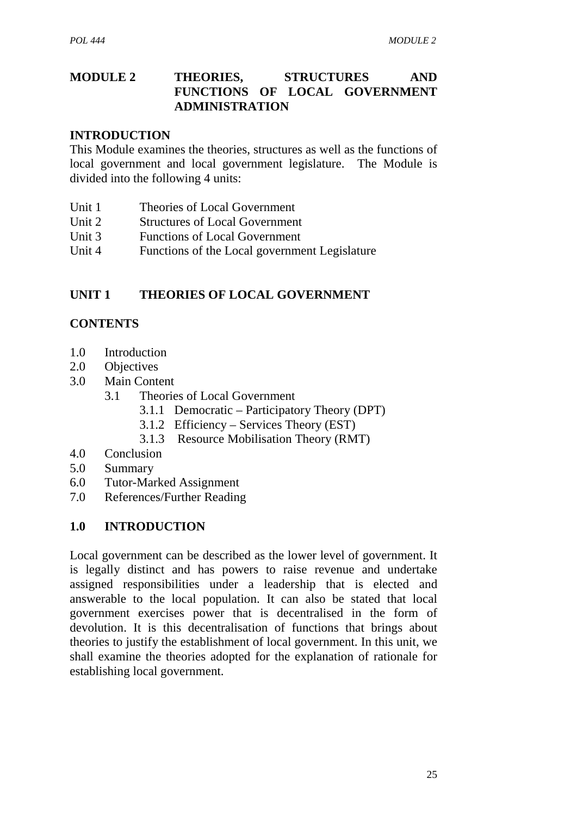### **MODULE 2 THEORIES, STRUCTURES AND FUNCTIONS OF LOCAL GOVERNMENT ADMINISTRATION**

#### **INTRODUCTION**

This Module examines the theories, structures as well as the functions of local government and local government legislature. The Module is divided into the following 4 units:

- Unit 1 Theories of Local Government
- Unit 2 Structures of Local Government
- Unit 3 Functions of Local Government
- Unit 4 Functions of the Local government Legislature

### **UNIT 1 THEORIES OF LOCAL GOVERNMENT**

### **CONTENTS**

- 1.0 Introduction
- 2.0 Objectives
- 3.0 Main Content
	- 3.1 Theories of Local Government
		- 3.1.1 Democratic Participatory Theory (DPT)
		- 3.1.2 Efficiency Services Theory (EST)
		- 3.1.3 Resource Mobilisation Theory (RMT)
- 4.0 Conclusion
- 5.0 Summary
- 6.0 Tutor-Marked Assignment
- 7.0 References/Further Reading

### **1.0 INTRODUCTION**

Local government can be described as the lower level of government. It is legally distinct and has powers to raise revenue and undertake assigned responsibilities under a leadership that is elected and answerable to the local population. It can also be stated that local government exercises power that is decentralised in the form of devolution. It is this decentralisation of functions that brings about theories to justify the establishment of local government. In this unit, we shall examine the theories adopted for the explanation of rationale for establishing local government.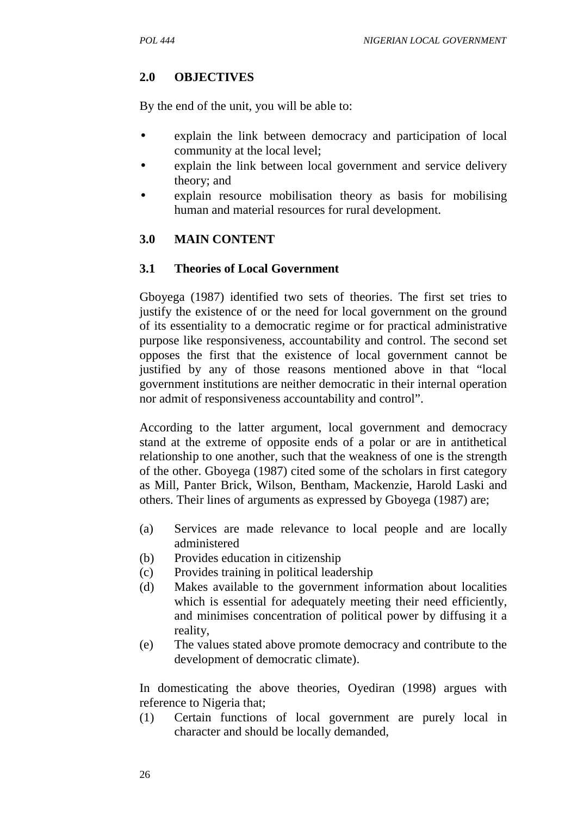# **2.0 OBJECTIVES**

By the end of the unit, you will be able to:

- explain the link between democracy and participation of local community at the local level;
- explain the link between local government and service delivery theory; and
- explain resource mobilisation theory as basis for mobilising human and material resources for rural development.

## **3.0 MAIN CONTENT**

## **3.1 Theories of Local Government**

Gboyega (1987) identified two sets of theories. The first set tries to justify the existence of or the need for local government on the ground of its essentiality to a democratic regime or for practical administrative purpose like responsiveness, accountability and control. The second set opposes the first that the existence of local government cannot be justified by any of those reasons mentioned above in that "local government institutions are neither democratic in their internal operation nor admit of responsiveness accountability and control".

According to the latter argument, local government and democracy stand at the extreme of opposite ends of a polar or are in antithetical relationship to one another, such that the weakness of one is the strength of the other. Gboyega (1987) cited some of the scholars in first category as Mill, Panter Brick, Wilson, Bentham, Mackenzie, Harold Laski and others. Their lines of arguments as expressed by Gboyega (1987) are;

- (a) Services are made relevance to local people and are locally administered
- (b) Provides education in citizenship
- (c) Provides training in political leadership
- (d) Makes available to the government information about localities which is essential for adequately meeting their need efficiently, and minimises concentration of political power by diffusing it a reality,
- (e) The values stated above promote democracy and contribute to the development of democratic climate).

In domesticating the above theories, Oyediran (1998) argues with reference to Nigeria that;

(1) Certain functions of local government are purely local in character and should be locally demanded,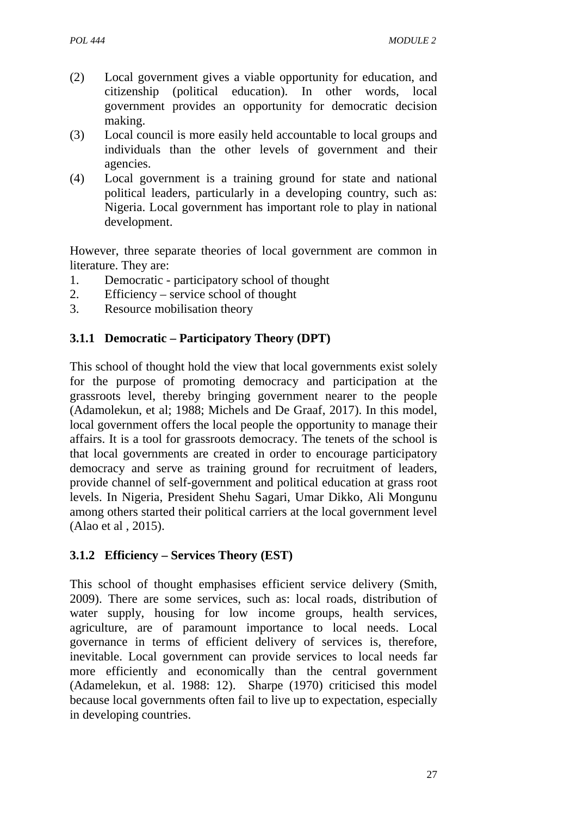- (2) Local government gives a viable opportunity for education, and citizenship (political education). In other words, local government provides an opportunity for democratic decision making.
- (3) Local council is more easily held accountable to local groups and individuals than the other levels of government and their agencies.
- (4) Local government is a training ground for state and national political leaders, particularly in a developing country, such as: Nigeria. Local government has important role to play in national development.

However, three separate theories of local government are common in literature. They are:

- 1. Democratic participatory school of thought
- 2. Efficiency service school of thought
- 3. Resource mobilisation theory

### **3.1.1 Democratic – Participatory Theory (DPT)**

This school of thought hold the view that local governments exist solely for the purpose of promoting democracy and participation at the grassroots level, thereby bringing government nearer to the people (Adamolekun, et al; 1988; Michels and De Graaf, 2017). In this model, local government offers the local people the opportunity to manage their affairs. It is a tool for grassroots democracy. The tenets of the school is that local governments are created in order to encourage participatory democracy and serve as training ground for recruitment of leaders, provide channel of self-government and political education at grass root levels. In Nigeria, President Shehu Sagari, Umar Dikko, Ali Mongunu among others started their political carriers at the local government level (Alao et al , 2015).

### **3.1.2 Efficiency – Services Theory (EST)**

This school of thought emphasises efficient service delivery (Smith, 2009). There are some services, such as: local roads, distribution of water supply, housing for low income groups, health services, agriculture, are of paramount importance to local needs. Local governance in terms of efficient delivery of services is, therefore, inevitable. Local government can provide services to local needs far more efficiently and economically than the central government (Adamelekun, et al. 1988: 12). Sharpe (1970) criticised this model because local governments often fail to live up to expectation, especially in developing countries.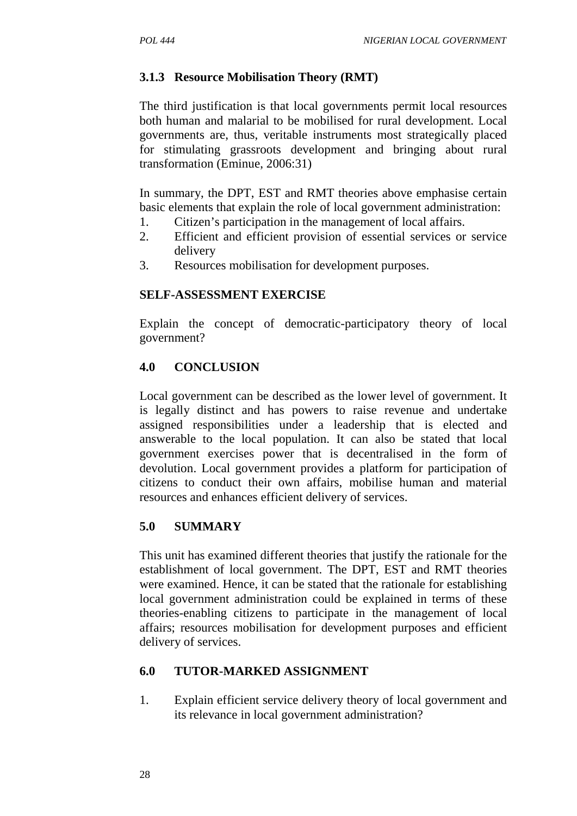### **3.1.3 Resource Mobilisation Theory (RMT)**

The third justification is that local governments permit local resources both human and malarial to be mobilised for rural development. Local governments are, thus, veritable instruments most strategically placed for stimulating grassroots development and bringing about rural transformation (Eminue, 2006:31)

In summary, the DPT, EST and RMT theories above emphasise certain basic elements that explain the role of local government administration:

- 1. Citizen's participation in the management of local affairs.
- 2. Efficient and efficient provision of essential services or service delivery
- 3. Resources mobilisation for development purposes.

#### **SELF-ASSESSMENT EXERCISE**

Explain the concept of democratic-participatory theory of local government?

### **4.0 CONCLUSION**

Local government can be described as the lower level of government. It is legally distinct and has powers to raise revenue and undertake assigned responsibilities under a leadership that is elected and answerable to the local population. It can also be stated that local government exercises power that is decentralised in the form of devolution. Local government provides a platform for participation of citizens to conduct their own affairs, mobilise human and material resources and enhances efficient delivery of services.

#### **5.0 SUMMARY**

This unit has examined different theories that justify the rationale for the establishment of local government. The DPT, EST and RMT theories were examined. Hence, it can be stated that the rationale for establishing local government administration could be explained in terms of these theories-enabling citizens to participate in the management of local affairs; resources mobilisation for development purposes and efficient delivery of services.

#### **6.0 TUTOR-MARKED ASSIGNMENT**

1. Explain efficient service delivery theory of local government and its relevance in local government administration?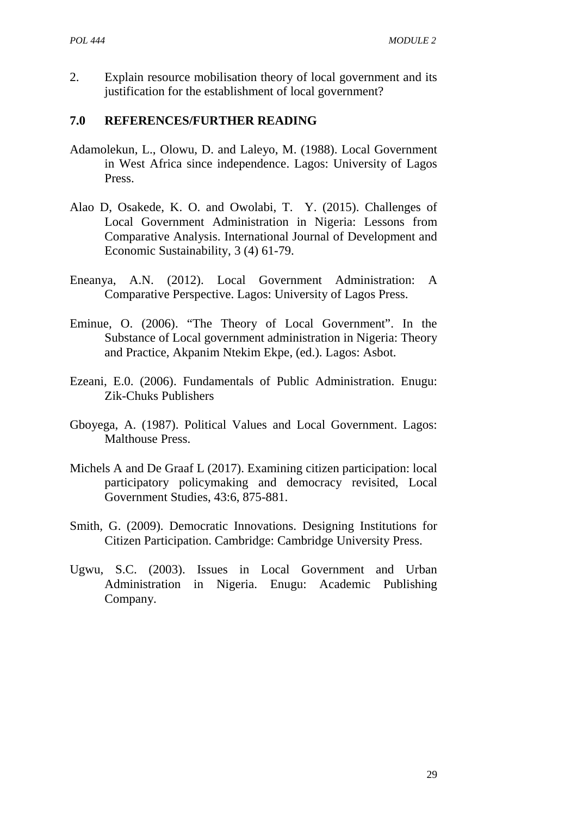2. Explain resource mobilisation theory of local government and its justification for the establishment of local government?

- Adamolekun, L., Olowu, D. and Laleyo, M. (1988). Local Government in West Africa since independence. Lagos: University of Lagos Press.
- Alao D, Osakede, K. O. and Owolabi, T. Y. (2015). Challenges of Local Government Administration in Nigeria: Lessons from Comparative Analysis. International Journal of Development and Economic Sustainability, 3 (4) 61-79.
- Eneanya, A.N. (2012). Local Government Administration: A Comparative Perspective. Lagos: University of Lagos Press.
- Eminue, O. (2006). "The Theory of Local Government". In the Substance of Local government administration in Nigeria: Theory and Practice, Akpanim Ntekim Ekpe, (ed.). Lagos: Asbot.
- Ezeani, E.0. (2006). Fundamentals of Public Administration. Enugu: Zik-Chuks Publishers
- Gboyega, A. (1987). Political Values and Local Government. Lagos: Malthouse Press.
- Michels A and De Graaf L (2017). Examining citizen participation: local participatory policymaking and democracy revisited, Local Government Studies, 43:6, 875-881.
- Smith, G. (2009). Democratic Innovations. Designing Institutions for Citizen Participation. Cambridge: Cambridge University Press.
- Ugwu, S.C. (2003). Issues in Local Government and Urban Administration in Nigeria. Enugu: Academic Publishing Company.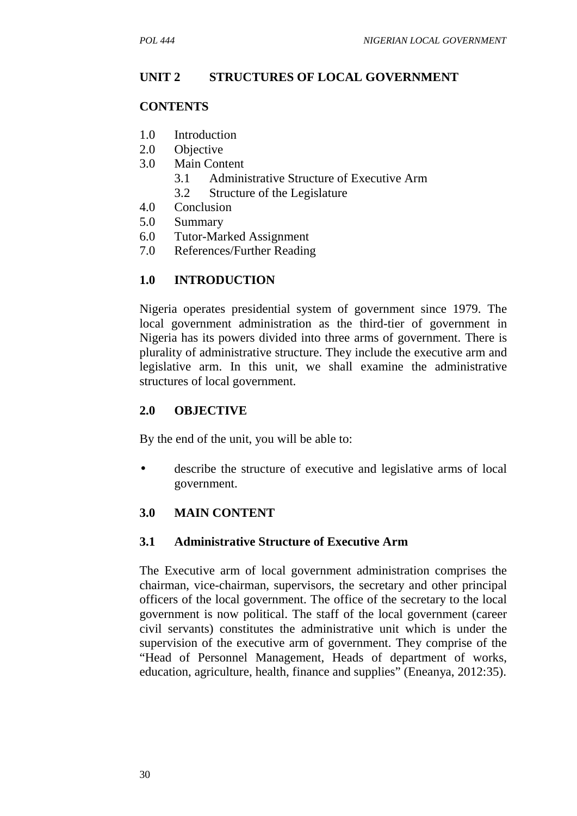#### **UNIT 2 STRUCTURES OF LOCAL GOVERNMENT**

#### **CONTENTS**

- 1.0 Introduction
- 2.0 Objective
- 3.0 Main Content
	- 3.1 Administrative Structure of Executive Arm
	- 3.2 Structure of the Legislature
- 4.0 Conclusion
- 5.0 Summary
- 6.0 Tutor-Marked Assignment
- 7.0 References/Further Reading

### **1.0 INTRODUCTION**

Nigeria operates presidential system of government since 1979. The local government administration as the third-tier of government in Nigeria has its powers divided into three arms of government. There is plurality of administrative structure. They include the executive arm and legislative arm. In this unit, we shall examine the administrative structures of local government.

#### **2.0 OBJECTIVE**

By the end of the unit, you will be able to:

 describe the structure of executive and legislative arms of local government.

#### **3.0 MAIN CONTENT**

#### **3.1 Administrative Structure of Executive Arm**

The Executive arm of local government administration comprises the chairman, vice-chairman, supervisors, the secretary and other principal officers of the local government. The office of the secretary to the local government is now political. The staff of the local government (career civil servants) constitutes the administrative unit which is under the supervision of the executive arm of government. They comprise of the "Head of Personnel Management, Heads of department of works, education, agriculture, health, finance and supplies" (Eneanya, 2012:35).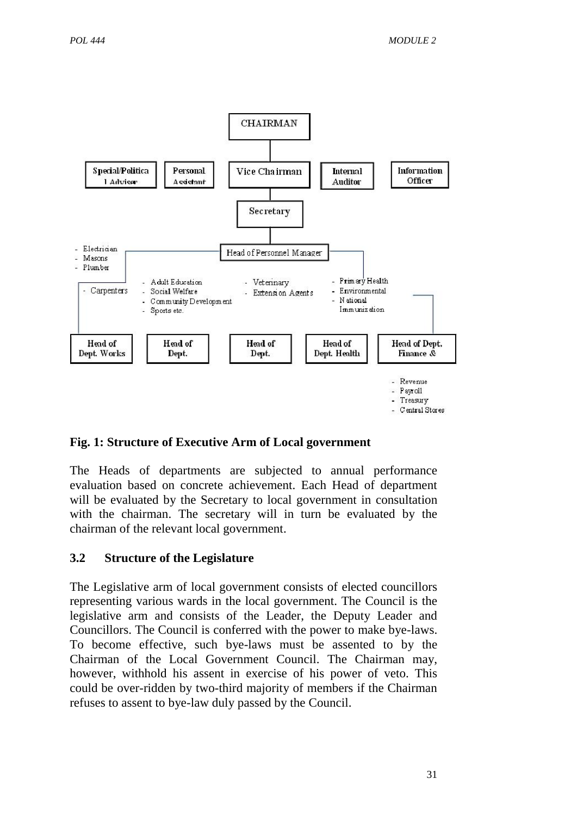

### **Fig. 1: Structure of Executive Arm of Local government**

The Heads of departments are subjected to annual performance evaluation based on concrete achievement. Each Head of department will be evaluated by the Secretary to local government in consultation with the chairman. The secretary will in turn be evaluated by the chairman of the relevant local government.

### **3.2 Structure of the Legislature**

The Legislative arm of local government consists of elected councillors representing various wards in the local government. The Council is the legislative arm and consists of the Leader, the Deputy Leader and Councillors. The Council is conferred with the power to make bye-laws. To become effective, such bye-laws must be assented to by the Chairman of the Local Government Council. The Chairman may, however, withhold his assent in exercise of his power of veto. This could be over-ridden by two-third majority of members if the Chairman refuses to assent to bye-law duly passed by the Council.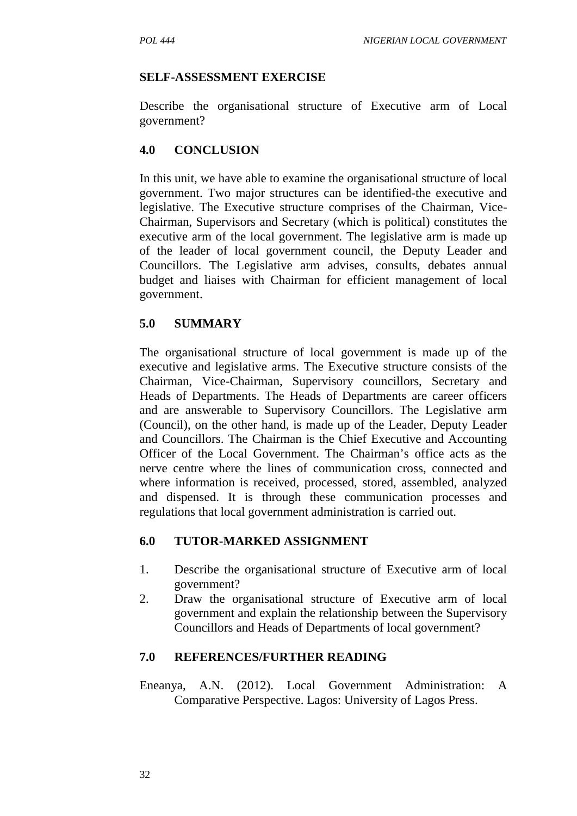#### **SELF-ASSESSMENT EXERCISE**

Describe the organisational structure of Executive arm of Local government?

#### **4.0 CONCLUSION**

In this unit, we have able to examine the organisational structure of local government. Two major structures can be identified-the executive and legislative. The Executive structure comprises of the Chairman, Vice- Chairman, Supervisors and Secretary (which is political) constitutes the executive arm of the local government. The legislative arm is made up of the leader of local government council, the Deputy Leader and Councillors. The Legislative arm advises, consults, debates annual budget and liaises with Chairman for efficient management of local government.

### **5.0 SUMMARY**

The organisational structure of local government is made up of the executive and legislative arms. The Executive structure consists of the Chairman, Vice-Chairman, Supervisory councillors, Secretary and Heads of Departments. The Heads of Departments are career officers and are answerable to Supervisory Councillors. The Legislative arm (Council), on the other hand, is made up of the Leader, Deputy Leader and Councillors. The Chairman is the Chief Executive and Accounting Officer of the Local Government. The Chairman's office acts as the nerve centre where the lines of communication cross, connected and where information is received, processed, stored, assembled, analyzed and dispensed. It is through these communication processes and regulations that local government administration is carried out.

### **6.0 TUTOR-MARKED ASSIGNMENT**

- 1. Describe the organisational structure of Executive arm of local government?
- 2. Draw the organisational structure of Executive arm of local government and explain the relationship between the Supervisory Councillors and Heads of Departments of local government?

### **7.0 REFERENCES/FURTHER READING**

Eneanya, A.N. (2012). Local Government Administration: A Comparative Perspective. Lagos: University of Lagos Press.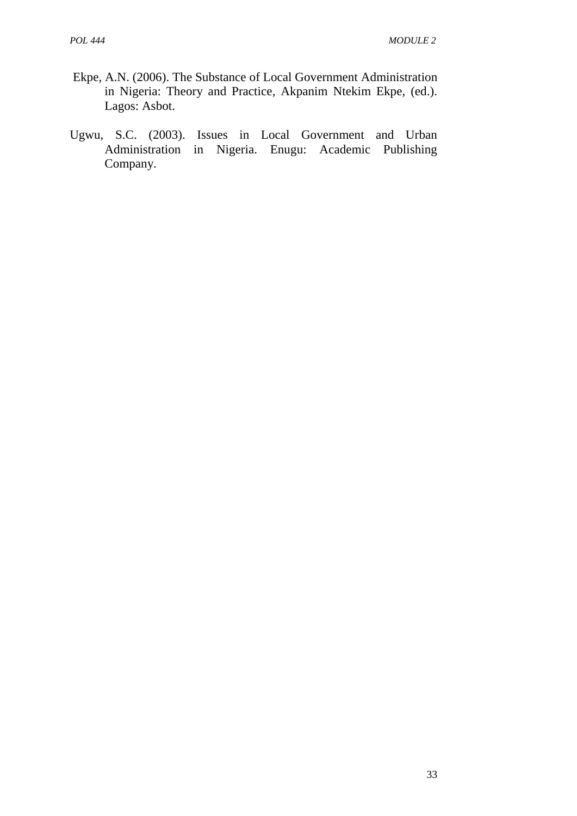- Ekpe, A.N. (2006). The Substance of Local Government Administration in Nigeria: Theory and Practice, Akpanim Ntekim Ekpe, (ed.). Lagos: Asbot.
- Ugwu, S.C. (2003). Issues in Local Government and Urban Administration in Nigeria. Enugu: Academic Publishing Company.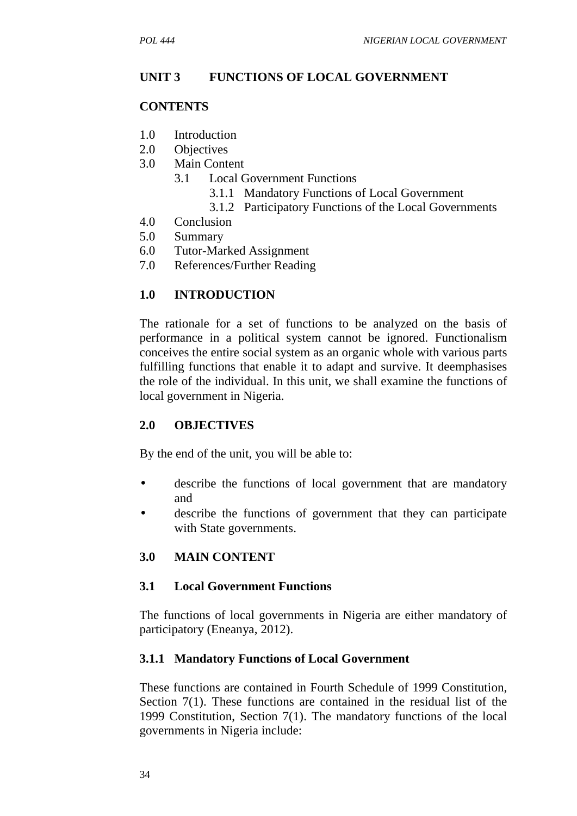#### **UNIT 3 FUNCTIONS OF LOCAL GOVERNMENT**

#### **CONTENTS**

- 1.0 Introduction
- 2.0 Objectives
- 3.0 Main Content
	- 3.1 Local Government Functions
		- 3.1.1 Mandatory Functions of Local Government
		- 3.1.2 Participatory Functions of the Local Governments
- 4.0 Conclusion
- 5.0 Summary
- 6.0 Tutor-Marked Assignment
- 7.0 References/Further Reading

### **1.0 INTRODUCTION**

The rationale for a set of functions to be analyzed on the basis of performance in a political system cannot be ignored. Functionalism conceives the entire social system as an organic whole with various parts fulfilling functions that enable it to adapt and survive. It deemphasises the role of the individual. In this unit, we shall examine the functions of local government in Nigeria.

#### **2.0 OBJECTIVES**

By the end of the unit, you will be able to:

- describe the functions of local government that are mandatory and
- describe the functions of government that they can participate with State governments.

### **3.0 MAIN CONTENT**

#### **3.1 Local Government Functions**

The functions of local governments in Nigeria are either mandatory of participatory (Eneanya, 2012).

#### **3.1.1 Mandatory Functions of Local Government**

These functions are contained in Fourth Schedule of 1999 Constitution, Section 7(1). These functions are contained in the residual list of the 1999 Constitution, Section 7(1). The mandatory functions of the local governments in Nigeria include: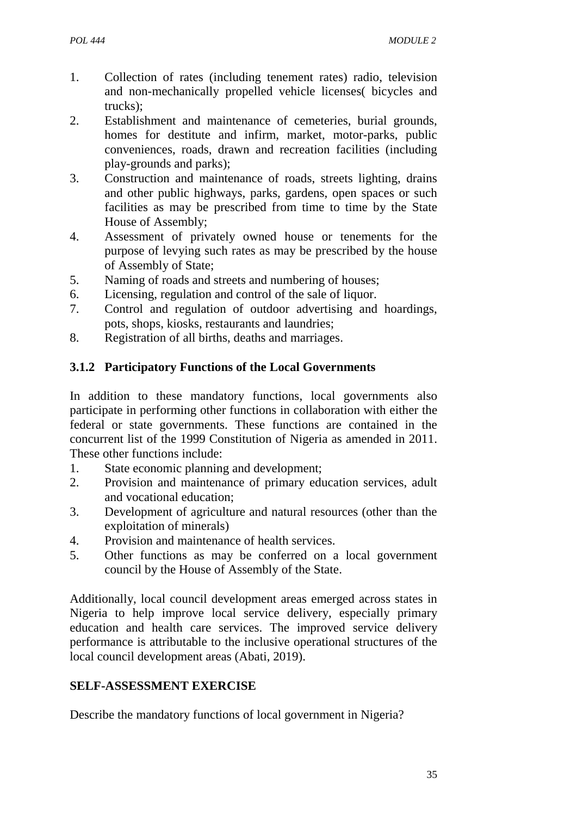- 1. Collection of rates (including tenement rates) radio, television and non-mechanically propelled vehicle licenses( bicycles and trucks);
- 2. Establishment and maintenance of cemeteries, burial grounds, homes for destitute and infirm, market, motor-parks, public conveniences, roads, drawn and recreation facilities (including play-grounds and parks);
- 3. Construction and maintenance of roads, streets lighting, drains and other public highways, parks, gardens, open spaces or such facilities as may be prescribed from time to time by the State House of Assembly;
- 4. Assessment of privately owned house or tenements for the purpose of levying such rates as may be prescribed by the house of Assembly of State;
- 5. Naming of roads and streets and numbering of houses;
- 6. Licensing, regulation and control of the sale of liquor.
- 7. Control and regulation of outdoor advertising and hoardings, pots, shops, kiosks, restaurants and laundries;
- 8. Registration of all births, deaths and marriages.

## **3.1.2 Participatory Functions of the Local Governments**

In addition to these mandatory functions, local governments also participate in performing other functions in collaboration with either the federal or state governments. These functions are contained in the concurrent list of the 1999 Constitution of Nigeria as amended in 2011. These other functions include:

- 1. State economic planning and development;
- 2. Provision and maintenance of primary education services, adult and vocational education;
- 3. Development of agriculture and natural resources (other than the exploitation of minerals)
- 4. Provision and maintenance of health services.
- 5. Other functions as may be conferred on a local government council by the House of Assembly of the State.

Additionally, local council development areas emerged across states in Nigeria to help improve local service delivery, especially primary education and health care services. The improved service delivery performance is attributable to the inclusive operational structures of the local council development areas (Abati, 2019).

## **SELF-ASSESSMENT EXERCISE**

Describe the mandatory functions of local government in Nigeria?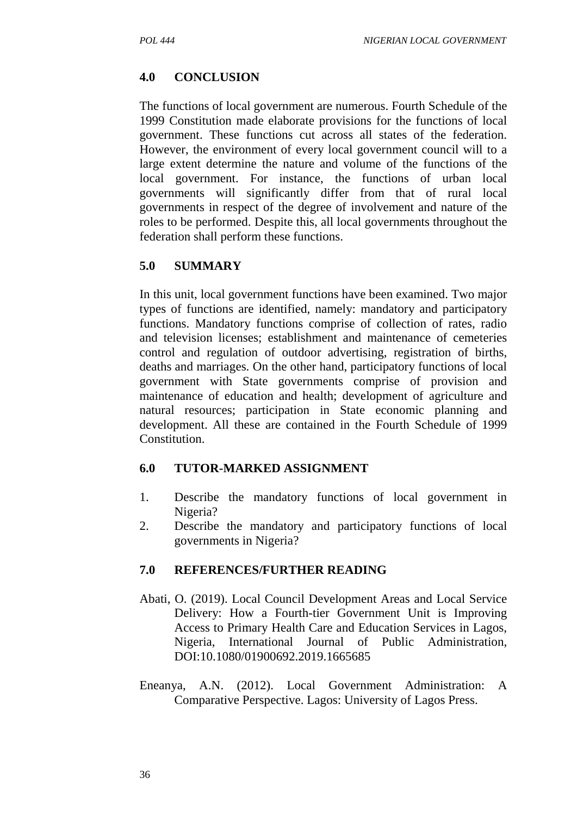## **4.0 CONCLUSION**

The functions of local government are numerous. Fourth Schedule of the 1999 Constitution made elaborate provisions for the functions of local government. These functions cut across all states of the federation. However, the environment of every local government council will to a large extent determine the nature and volume of the functions of the local government. For instance, the functions of urban local governments will significantly differ from that of rural local governments in respect of the degree of involvement and nature of the roles to be performed. Despite this, all local governments throughout the federation shall perform these functions.

## **5.0 SUMMARY**

In this unit, local government functions have been examined. Two major types of functions are identified, namely: mandatory and participatory functions. Mandatory functions comprise of collection of rates, radio and television licenses; establishment and maintenance of cemeteries control and regulation of outdoor advertising, registration of births, deaths and marriages. On the other hand, participatory functions of local government with State governments comprise of provision and maintenance of education and health; development of agriculture and natural resources; participation in State economic planning and development. All these are contained in the Fourth Schedule of 1999 Constitution.

### **6.0 TUTOR-MARKED ASSIGNMENT**

- 1. Describe the mandatory functions of local government in Nigeria?
- 2. Describe the mandatory and participatory functions of local governments in Nigeria?

- Abati, O. (2019). Local Council Development Areas and Local Service Delivery: How a Fourth-tier Government Unit is Improving Access to Primary Health Care and Education Services in Lagos, Nigeria, International Journal of Public Administration, DOI:10.1080/01900692.2019.1665685
- Eneanya, A.N. (2012). Local Government Administration: A Comparative Perspective. Lagos: University of Lagos Press.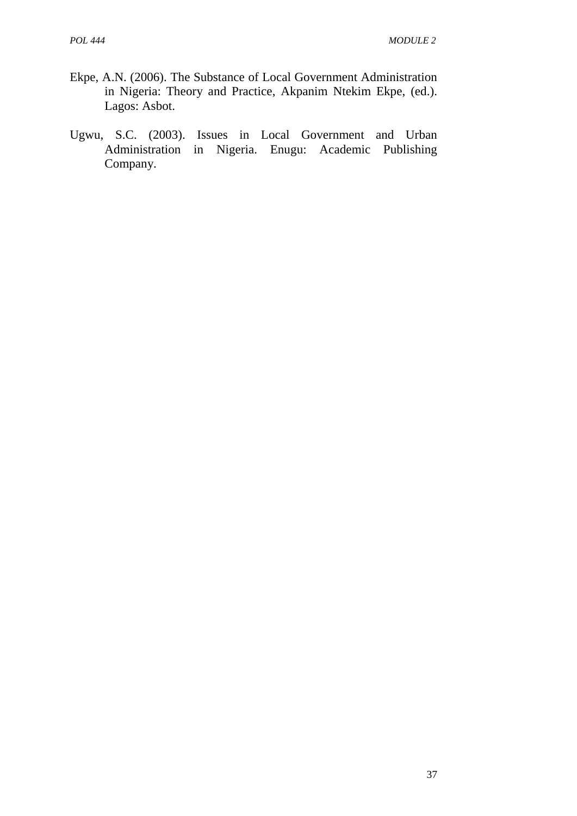- Ekpe, A.N. (2006). The Substance of Local Government Administration in Nigeria: Theory and Practice, Akpanim Ntekim Ekpe, (ed.). Lagos: Asbot.
- Ugwu, S.C. (2003). Issues in Local Government and Urban Administration in Nigeria. Enugu: Academic Publishing Company.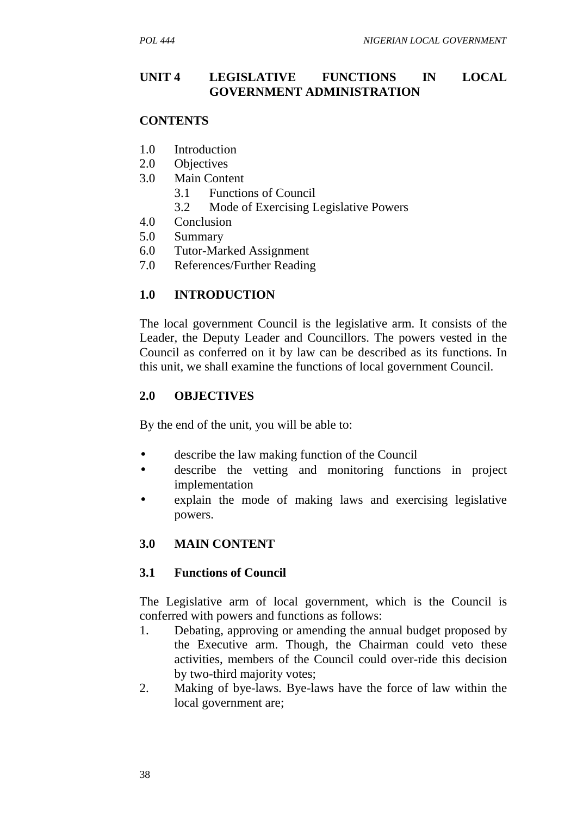#### **UNIT 4 LEGISLATIVE FUNCTIONS IN LOCAL GOVERNMENT ADMINISTRATION**

#### **CONTENTS**

- 1.0 Introduction
- 2.0 Objectives
- 3.0 Main Content
	- 3.1 Functions of Council
	- 3.2 Mode of Exercising Legislative Powers
- 4.0 Conclusion
- 5.0 Summary
- 6.0 Tutor-Marked Assignment
- 7.0 References/Further Reading

#### **1.0 INTRODUCTION**

The local government Council is the legislative arm. It consists of the Leader, the Deputy Leader and Councillors. The powers vested in the Council as conferred on it by law can be described as its functions. In this unit, we shall examine the functions of local government Council.

#### **2.0 OBJECTIVES**

By the end of the unit, you will be able to:

- describe the law making function of the Council
- describe the vetting and monitoring functions in project implementation
- explain the mode of making laws and exercising legislative powers.

### **3.0 MAIN CONTENT**

#### **3.1 Functions of Council**

The Legislative arm of local government, which is the Council is conferred with powers and functions as follows:

- 1. Debating, approving or amending the annual budget proposed by the Executive arm. Though, the Chairman could veto these activities, members of the Council could over-ride this decision by two-third majority votes;
- 2. Making of bye-laws. Bye-laws have the force of law within the local government are;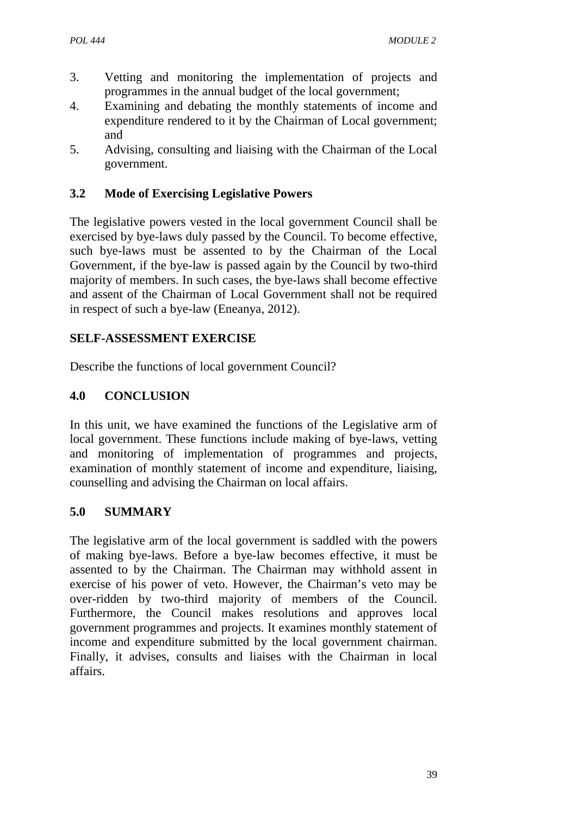- 3. Vetting and monitoring the implementation of projects and programmes in the annual budget of the local government;
- 4. Examining and debating the monthly statements of income and expenditure rendered to it by the Chairman of Local government; and
- 5. Advising, consulting and liaising with the Chairman of the Local government.

## **3.2 Mode of Exercising Legislative Powers**

The legislative powers vested in the local government Council shall be exercised by bye-laws duly passed by the Council. To become effective, such bye-laws must be assented to by the Chairman of the Local Government, if the bye-law is passed again by the Council by two-third majority of members. In such cases, the bye-laws shall become effective and assent of the Chairman of Local Government shall not be required in respect of such a bye-law (Eneanya, 2012).

### **SELF-ASSESSMENT EXERCISE**

Describe the functions of local government Council?

### **4.0 CONCLUSION**

In this unit, we have examined the functions of the Legislative arm of local government. These functions include making of bye-laws, vetting and monitoring of implementation of programmes and projects, examination of monthly statement of income and expenditure, liaising, counselling and advising the Chairman on local affairs.

### **5.0 SUMMARY**

The legislative arm of the local government is saddled with the powers of making bye-laws. Before a bye-law becomes effective, it must be assented to by the Chairman. The Chairman may withhold assent in exercise of his power of veto. However, the Chairman's veto may be over-ridden by two-third majority of members of the Council. Furthermore, the Council makes resolutions and approves local government programmes and projects. It examines monthly statement of income and expenditure submitted by the local government chairman. Finally, it advises, consults and liaises with the Chairman in local affairs.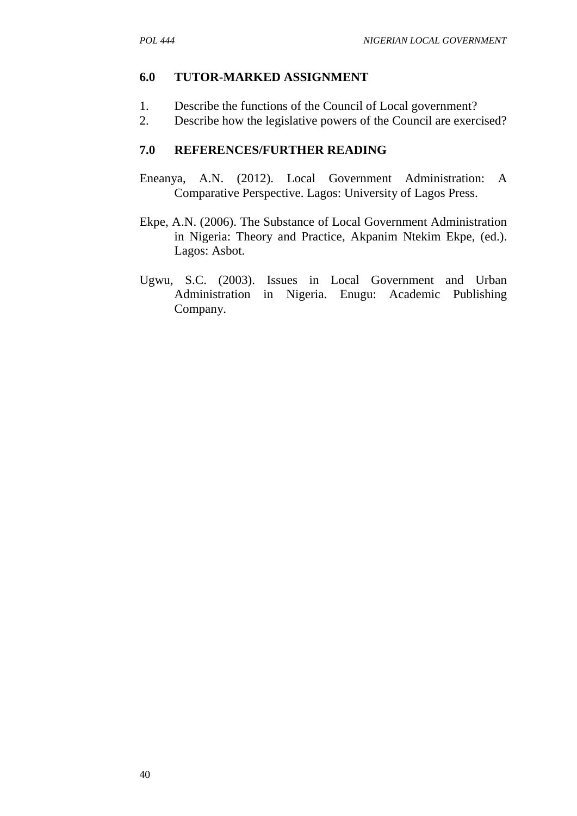#### **6.0 TUTOR-MARKED ASSIGNMENT**

- 1. Describe the functions of the Council of Local government?
- 2. Describe how the legislative powers of the Council are exercised?

- Eneanya, A.N. (2012). Local Government Administration: A Comparative Perspective. Lagos: University of Lagos Press.
- Ekpe, A.N. (2006). The Substance of Local Government Administration in Nigeria: Theory and Practice, Akpanim Ntekim Ekpe, (ed.). Lagos: Asbot.
- Ugwu, S.C. (2003). Issues in Local Government and Urban Administration in Nigeria. Enugu: Academic Publishing Company.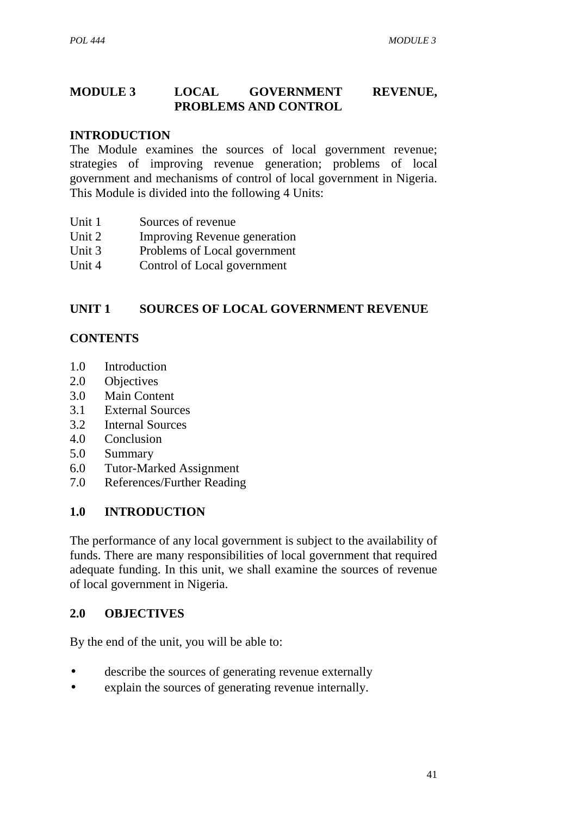### **MODULE 3 LOCAL GOVERNMENT REVENUE, PROBLEMS AND CONTROL**

#### **INTRODUCTION**

The Module examines the sources of local government revenue; strategies of improving revenue generation; problems of local government and mechanisms of control of local government in Nigeria. This Module is divided into the following 4 Units:

- Unit 1 Sources of revenue
- Unit 2 Improving Revenue generation
- Unit 3 Problems of Local government
- Unit 4 Control of Local government

#### **UNIT 1 SOURCES OF LOCAL GOVERNMENT REVENUE**

#### **CONTENTS**

- 1.0 Introduction
- 2.0 Objectives
- 3.0 Main Content
- 3.1 External Sources
- 3.2 Internal Sources
- 4.0 Conclusion
- 5.0 Summary
- 6.0 Tutor-Marked Assignment
- 7.0 References/Further Reading

#### **1.0 INTRODUCTION**

The performance of any local government is subject to the availability of funds. There are many responsibilities of local government that required adequate funding. In this unit, we shall examine the sources of revenue of local government in Nigeria.

#### **2.0 OBJECTIVES**

By the end of the unit, you will be able to:

- describe the sources of generating revenue externally
- explain the sources of generating revenue internally.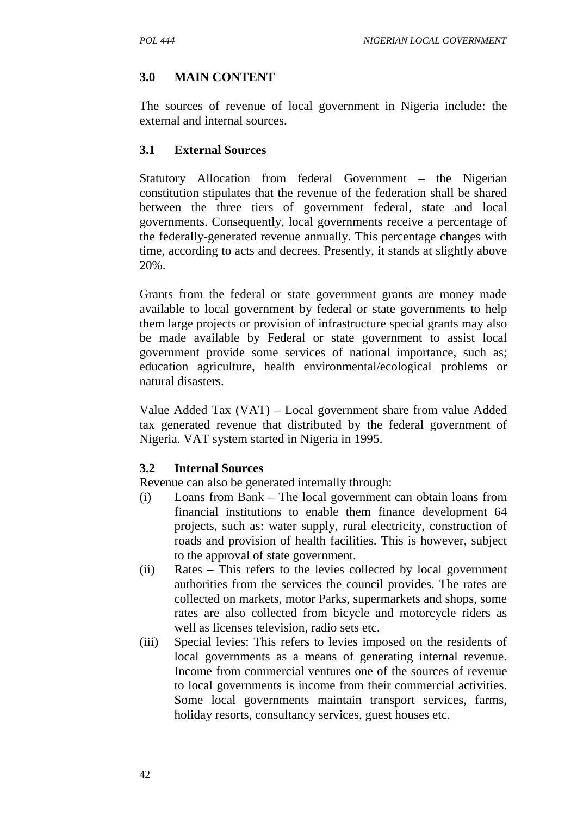# **3.0 MAIN CONTENT**

The sources of revenue of local government in Nigeria include: the external and internal sources.

### **3.1 External Sources**

Statutory Allocation from federal Government – the Nigerian constitution stipulates that the revenue of the federation shall be shared between the three tiers of government federal, state and local governments. Consequently, local governments receive a percentage of the federally-generated revenue annually. This percentage changes with time, according to acts and decrees. Presently, it stands at slightly above 20%.

Grants from the federal or state government grants are money made available to local government by federal or state governments to help them large projects or provision of infrastructure special grants may also be made available by Federal or state government to assist local government provide some services of national importance, such as; education agriculture, health environmental/ecological problems or natural disasters.

Value Added Tax (VAT) – Local government share from value Added tax generated revenue that distributed by the federal government of Nigeria. VAT system started in Nigeria in 1995.

### **3.2 Internal Sources**

Revenue can also be generated internally through:

- (i) Loans from Bank The local government can obtain loans from financial institutions to enable them finance development 64 projects, such as: water supply, rural electricity, construction of roads and provision of health facilities. This is however, subject to the approval of state government.
- (ii) Rates This refers to the levies collected by local government authorities from the services the council provides. The rates are collected on markets, motor Parks, supermarkets and shops, some rates are also collected from bicycle and motorcycle riders as well as licenses television, radio sets etc.
- (iii) Special levies: This refers to levies imposed on the residents of local governments as a means of generating internal revenue. Income from commercial ventures one of the sources of revenue to local governments is income from their commercial activities. Some local governments maintain transport services, farms, holiday resorts, consultancy services, guest houses etc.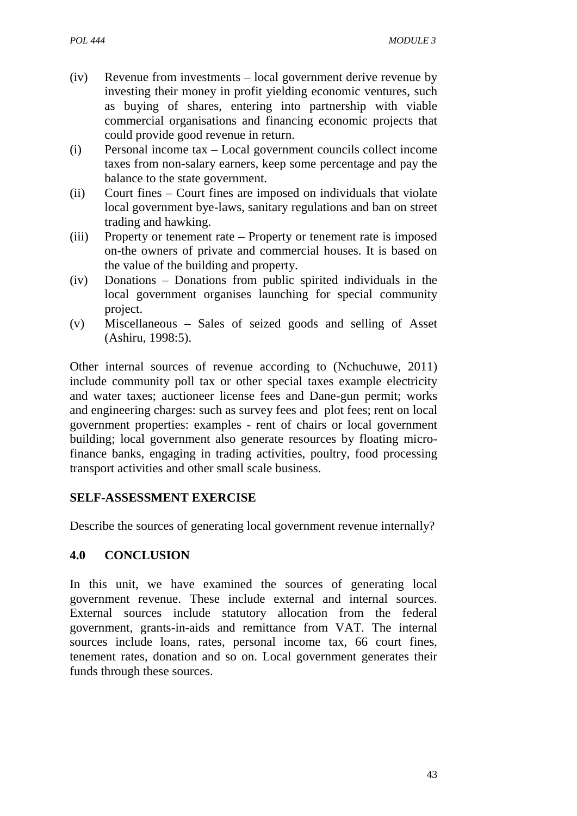- (iv) Revenue from investments local government derive revenue by investing their money in profit yielding economic ventures, such as buying of shares, entering into partnership with viable commercial organisations and financing economic projects that could provide good revenue in return.
- (i) Personal income tax Local government councils collect income taxes from non-salary earners, keep some percentage and pay the balance to the state government.
- (ii) Court fines Court fines are imposed on individuals that violate local government bye-laws, sanitary regulations and ban on street trading and hawking.
- (iii) Property or tenement rate Property or tenement rate is imposed on-the owners of private and commercial houses. It is based on the value of the building and property.
- (iv) Donations Donations from public spirited individuals in the local government organises launching for special community project.
- (v) Miscellaneous Sales of seized goods and selling of Asset (Ashiru, 1998:5).

Other internal sources of revenue according to (Nchuchuwe, 2011) include community poll tax or other special taxes example electricity and water taxes; auctioneer license fees and Dane-gun permit; works and engineering charges: such as survey fees and plot fees; rent on local government properties: examples - rent of chairs or local government building; local government also generate resources by floating microfinance banks, engaging in trading activities, poultry, food processing transport activities and other small scale business.

### **SELF-ASSESSMENT EXERCISE**

Describe the sources of generating local government revenue internally?

## **4.0 CONCLUSION**

In this unit, we have examined the sources of generating local government revenue. These include external and internal sources. External sources include statutory allocation from the federal government, grants-in-aids and remittance from VAT. The internal sources include loans, rates, personal income tax, 66 court fines, tenement rates, donation and so on. Local government generates their funds through these sources.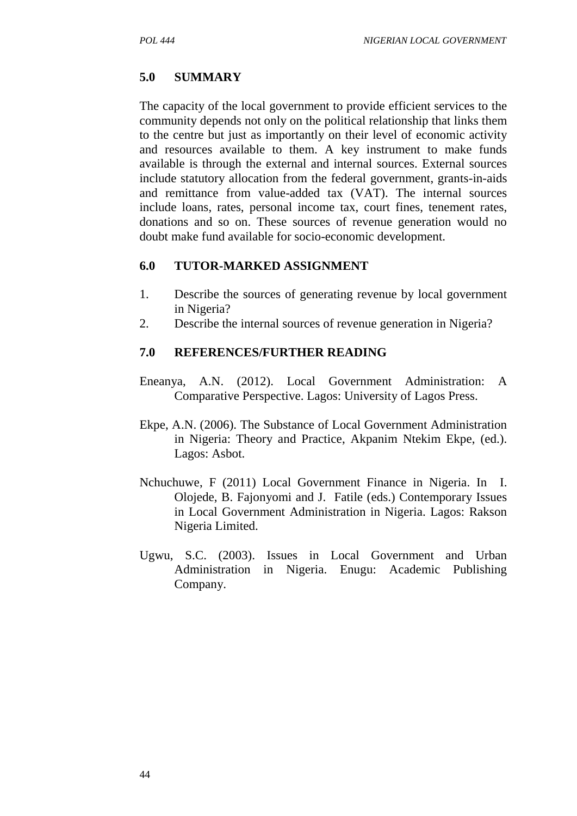### **5.0 SUMMARY**

The capacity of the local government to provide efficient services to the community depends not only on the political relationship that links them to the centre but just as importantly on their level of economic activity and resources available to them. A key instrument to make funds available is through the external and internal sources. External sources include statutory allocation from the federal government, grants-in-aids and remittance from value-added tax (VAT). The internal sources include loans, rates, personal income tax, court fines, tenement rates, donations and so on. These sources of revenue generation would no doubt make fund available for socio-economic development.

### **6.0 TUTOR-MARKED ASSIGNMENT**

- 1. Describe the sources of generating revenue by local government in Nigeria?
- 2. Describe the internal sources of revenue generation in Nigeria?

- Eneanya, A.N. (2012). Local Government Administration: A Comparative Perspective. Lagos: University of Lagos Press.
- Ekpe, A.N. (2006). The Substance of Local Government Administration in Nigeria: Theory and Practice, Akpanim Ntekim Ekpe, (ed.). Lagos: Asbot.
- Nchuchuwe, F (2011) Local Government Finance in Nigeria. In I. Olojede, B. Fajonyomi and J. Fatile (eds.) Contemporary Issues in Local Government Administration in Nigeria. Lagos: Rakson Nigeria Limited.
- Ugwu, S.C. (2003). Issues in Local Government and Urban Administration in Nigeria. Enugu: Academic Publishing Company.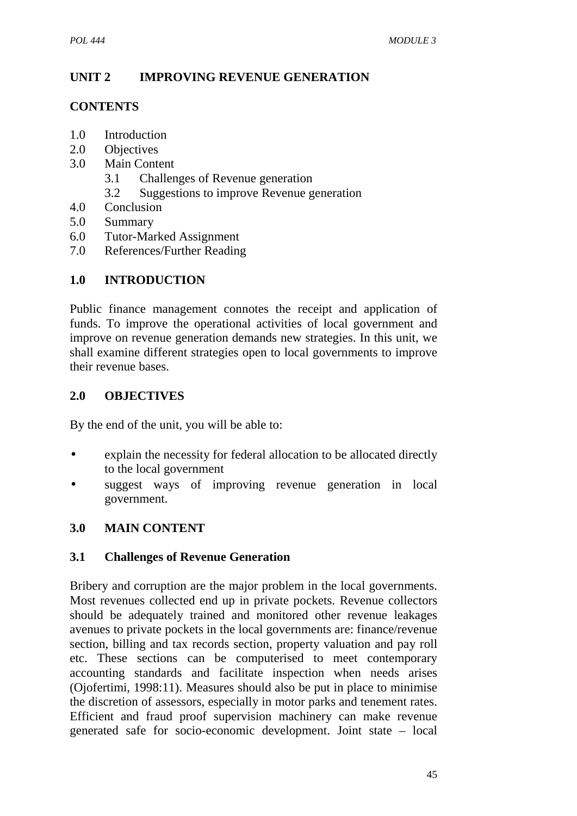# **UNIT 2 IMPROVING REVENUE GENERATION**

### **CONTENTS**

- 1.0 Introduction
- 2.0 Objectives
- 3.0 Main Content
	- 3.1 Challenges of Revenue generation
	- 3.2 Suggestions to improve Revenue generation
- 4.0 Conclusion
- 5.0 Summary
- 6.0 Tutor-Marked Assignment
- 7.0 References/Further Reading

## **1.0 INTRODUCTION**

Public finance management connotes the receipt and application of funds. To improve the operational activities of local government and improve on revenue generation demands new strategies. In this unit, we shall examine different strategies open to local governments to improve their revenue bases.

## **2.0 OBJECTIVES**

By the end of the unit, you will be able to:

- explain the necessity for federal allocation to be allocated directly to the local government
- suggest ways of improving revenue generation in local government.

## **3.0 MAIN CONTENT**

## **3.1 Challenges of Revenue Generation**

Bribery and corruption are the major problem in the local governments. Most revenues collected end up in private pockets. Revenue collectors should be adequately trained and monitored other revenue leakages avenues to private pockets in the local governments are: finance/revenue section, billing and tax records section, property valuation and pay roll etc. These sections can be computerised to meet contemporary accounting standards and facilitate inspection when needs arises (Ojofertimi, 1998:11). Measures should also be put in place to minimise the discretion of assessors, especially in motor parks and tenement rates. Efficient and fraud proof supervision machinery can make revenue generated safe for socio-economic development. Joint state – local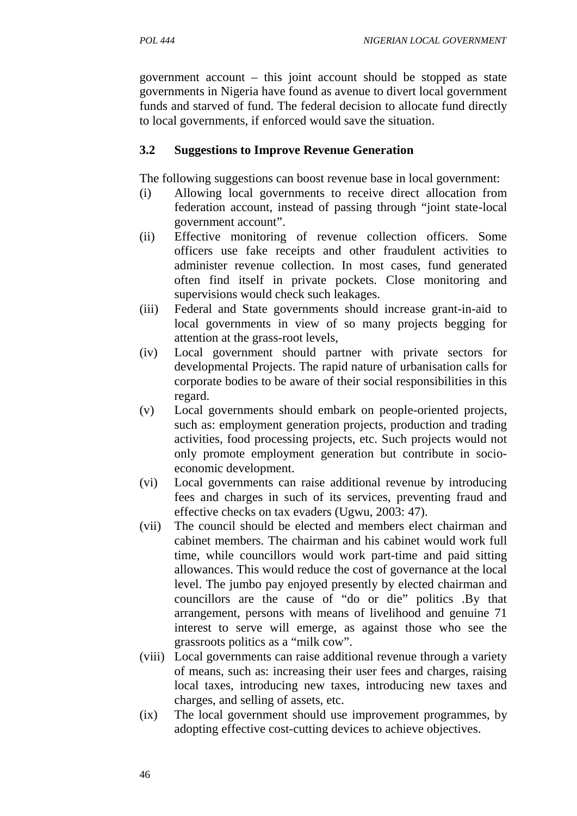government account – this joint account should be stopped as state governments in Nigeria have found as avenue to divert local government funds and starved of fund. The federal decision to allocate fund directly to local governments, if enforced would save the situation.

### **3.2 Suggestions to Improve Revenue Generation**

The following suggestions can boost revenue base in local government:

- (i) Allowing local governments to receive direct allocation from federation account, instead of passing through "joint state-local government account".
- (ii) Effective monitoring of revenue collection officers. Some officers use fake receipts and other fraudulent activities to administer revenue collection. In most cases, fund generated often find itself in private pockets. Close monitoring and supervisions would check such leakages.
- (iii) Federal and State governments should increase grant-in-aid to local governments in view of so many projects begging for attention at the grass-root levels,
- (iv) Local government should partner with private sectors for developmental Projects. The rapid nature of urbanisation calls for corporate bodies to be aware of their social responsibilities in this regard.
- (v) Local governments should embark on people-oriented projects, such as: employment generation projects, production and trading activities, food processing projects, etc. Such projects would not only promote employment generation but contribute in socio economic development.
- (vi) Local governments can raise additional revenue by introducing fees and charges in such of its services, preventing fraud and effective checks on tax evaders (Ugwu, 2003: 47).
- (vii) The council should be elected and members elect chairman and cabinet members. The chairman and his cabinet would work full time, while councillors would work part-time and paid sitting allowances. This would reduce the cost of governance at the local level. The jumbo pay enjoyed presently by elected chairman and councillors are the cause of "do or die" politics .By that arrangement, persons with means of livelihood and genuine 71 interest to serve will emerge, as against those who see the grassroots politics as a "milk cow".
- (viii) Local governments can raise additional revenue through a variety of means, such as: increasing their user fees and charges, raising local taxes, introducing new taxes, introducing new taxes and charges, and selling of assets, etc.
- (ix) The local government should use improvement programmes, by adopting effective cost-cutting devices to achieve objectives.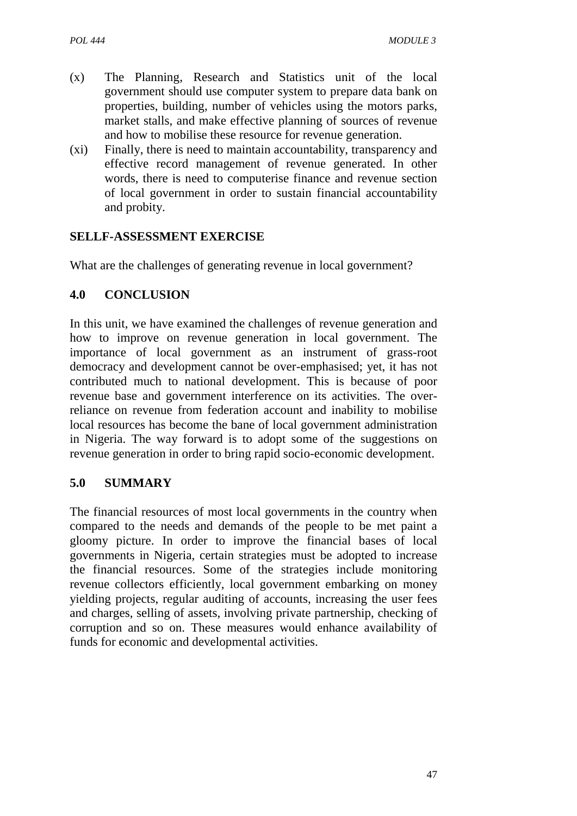- (x) The Planning, Research and Statistics unit of the local government should use computer system to prepare data bank on properties, building, number of vehicles using the motors parks, market stalls, and make effective planning of sources of revenue and how to mobilise these resource for revenue generation.
- (xi) Finally, there is need to maintain accountability, transparency and effective record management of revenue generated. In other words, there is need to computerise finance and revenue section of local government in order to sustain financial accountability and probity.

### **SELLF-ASSESSMENT EXERCISE**

What are the challenges of generating revenue in local government?

### **4.0 CONCLUSION**

In this unit, we have examined the challenges of revenue generation and how to improve on revenue generation in local government. The importance of local government as an instrument of grass-root democracy and development cannot be over-emphasised; yet, it has not contributed much to national development. This is because of poor revenue base and government interference on its activities. The overreliance on revenue from federation account and inability to mobilise local resources has become the bane of local government administration in Nigeria. The way forward is to adopt some of the suggestions on revenue generation in order to bring rapid socio-economic development.

### **5.0 SUMMARY**

The financial resources of most local governments in the country when compared to the needs and demands of the people to be met paint a gloomy picture. In order to improve the financial bases of local governments in Nigeria, certain strategies must be adopted to increase the financial resources. Some of the strategies include monitoring revenue collectors efficiently, local government embarking on money yielding projects, regular auditing of accounts, increasing the user fees and charges, selling of assets, involving private partnership, checking of corruption and so on. These measures would enhance availability of funds for economic and developmental activities.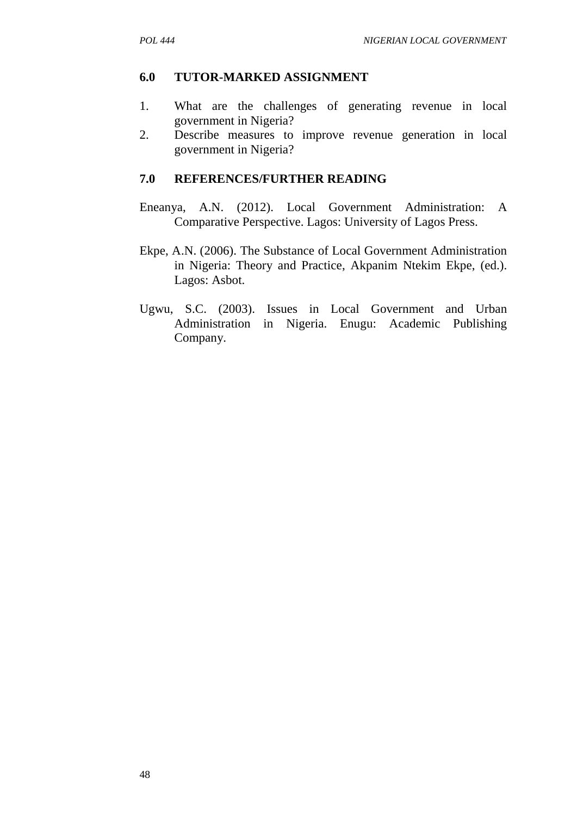#### **6.0 TUTOR-MARKED ASSIGNMENT**

- 1. What are the challenges of generating revenue in local government in Nigeria?
- 2. Describe measures to improve revenue generation in local government in Nigeria?

- Eneanya, A.N. (2012). Local Government Administration: A Comparative Perspective. Lagos: University of Lagos Press.
- Ekpe, A.N. (2006). The Substance of Local Government Administration in Nigeria: Theory and Practice, Akpanim Ntekim Ekpe, (ed.). Lagos: Asbot.
- Ugwu, S.C. (2003). Issues in Local Government and Urban Administration in Nigeria. Enugu: Academic Publishing Company.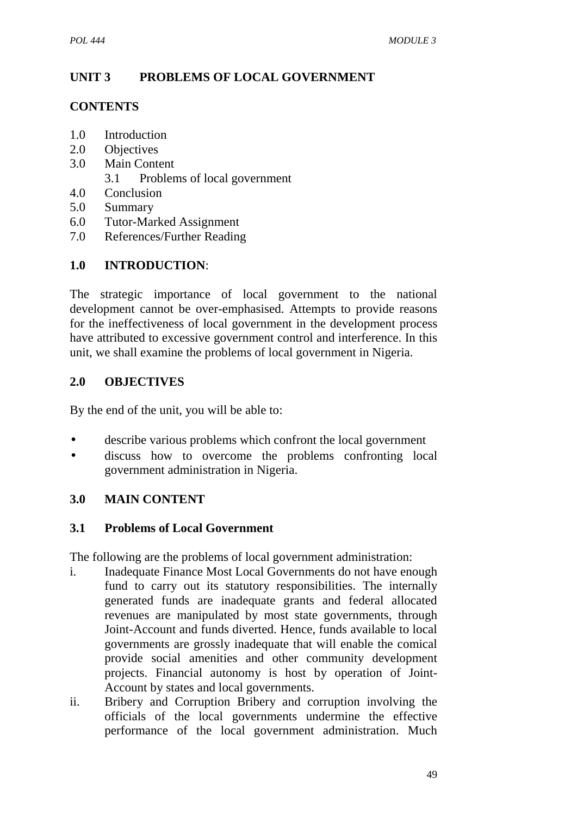# **UNIT 3 PROBLEMS OF LOCAL GOVERNMENT**

### **CONTENTS**

- 1.0 Introduction
- 2.0 Objectives
- 3.0 Main Content
	- 3.1 Problems of local government
- 4.0 Conclusion
- 5.0 Summary
- 6.0 Tutor-Marked Assignment
- 7.0 References/Further Reading

# **1.0 INTRODUCTION**:

The strategic importance of local government to the national development cannot be over-emphasised. Attempts to provide reasons for the ineffectiveness of local government in the development process have attributed to excessive government control and interference. In this unit, we shall examine the problems of local government in Nigeria.

## **2.0 OBJECTIVES**

By the end of the unit, you will be able to:

- describe various problems which confront the local government
- discuss how to overcome the problems confronting local government administration in Nigeria.

## **3.0 MAIN CONTENT**

### **3.1 Problems of Local Government**

The following are the problems of local government administration:

- i. Inadequate Finance Most Local Governments do not have enough fund to carry out its statutory responsibilities. The internally generated funds are inadequate grants and federal allocated revenues are manipulated by most state governments, through Joint-Account and funds diverted. Hence, funds available to local governments are grossly inadequate that will enable the comical provide social amenities and other community development projects. Financial autonomy is host by operation of Joint- Account by states and local governments.
- ii. Bribery and Corruption Bribery and corruption involving the officials of the local governments undermine the effective performance of the local government administration. Much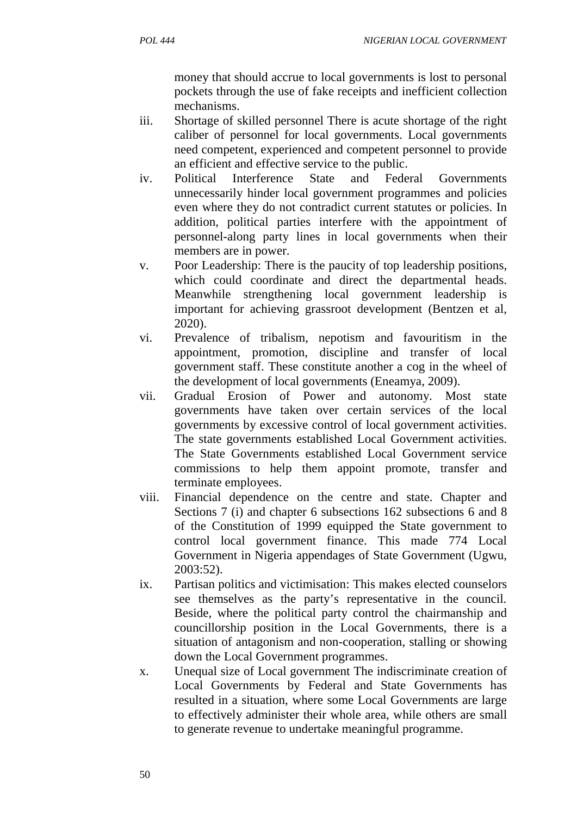money that should accrue to local governments is lost to personal pockets through the use of fake receipts and inefficient collection mechanisms.

- iii. Shortage of skilled personnel There is acute shortage of the right caliber of personnel for local governments. Local governments need competent, experienced and competent personnel to provide an efficient and effective service to the public.
- iv. Political Interference State and Federal Governments unnecessarily hinder local government programmes and policies even where they do not contradict current statutes or policies. In addition, political parties interfere with the appointment of personnel-along party lines in local governments when their members are in power.
- v. Poor Leadership: There is the paucity of top leadership positions, which could coordinate and direct the departmental heads. Meanwhile strengthening local government leadership is important for achieving grassroot development (Bentzen et al, 2020).
- vi. Prevalence of tribalism, nepotism and favouritism in the appointment, promotion, discipline and transfer of local government staff. These constitute another a cog in the wheel of the development of local governments (Eneamya, 2009).
- vii. Gradual Erosion of Power and autonomy. Most state governments have taken over certain services of the local governments by excessive control of local government activities. The state governments established Local Government activities. The State Governments established Local Government service commissions to help them appoint promote, transfer and terminate employees.
- viii. Financial dependence on the centre and state. Chapter and Sections 7 (i) and chapter 6 subsections 162 subsections 6 and 8 of the Constitution of 1999 equipped the State government to control local government finance. This made 774 Local Government in Nigeria appendages of State Government (Ugwu, 2003:52).
- ix. Partisan politics and victimisation: This makes elected counselors see themselves as the party's representative in the council. Beside, where the political party control the chairmanship and councillorship position in the Local Governments, there is a situation of antagonism and non-cooperation, stalling or showing down the Local Government programmes.
- x. Unequal size of Local government The indiscriminate creation of Local Governments by Federal and State Governments has resulted in a situation, where some Local Governments are large to effectively administer their whole area, while others are small to generate revenue to undertake meaningful programme.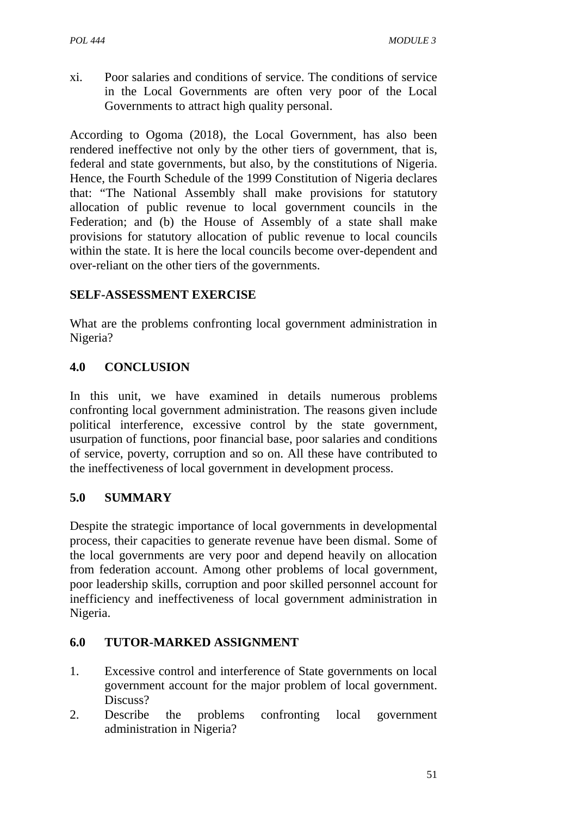xi. Poor salaries and conditions of service. The conditions of service in the Local Governments are often very poor of the Local Governments to attract high quality personal.

According to Ogoma (2018), the Local Government, has also been rendered ineffective not only by the other tiers of government, that is, federal and state governments, but also, by the constitutions of Nigeria. Hence, the Fourth Schedule of the 1999 Constitution of Nigeria declares that: "The National Assembly shall make provisions for statutory allocation of public revenue to local government councils in the Federation; and (b) the House of Assembly of a state shall make provisions for statutory allocation of public revenue to local councils within the state. It is here the local councils become over-dependent and over-reliant on the other tiers of the governments.

## **SELF-ASSESSMENT EXERCISE**

What are the problems confronting local government administration in Nigeria?

## **4.0 CONCLUSION**

In this unit, we have examined in details numerous problems confronting local government administration. The reasons given include political interference, excessive control by the state government, usurpation of functions, poor financial base, poor salaries and conditions of service, poverty, corruption and so on. All these have contributed to the ineffectiveness of local government in development process.

## **5.0 SUMMARY**

Despite the strategic importance of local governments in developmental process, their capacities to generate revenue have been dismal. Some of the local governments are very poor and depend heavily on allocation from federation account. Among other problems of local government, poor leadership skills, corruption and poor skilled personnel account for inefficiency and ineffectiveness of local government administration in Nigeria.

## **6.0 TUTOR-MARKED ASSIGNMENT**

- 1. Excessive control and interference of State governments on local government account for the major problem of local government. Discuss?
- 2. Describe the problems confronting local government administration in Nigeria?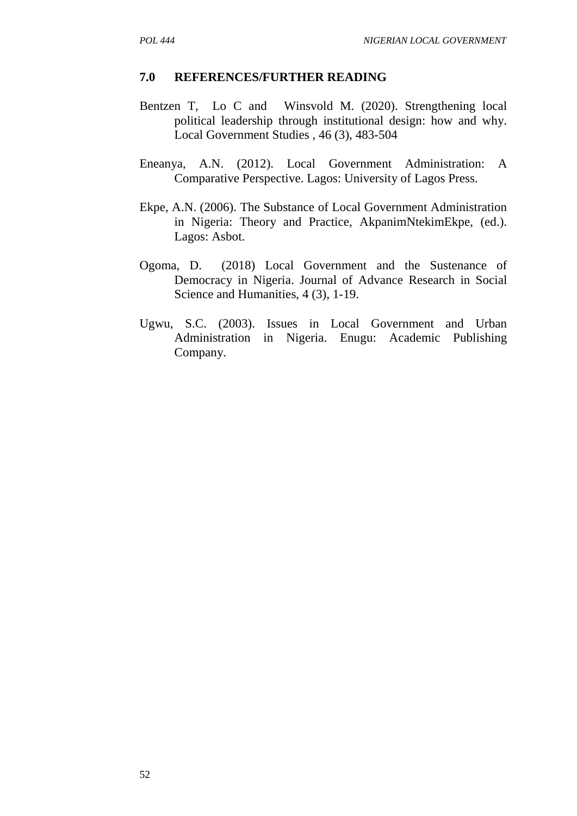- Bentzen T, Lo C and Winsvold M. (2020). Strengthening local political leadership through institutional design: how and why. Local Government Studies , 46 (3), 483-504
- Eneanya, A.N. (2012). Local Government Administration: A Comparative Perspective. Lagos: University of Lagos Press.
- Ekpe, A.N. (2006). The Substance of Local Government Administration in Nigeria: Theory and Practice, AkpanimNtekimEkpe, (ed.). Lagos: Asbot.
- Ogoma, D. (2018) Local Government and the Sustenance of Democracy in Nigeria. Journal of Advance Research in Social Science and Humanities, 4 (3), 1-19.
- Ugwu, S.C. (2003). Issues in Local Government and Urban Administration in Nigeria. Enugu: Academic Publishing Company.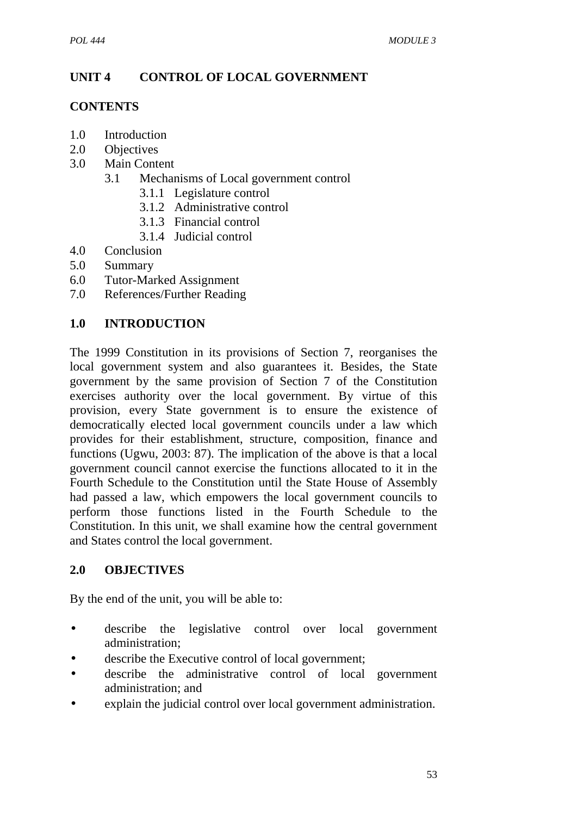# **UNIT 4 CONTROL OF LOCAL GOVERNMENT**

### **CONTENTS**

- 1.0 Introduction
- 2.0 Objectives
- 3.0 Main Content
	- 3.1 Mechanisms of Local government control
		- 3.1.1 Legislature control
		- 3.1.2 Administrative control
		- 3.1.3 Financial control
		- 3.1.4 Judicial control
- 4.0 Conclusion
- 5.0 Summary
- 6.0 Tutor-Marked Assignment
- 7.0 References/Further Reading

## **1.0 INTRODUCTION**

The 1999 Constitution in its provisions of Section 7, reorganises the local government system and also guarantees it. Besides, the State government by the same provision of Section 7 of the Constitution exercises authority over the local government. By virtue of this provision, every State government is to ensure the existence of democratically elected local government councils under a law which provides for their establishment, structure, composition, finance and functions (Ugwu, 2003: 87). The implication of the above is that a local government council cannot exercise the functions allocated to it in the Fourth Schedule to the Constitution until the State House of Assembly had passed a law, which empowers the local government councils to perform those functions listed in the Fourth Schedule to the Constitution. In this unit, we shall examine how the central government and States control the local government.

## **2.0 OBJECTIVES**

By the end of the unit, you will be able to:

- describe the legislative control over local government administration;
- describe the Executive control of local government;
- describe the administrative control of local government administration; and
- explain the judicial control over local government administration.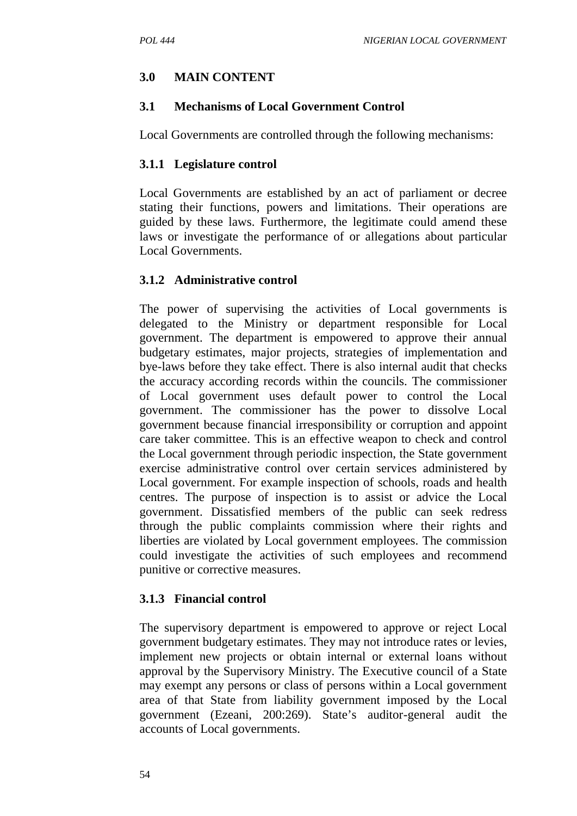### **3.0 MAIN CONTENT**

### **3.1 Mechanisms of Local Government Control**

Local Governments are controlled through the following mechanisms:

### **3.1.1 Legislature control**

Local Governments are established by an act of parliament or decree stating their functions, powers and limitations. Their operations are guided by these laws. Furthermore, the legitimate could amend these laws or investigate the performance of or allegations about particular Local Governments.

### **3.1.2 Administrative control**

The power of supervising the activities of Local governments is delegated to the Ministry or department responsible for Local government. The department is empowered to approve their annual budgetary estimates, major projects, strategies of implementation and bye-laws before they take effect. There is also internal audit that checks the accuracy according records within the councils. The commissioner of Local government uses default power to control the Local government. The commissioner has the power to dissolve Local government because financial irresponsibility or corruption and appoint care taker committee. This is an effective weapon to check and control the Local government through periodic inspection, the State government exercise administrative control over certain services administered by Local government. For example inspection of schools, roads and health centres. The purpose of inspection is to assist or advice the Local government. Dissatisfied members of the public can seek redress through the public complaints commission where their rights and liberties are violated by Local government employees. The commission could investigate the activities of such employees and recommend punitive or corrective measures.

### **3.1.3 Financial control**

The supervisory department is empowered to approve or reject Local government budgetary estimates. They may not introduce rates or levies, implement new projects or obtain internal or external loans without approval by the Supervisory Ministry. The Executive council of a State may exempt any persons or class of persons within a Local government area of that State from liability government imposed by the Local government (Ezeani, 200:269). State's auditor-general audit the accounts of Local governments.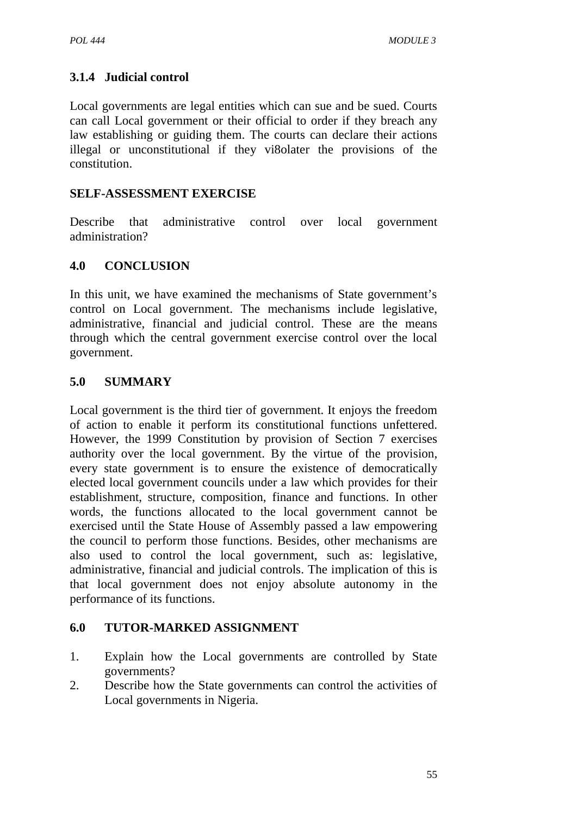# **3.1.4 Judicial control**

Local governments are legal entities which can sue and be sued. Courts can call Local government or their official to order if they breach any law establishing or guiding them. The courts can declare their actions illegal or unconstitutional if they vi8olater the provisions of the constitution.

### **SELF-ASSESSMENT EXERCISE**

Describe that administrative control over local government administration?

### **4.0 CONCLUSION**

In this unit, we have examined the mechanisms of State government's control on Local government. The mechanisms include legislative, administrative, financial and judicial control. These are the means through which the central government exercise control over the local government.

### **5.0 SUMMARY**

Local government is the third tier of government. It enjoys the freedom of action to enable it perform its constitutional functions unfettered. However, the 1999 Constitution by provision of Section 7 exercises authority over the local government. By the virtue of the provision, every state government is to ensure the existence of democratically elected local government councils under a law which provides for their establishment, structure, composition, finance and functions. In other words, the functions allocated to the local government cannot be exercised until the State House of Assembly passed a law empowering the council to perform those functions. Besides, other mechanisms are also used to control the local government, such as: legislative, administrative, financial and judicial controls. The implication of this is that local government does not enjoy absolute autonomy in the performance of its functions.

#### **6.0 TUTOR-MARKED ASSIGNMENT**

- 1. Explain how the Local governments are controlled by State governments?
- 2. Describe how the State governments can control the activities of Local governments in Nigeria.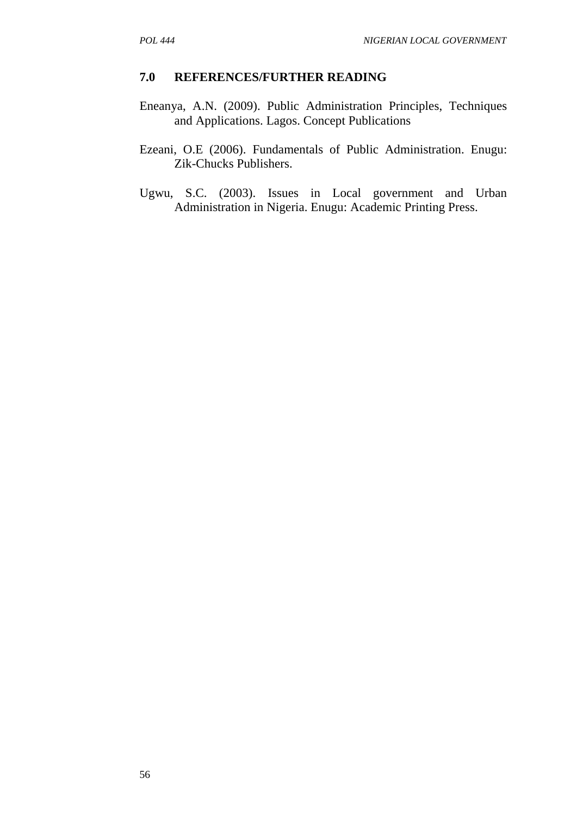#### **7.0 REFERENCES/FURTHER READING**

- Eneanya, A.N. (2009). Public Administration Principles, Techniques and Applications. Lagos. Concept Publications
- Ezeani, O.E (2006). Fundamentals of Public Administration. Enugu: Zik-Chucks Publishers.
- Ugwu, S.C. (2003). Issues in Local government and Urban Administration in Nigeria. Enugu: Academic Printing Press.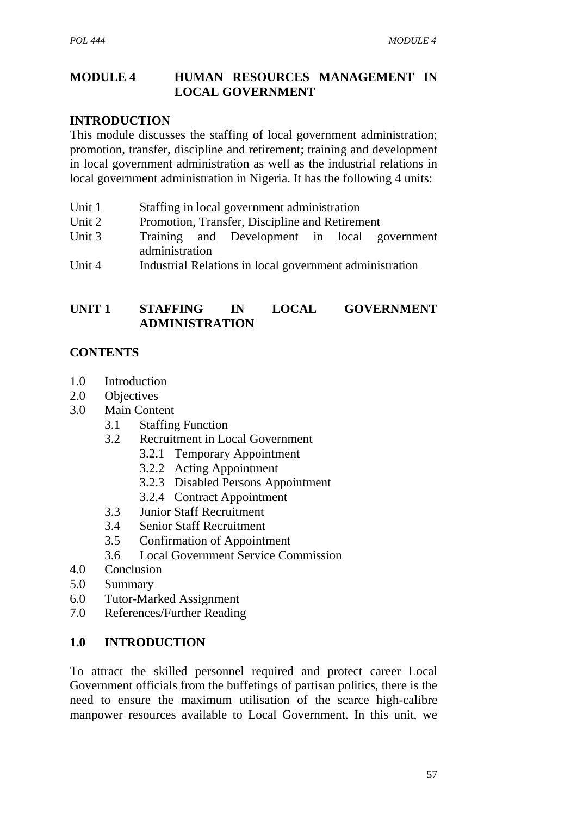#### **MODULE 4 HUMAN RESOURCES MANAGEMENT IN LOCAL GOVERNMENT**

#### **INTRODUCTION**

This module discusses the staffing of local government administration; promotion, transfer, discipline and retirement; training and development in local government administration as well as the industrial relations in local government administration in Nigeria. It has the following 4 units:

- Unit 1 Staffing in local government administration
- Unit 2 Promotion, Transfer, Discipline and Retirement
- Unit 3 Training and Development in local government administration
- Unit 4 Industrial Relations in local government administration

### **UNIT 1 STAFFING IN LOCAL GOVERNMENT ADMINISTRATION**

### **CONTENTS**

- 1.0 Introduction
- 2.0 Objectives
- 3.0 Main Content
	- 3.1 Staffing Function
	- 3.2 Recruitment in Local Government
		- 3.2.1 Temporary Appointment
		- 3.2.2 Acting Appointment
		- 3.2.3 Disabled Persons Appointment
		- 3.2.4 Contract Appointment
	- 3.3 Junior Staff Recruitment
	- 3.4 Senior Staff Recruitment
	- 3.5 Confirmation of Appointment
	- 3.6 Local Government Service Commission
- 4.0 Conclusion
- 5.0 Summary
- 6.0 Tutor-Marked Assignment
- 7.0 References/Further Reading

#### **1.0 INTRODUCTION**

To attract the skilled personnel required and protect career Local Government officials from the buffetings of partisan politics, there is the need to ensure the maximum utilisation of the scarce high-calibre manpower resources available to Local Government. In this unit, we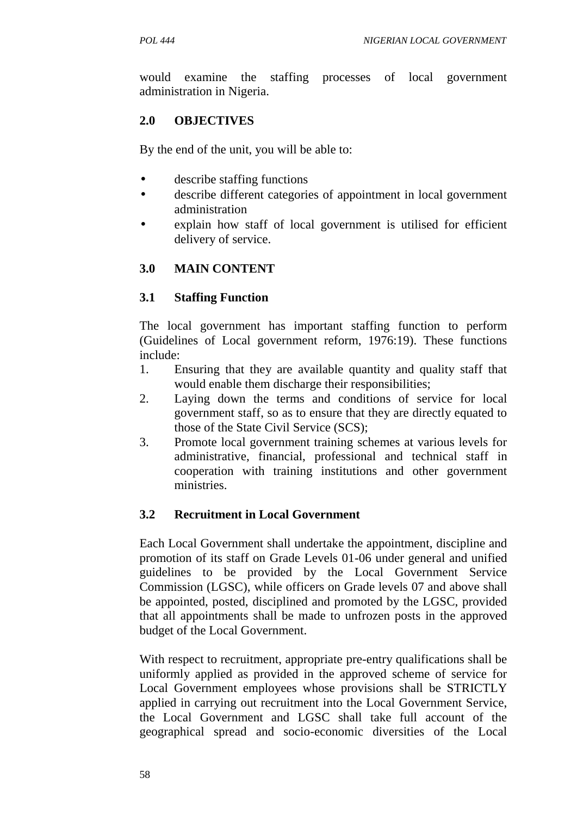would examine the staffing processes of local government administration in Nigeria.

# **2.0 OBJECTIVES**

By the end of the unit, you will be able to:

- describe staffing functions
- describe different categories of appointment in local government administration
- explain how staff of local government is utilised for efficient delivery of service.

# **3.0 MAIN CONTENT**

# **3.1 Staffing Function**

The local government has important staffing function to perform (Guidelines of Local government reform, 1976:19). These functions include:

- 1. Ensuring that they are available quantity and quality staff that would enable them discharge their responsibilities;
- 2. Laying down the terms and conditions of service for local government staff, so as to ensure that they are directly equated to those of the State Civil Service (SCS);
- 3. Promote local government training schemes at various levels for administrative, financial, professional and technical staff in cooperation with training institutions and other government ministries.

# **3.2 Recruitment in Local Government**

Each Local Government shall undertake the appointment, discipline and promotion of its staff on Grade Levels 01-06 under general and unified guidelines to be provided by the Local Government Service Commission (LGSC), while officers on Grade levels 07 and above shall be appointed, posted, disciplined and promoted by the LGSC, provided that all appointments shall be made to unfrozen posts in the approved budget of the Local Government.

With respect to recruitment, appropriate pre-entry qualifications shall be uniformly applied as provided in the approved scheme of service for Local Government employees whose provisions shall be STRICTLY applied in carrying out recruitment into the Local Government Service, the Local Government and LGSC shall take full account of the geographical spread and socio-economic diversities of the Local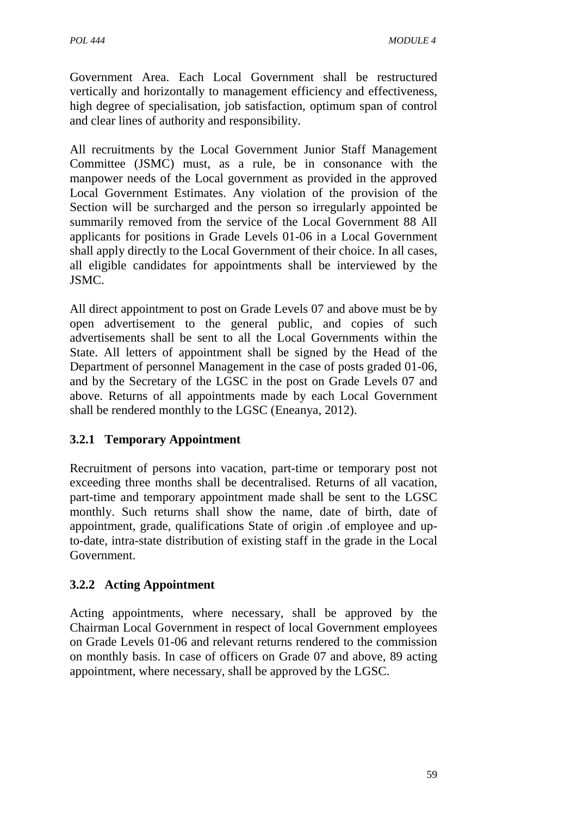Government Area. Each Local Government shall be restructured vertically and horizontally to management efficiency and effectiveness, high degree of specialisation, job satisfaction, optimum span of control and clear lines of authority and responsibility.

All recruitments by the Local Government Junior Staff Management Committee (JSMC) must, as a rule, be in consonance with the manpower needs of the Local government as provided in the approved Local Government Estimates. Any violation of the provision of the Section will be surcharged and the person so irregularly appointed be summarily removed from the service of the Local Government 88 All applicants for positions in Grade Levels 01-06 in a Local Government shall apply directly to the Local Government of their choice. In all cases, all eligible candidates for appointments shall be interviewed by the JSMC.

All direct appointment to post on Grade Levels 07 and above must be by open advertisement to the general public, and copies of such advertisements shall be sent to all the Local Governments within the State. All letters of appointment shall be signed by the Head of the Department of personnel Management in the case of posts graded 01-06, and by the Secretary of the LGSC in the post on Grade Levels 07 and above. Returns of all appointments made by each Local Government shall be rendered monthly to the LGSC (Eneanya, 2012).

# **3.2.1 Temporary Appointment**

Recruitment of persons into vacation, part-time or temporary post not exceeding three months shall be decentralised. Returns of all vacation, part-time and temporary appointment made shall be sent to the LGSC monthly. Such returns shall show the name, date of birth, date of appointment, grade, qualifications State of origin .of employee and upto-date, intra-state distribution of existing staff in the grade in the Local Government.

# **3.2.2 Acting Appointment**

Acting appointments, where necessary, shall be approved by the Chairman Local Government in respect of local Government employees on Grade Levels 01-06 and relevant returns rendered to the commission on monthly basis. In case of officers on Grade 07 and above, 89 acting appointment, where necessary, shall be approved by the LGSC.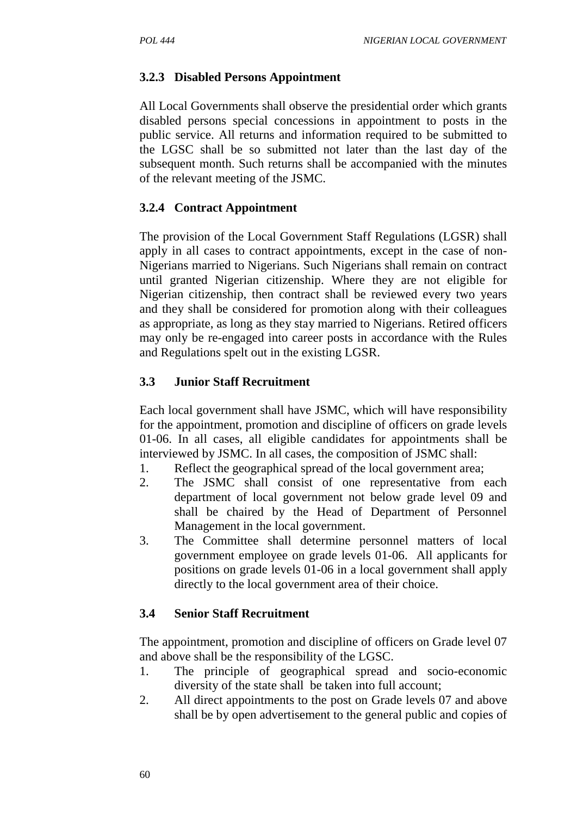### **3.2.3 Disabled Persons Appointment**

All Local Governments shall observe the presidential order which grants disabled persons special concessions in appointment to posts in the public service. All returns and information required to be submitted to the LGSC shall be so submitted not later than the last day of the subsequent month. Such returns shall be accompanied with the minutes of the relevant meeting of the JSMC.

### **3.2.4 Contract Appointment**

The provision of the Local Government Staff Regulations (LGSR) shall apply in all cases to contract appointments, except in the case of non- Nigerians married to Nigerians. Such Nigerians shall remain on contract until granted Nigerian citizenship. Where they are not eligible for Nigerian citizenship, then contract shall be reviewed every two years and they shall be considered for promotion along with their colleagues as appropriate, as long as they stay married to Nigerians. Retired officers may only be re-engaged into career posts in accordance with the Rules and Regulations spelt out in the existing LGSR.

#### **3.3 Junior Staff Recruitment**

Each local government shall have JSMC, which will have responsibility for the appointment, promotion and discipline of officers on grade levels 01-06. In all cases, all eligible candidates for appointments shall be interviewed by JSMC. In all cases, the composition of JSMC shall:

- 1. Reflect the geographical spread of the local government area;
- 2. The JSMC shall consist of one representative from each department of local government not below grade level 09 and shall be chaired by the Head of Department of Personnel Management in the local government.
- 3. The Committee shall determine personnel matters of local government employee on grade levels 01-06. All applicants for positions on grade levels 01-06 in a local government shall apply directly to the local government area of their choice.

#### **3.4 Senior Staff Recruitment**

The appointment, promotion and discipline of officers on Grade level 07 and above shall be the responsibility of the LGSC.

- 1. The principle of geographical spread and socio-economic diversity of the state shall be taken into full account;
- 2. All direct appointments to the post on Grade levels 07 and above shall be by open advertisement to the general public and copies of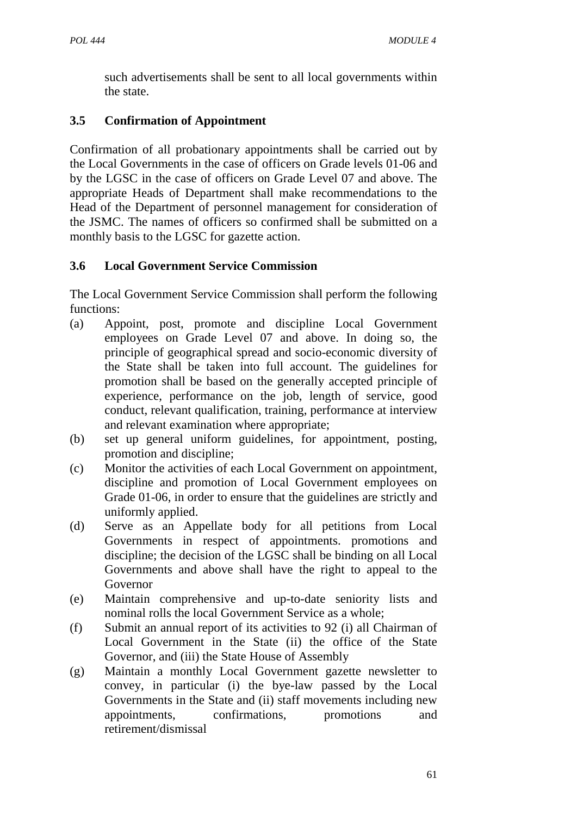such advertisements shall be sent to all local governments within the state.

# **3.5 Confirmation of Appointment**

Confirmation of all probationary appointments shall be carried out by the Local Governments in the case of officers on Grade levels 01-06 and by the LGSC in the case of officers on Grade Level 07 and above. The appropriate Heads of Department shall make recommendations to the Head of the Department of personnel management for consideration of the JSMC. The names of officers so confirmed shall be submitted on a monthly basis to the LGSC for gazette action.

# **3.6 Local Government Service Commission**

The Local Government Service Commission shall perform the following functions:

- (a) Appoint, post, promote and discipline Local Government employees on Grade Level 07 and above. In doing so, the principle of geographical spread and socio-economic diversity of the State shall be taken into full account. The guidelines for promotion shall be based on the generally accepted principle of experience, performance on the job, length of service, good conduct, relevant qualification, training, performance at interview and relevant examination where appropriate;
- (b) set up general uniform guidelines, for appointment, posting, promotion and discipline;
- (c) Monitor the activities of each Local Government on appointment, discipline and promotion of Local Government employees on Grade 01-06, in order to ensure that the guidelines are strictly and uniformly applied.
- (d) Serve as an Appellate body for all petitions from Local Governments in respect of appointments. promotions and discipline; the decision of the LGSC shall be binding on all Local Governments and above shall have the right to appeal to the Governor
- (e) Maintain comprehensive and up-to-date seniority lists and nominal rolls the local Government Service as a whole;
- (f) Submit an annual report of its activities to 92 (i) all Chairman of Local Government in the State (ii) the office of the State Governor, and (iii) the State House of Assembly
- (g) Maintain a monthly Local Government gazette newsletter to convey, in particular (i) the bye-law passed by the Local Governments in the State and (ii) staff movements including new appointments, confirmations, promotions and retirement/dismissal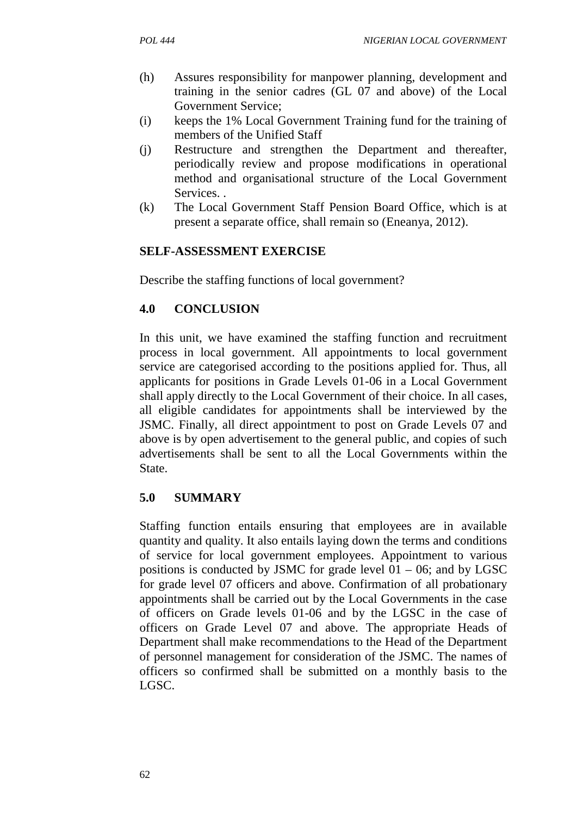- (h) Assures responsibility for manpower planning, development and training in the senior cadres (GL 07 and above) of the Local Government Service;
- (i) keeps the 1% Local Government Training fund for the training of members of the Unified Staff
- (j) Restructure and strengthen the Department and thereafter, periodically review and propose modifications in operational method and organisational structure of the Local Government **Services**
- (k) The Local Government Staff Pension Board Office, which is at present a separate office, shall remain so (Eneanya, 2012).

# **SELF-ASSESSMENT EXERCISE**

Describe the staffing functions of local government?

# **4.0 CONCLUSION**

In this unit, we have examined the staffing function and recruitment process in local government. All appointments to local government service are categorised according to the positions applied for. Thus, all applicants for positions in Grade Levels 01-06 in a Local Government shall apply directly to the Local Government of their choice. In all cases, all eligible candidates for appointments shall be interviewed by the JSMC. Finally, all direct appointment to post on Grade Levels 07 and above is by open advertisement to the general public, and copies of such advertisements shall be sent to all the Local Governments within the State.

# **5.0 SUMMARY**

Staffing function entails ensuring that employees are in available quantity and quality. It also entails laying down the terms and conditions of service for local government employees. Appointment to various positions is conducted by JSMC for grade level  $01 - 06$ ; and by LGSC for grade level 07 officers and above. Confirmation of all probationary appointments shall be carried out by the Local Governments in the case of officers on Grade levels 01-06 and by the LGSC in the case of officers on Grade Level 07 and above. The appropriate Heads of Department shall make recommendations to the Head of the Department of personnel management for consideration of the JSMC. The names of officers so confirmed shall be submitted on a monthly basis to the LGSC.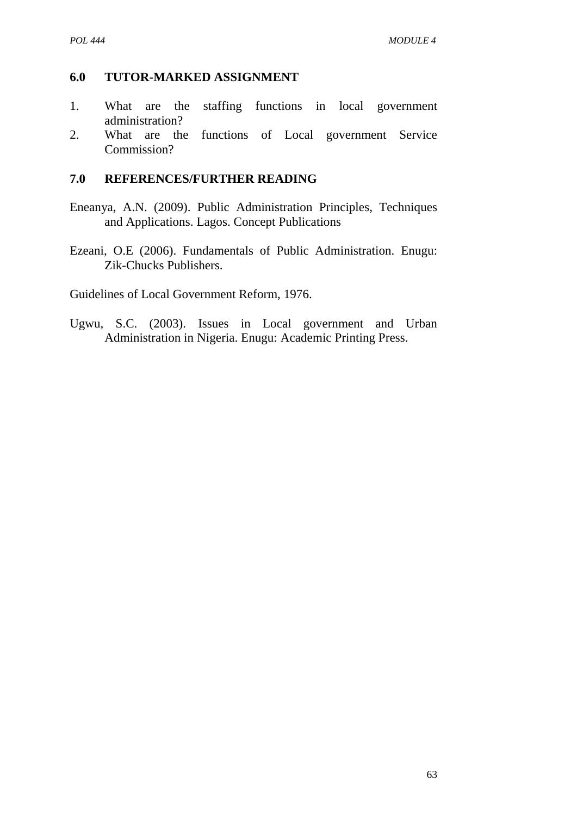### **6.0 TUTOR-MARKED ASSIGNMENT**

- 1. What are the staffing functions in local government administration?
- 2. What are the functions of Local government Service Commission?

### **7.0 REFERENCES/FURTHER READING**

- Eneanya, A.N. (2009). Public Administration Principles, Techniques and Applications. Lagos. Concept Publications
- Ezeani, O.E (2006). Fundamentals of Public Administration. Enugu: Zik-Chucks Publishers.

Guidelines of Local Government Reform, 1976.

Ugwu, S.C. (2003). Issues in Local government and Urban Administration in Nigeria. Enugu: Academic Printing Press.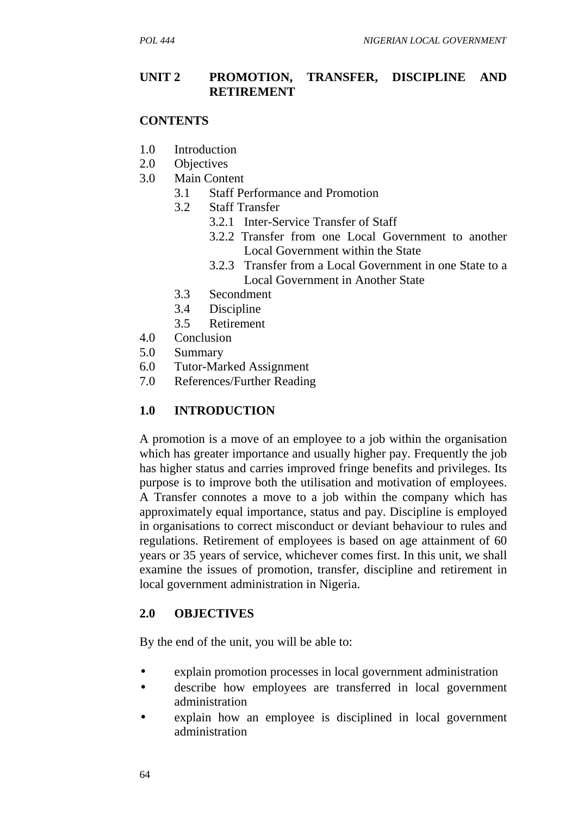#### **UNIT 2 PROMOTION, TRANSFER, DISCIPLINE AND RETIREMENT**

#### **CONTENTS**

- 1.0 Introduction
- 2.0 Objectives
- 3.0 Main Content
	- 3.1 Staff Performance and Promotion
	- 3.2 Staff Transfer
		- 3.2.1 Inter-Service Transfer of Staff
		- 3.2.2 Transfer from one Local Government to another Local Government within the State
		- 3.2.3 Transfer from a Local Government in one State to a Local Government in Another State
	- 3.3 Secondment
	- 3.4 Discipline
	- 3.5 Retirement
- 4.0 Conclusion
- 5.0 Summary
- 6.0 Tutor-Marked Assignment
- 7.0 References/Further Reading

#### **1.0 INTRODUCTION**

A promotion is a move of an employee to a job within the organisation which has greater importance and usually higher pay. Frequently the job has higher status and carries improved fringe benefits and privileges. Its purpose is to improve both the utilisation and motivation of employees. A Transfer connotes a move to a job within the company which has approximately equal importance, status and pay. Discipline is employed in organisations to correct misconduct or deviant behaviour to rules and regulations. Retirement of employees is based on age attainment of 60 years or 35 years of service, whichever comes first. In this unit, we shall examine the issues of promotion, transfer, discipline and retirement in local government administration in Nigeria.

#### **2.0 OBJECTIVES**

By the end of the unit, you will be able to:

- explain promotion processes in local government administration
- describe how employees are transferred in local government administration
- explain how an employee is disciplined in local government administration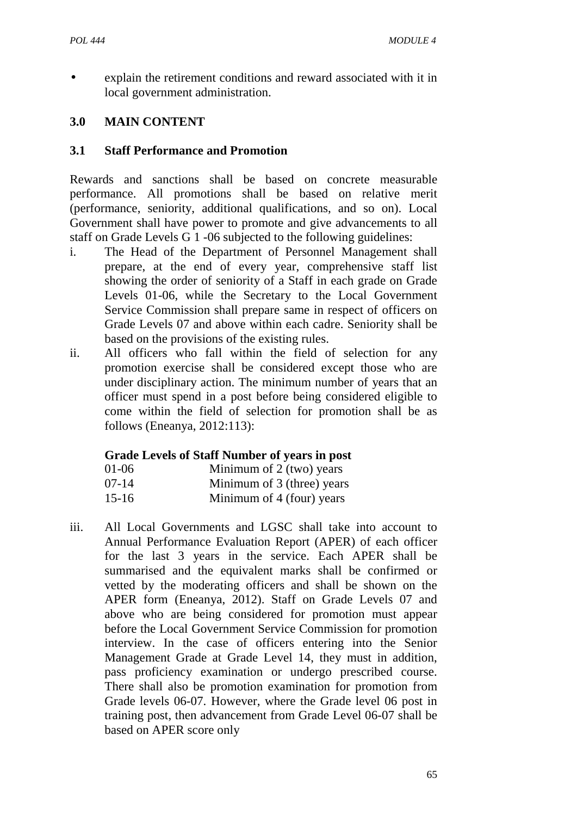explain the retirement conditions and reward associated with it in local government administration.

### **3.0 MAIN CONTENT**

### **3.1 Staff Performance and Promotion**

Rewards and sanctions shall be based on concrete measurable performance. All promotions shall be based on relative merit (performance, seniority, additional qualifications, and so on). Local Government shall have power to promote and give advancements to all staff on Grade Levels G 1 -06 subjected to the following guidelines:

- i. The Head of the Department of Personnel Management shall prepare, at the end of every year, comprehensive staff list showing the order of seniority of a Staff in each grade on Grade Levels 01-06, while the Secretary to the Local Government Service Commission shall prepare same in respect of officers on Grade Levels 07 and above within each cadre. Seniority shall be based on the provisions of the existing rules.
- ii. All officers who fall within the field of selection for any promotion exercise shall be considered except those who are under disciplinary action. The minimum number of years that an officer must spend in a post before being considered eligible to come within the field of selection for promotion shall be as follows (Eneanya, 2012:113):

#### **Grade Levels of Staff Number of years in post**

| 01-06     | Minimum of 2 (two) years   |
|-----------|----------------------------|
| 07-14     | Minimum of 3 (three) years |
| $15 - 16$ | Minimum of 4 (four) years  |

iii. All Local Governments and LGSC shall take into account to Annual Performance Evaluation Report (APER) of each officer for the last 3 years in the service. Each APER shall be summarised and the equivalent marks shall be confirmed or vetted by the moderating officers and shall be shown on the APER form (Eneanya, 2012). Staff on Grade Levels 07 and above who are being considered for promotion must appear before the Local Government Service Commission for promotion interview. In the case of officers entering into the Senior Management Grade at Grade Level 14, they must in addition, pass proficiency examination or undergo prescribed course. There shall also be promotion examination for promotion from Grade levels 06-07. However, where the Grade level 06 post in training post, then advancement from Grade Level 06-07 shall be based on APER score only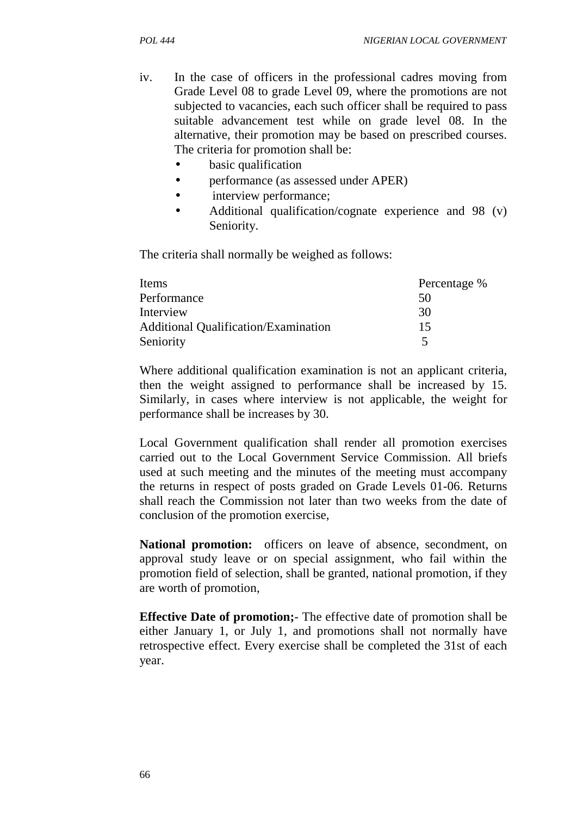- iv. In the case of officers in the professional cadres moving from Grade Level 08 to grade Level 09, where the promotions are not subjected to vacancies, each such officer shall be required to pass suitable advancement test while on grade level 08. In the alternative, their promotion may be based on prescribed courses. The criteria for promotion shall be:
	- basic qualification
	- performance (as assessed under APER)
	- interview performance;
	- Additional qualification/cognate experience and 98 (v) Seniority.

The criteria shall normally be weighed as follows:

| Items                                       | Percentage % |
|---------------------------------------------|--------------|
| Performance                                 | 50           |
| Interview                                   | 30           |
| <b>Additional Qualification/Examination</b> | 15           |
| Seniority                                   | ↖            |

Where additional qualification examination is not an applicant criteria, then the weight assigned to performance shall be increased by 15. Similarly, in cases where interview is not applicable, the weight for performance shall be increases by 30.

Local Government qualification shall render all promotion exercises carried out to the Local Government Service Commission. All briefs used at such meeting and the minutes of the meeting must accompany the returns in respect of posts graded on Grade Levels 01-06. Returns shall reach the Commission not later than two weeks from the date of conclusion of the promotion exercise,

**National promotion:** officers on leave of absence, secondment, on approval study leave or on special assignment, who fail within the promotion field of selection, shall be granted, national promotion, if they are worth of promotion,

**Effective Date of promotion;**- The effective date of promotion shall be either January 1, or July 1, and promotions shall not normally have retrospective effect. Every exercise shall be completed the 31st of each year.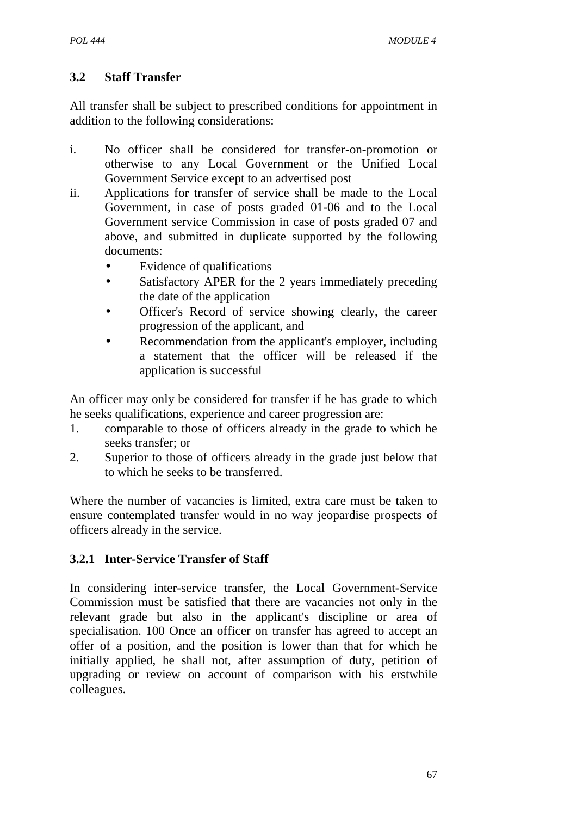# **3.2 Staff Transfer**

All transfer shall be subject to prescribed conditions for appointment in addition to the following considerations:

- i. No officer shall be considered for transfer-on-promotion or otherwise to any Local Government or the Unified Local Government Service except to an advertised post
- ii. Applications for transfer of service shall be made to the Local Government, in case of posts graded 01-06 and to the Local Government service Commission in case of posts graded 07 and above, and submitted in duplicate supported by the following documents:
	- Evidence of qualifications
	- Satisfactory APER for the 2 years immediately preceding the date of the application
	- Officer's Record of service showing clearly, the career progression of the applicant, and
	- Recommendation from the applicant's employer, including a statement that the officer will be released if the application is successful

An officer may only be considered for transfer if he has grade to which he seeks qualifications, experience and career progression are:

- 1. comparable to those of officers already in the grade to which he seeks transfer; or
- 2. Superior to those of officers already in the grade just below that to which he seeks to be transferred.

Where the number of vacancies is limited, extra care must be taken to ensure contemplated transfer would in no way jeopardise prospects of officers already in the service.

# **3.2.1 Inter-Service Transfer of Staff**

In considering inter-service transfer, the Local Government-Service Commission must be satisfied that there are vacancies not only in the relevant grade but also in the applicant's discipline or area of specialisation. 100 Once an officer on transfer has agreed to accept an offer of a position, and the position is lower than that for which he initially applied, he shall not, after assumption of duty, petition of upgrading or review on account of comparison with his erstwhile colleagues.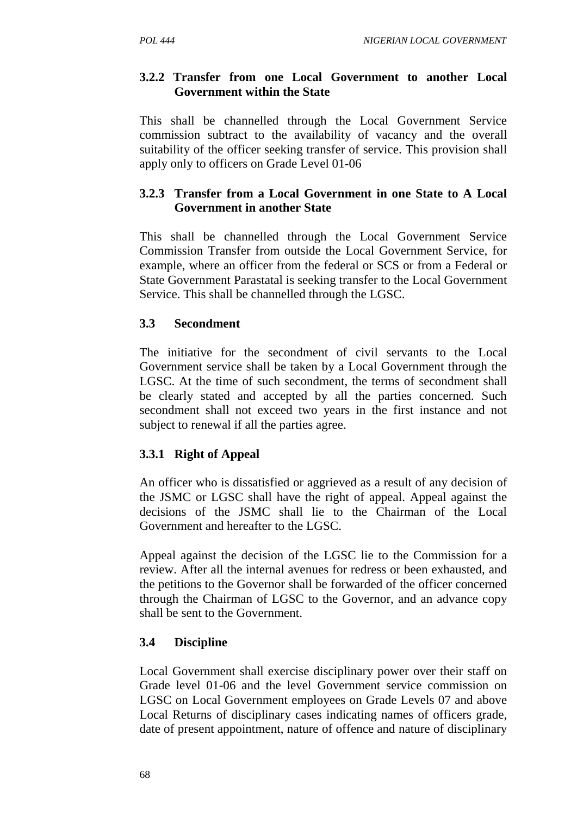## **3.2.2 Transfer from one Local Government to another Local Government within the State**

This shall be channelled through the Local Government Service commission subtract to the availability of vacancy and the overall suitability of the officer seeking transfer of service. This provision shall apply only to officers on Grade Level 01-06

# **3.2.3 Transfer from a Local Government in one State to A Local Government in another State**

This shall be channelled through the Local Government Service Commission Transfer from outside the Local Government Service, for example, where an officer from the federal or SCS or from a Federal or State Government Parastatal is seeking transfer to the Local Government Service. This shall be channelled through the LGSC.

# **3.3 Secondment**

The initiative for the secondment of civil servants to the Local Government service shall be taken by a Local Government through the LGSC. At the time of such secondment, the terms of secondment shall be clearly stated and accepted by all the parties concerned. Such secondment shall not exceed two years in the first instance and not subject to renewal if all the parties agree.

# **3.3.1 Right of Appeal**

An officer who is dissatisfied or aggrieved as a result of any decision of the JSMC or LGSC shall have the right of appeal. Appeal against the decisions of the JSMC shall lie to the Chairman of the Local Government and hereafter to the LGSC.

Appeal against the decision of the LGSC lie to the Commission for a review. After all the internal avenues for redress or been exhausted, and the petitions to the Governor shall be forwarded of the officer concerned through the Chairman of LGSC to the Governor, and an advance copy shall be sent to the Government.

# **3.4 Discipline**

Local Government shall exercise disciplinary power over their staff on Grade level 01-06 and the level Government service commission on LGSC on Local Government employees on Grade Levels 07 and above Local Returns of disciplinary cases indicating names of officers grade, date of present appointment, nature of offence and nature of disciplinary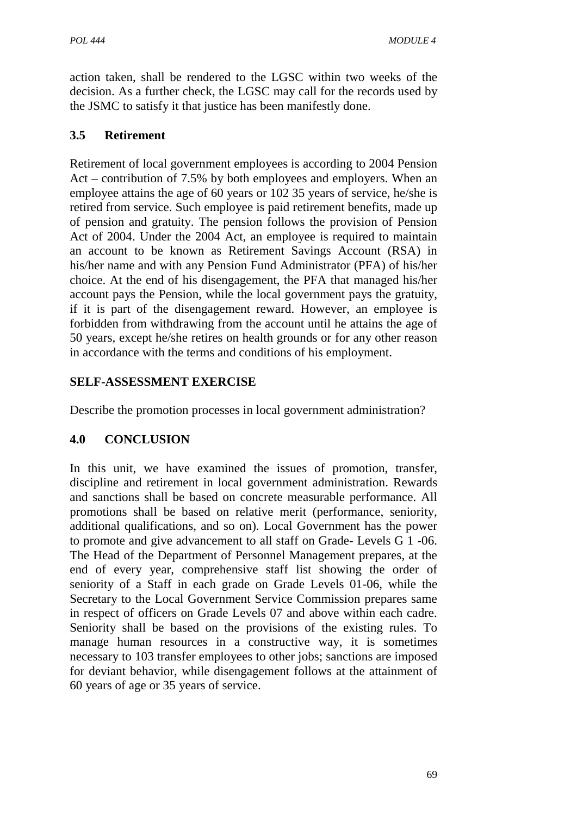action taken, shall be rendered to the LGSC within two weeks of the decision. As a further check, the LGSC may call for the records used by the JSMC to satisfy it that justice has been manifestly done.

## **3.5 Retirement**

Retirement of local government employees is according to 2004 Pension Act – contribution of 7.5% by both employees and employers. When an employee attains the age of 60 years or 102 35 years of service, he/she is retired from service. Such employee is paid retirement benefits, made up of pension and gratuity. The pension follows the provision of Pension Act of 2004. Under the 2004 Act, an employee is required to maintain an account to be known as Retirement Savings Account (RSA) in his/her name and with any Pension Fund Administrator (PFA) of his/her choice. At the end of his disengagement, the PFA that managed his/her account pays the Pension, while the local government pays the gratuity, if it is part of the disengagement reward. However, an employee is forbidden from withdrawing from the account until he attains the age of 50 years, except he/she retires on health grounds or for any other reason in accordance with the terms and conditions of his employment.

### **SELF-ASSESSMENT EXERCISE**

Describe the promotion processes in local government administration?

# **4.0 CONCLUSION**

In this unit, we have examined the issues of promotion, transfer, discipline and retirement in local government administration. Rewards and sanctions shall be based on concrete measurable performance. All promotions shall be based on relative merit (performance, seniority, additional qualifications, and so on). Local Government has the power to promote and give advancement to all staff on Grade- Levels G 1 -06. The Head of the Department of Personnel Management prepares, at the end of every year, comprehensive staff list showing the order of seniority of a Staff in each grade on Grade Levels 01-06, while the Secretary to the Local Government Service Commission prepares same in respect of officers on Grade Levels 07 and above within each cadre. Seniority shall be based on the provisions of the existing rules. To manage human resources in a constructive way, it is sometimes necessary to 103 transfer employees to other jobs; sanctions are imposed for deviant behavior, while disengagement follows at the attainment of 60 years of age or 35 years of service.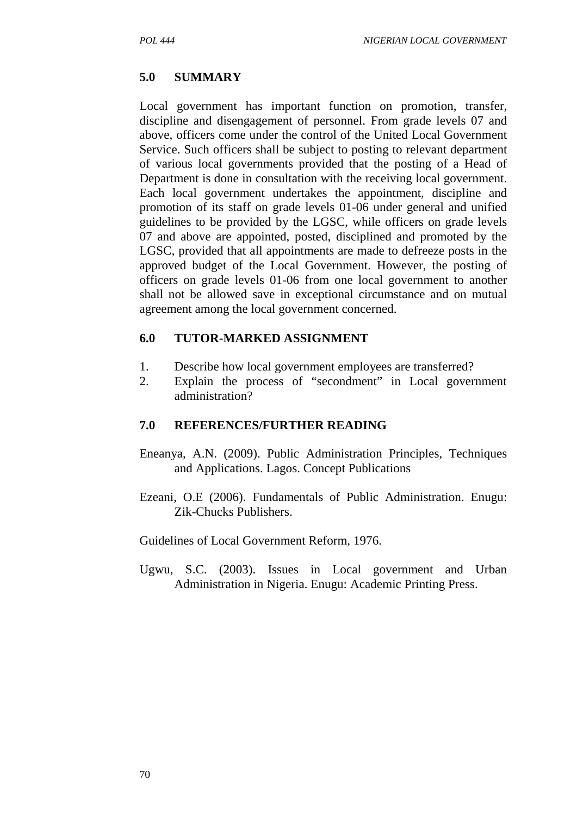#### **5.0 SUMMARY**

Local government has important function on promotion, transfer, discipline and disengagement of personnel. From grade levels 07 and above, officers come under the control of the United Local Government Service. Such officers shall be subject to posting to relevant department of various local governments provided that the posting of a Head of Department is done in consultation with the receiving local government. Each local government undertakes the appointment, discipline and promotion of its staff on grade levels 01-06 under general and unified guidelines to be provided by the LGSC, while officers on grade levels 07 and above are appointed, posted, disciplined and promoted by the LGSC, provided that all appointments are made to defreeze posts in the approved budget of the Local Government. However, the posting of officers on grade levels 01-06 from one local government to another shall not be allowed save in exceptional circumstance and on mutual agreement among the local government concerned.

#### **6.0 TUTOR-MARKED ASSIGNMENT**

- 1. Describe how local government employees are transferred?
- 2. Explain the process of "secondment" in Local government administration?

#### **7.0 REFERENCES/FURTHER READING**

- Eneanya, A.N. (2009). Public Administration Principles, Techniques and Applications. Lagos. Concept Publications
- Ezeani, O.E (2006). Fundamentals of Public Administration. Enugu: Zik-Chucks Publishers.

Guidelines of Local Government Reform, 1976.

Ugwu, S.C. (2003). Issues in Local government and Urban Administration in Nigeria. Enugu: Academic Printing Press.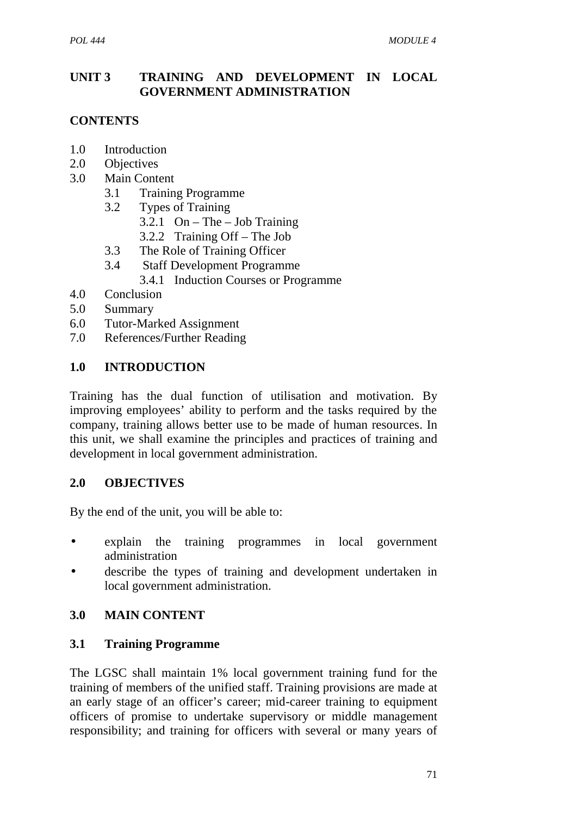# **UNIT 3 TRAINING AND DEVELOPMENT IN LOCAL GOVERNMENT ADMINISTRATION**

# **CONTENTS**

- 1.0 Introduction
- 2.0 Objectives
- 3.0 Main Content
	- 3.1 Training Programme
	- 3.2 Types of Training
		- 3.2.1 On The Job Training
		- 3.2.2 Training Off The Job
	- 3.3 The Role of Training Officer
	- 3.4 Staff Development Programme
		- 3.4.1 Induction Courses or Programme
- 4.0 Conclusion
- 5.0 Summary
- 6.0 Tutor-Marked Assignment
- 7.0 References/Further Reading

#### **1.0 INTRODUCTION**

Training has the dual function of utilisation and motivation. By improving employees' ability to perform and the tasks required by the company, training allows better use to be made of human resources. In this unit, we shall examine the principles and practices of training and development in local government administration.

#### **2.0 OBJECTIVES**

By the end of the unit, you will be able to:

- explain the training programmes in local government administration
- describe the types of training and development undertaken in local government administration.

#### **3.0 MAIN CONTENT**

#### **3.1 Training Programme**

The LGSC shall maintain 1% local government training fund for the training of members of the unified staff. Training provisions are made at an early stage of an officer's career; mid-career training to equipment officers of promise to undertake supervisory or middle management responsibility; and training for officers with several or many years of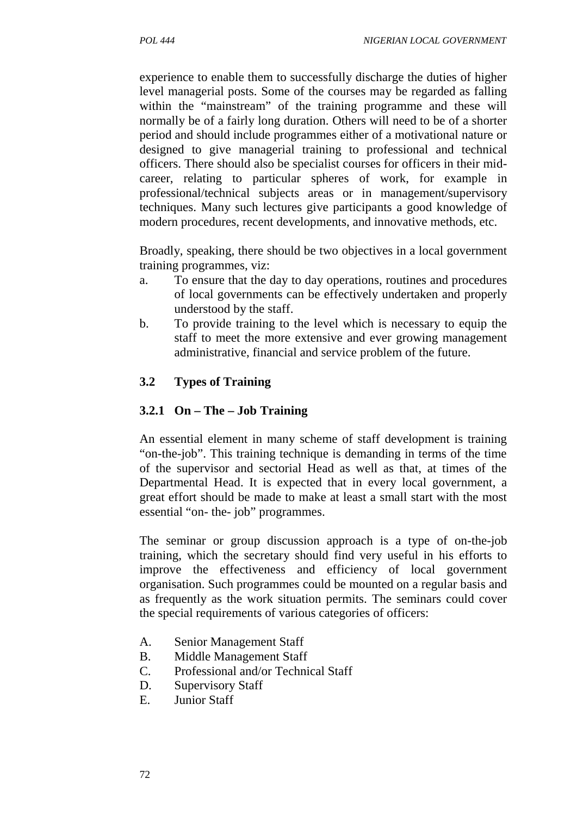experience to enable them to successfully discharge the duties of higher level managerial posts. Some of the courses may be regarded as falling within the "mainstream" of the training programme and these will normally be of a fairly long duration. Others will need to be of a shorter period and should include programmes either of a motivational nature or designed to give managerial training to professional and technical officers. There should also be specialist courses for officers in their mid career, relating to particular spheres of work, for example in professional/technical subjects areas or in management/supervisory techniques. Many such lectures give participants a good knowledge of modern procedures, recent developments, and innovative methods, etc.

Broadly, speaking, there should be two objectives in a local government training programmes, viz:

- a. To ensure that the day to day operations, routines and procedures of local governments can be effectively undertaken and properly understood by the staff.
- b. To provide training to the level which is necessary to equip the staff to meet the more extensive and ever growing management administrative, financial and service problem of the future.

### **3.2 Types of Training**

### **3.2.1 On – The – Job Training**

An essential element in many scheme of staff development is training "on-the-job". This training technique is demanding in terms of the time of the supervisor and sectorial Head as well as that, at times of the Departmental Head. It is expected that in every local government, a great effort should be made to make at least a small start with the most essential "on- the- job" programmes.

The seminar or group discussion approach is a type of on-the-job training, which the secretary should find very useful in his efforts to improve the effectiveness and efficiency of local government organisation. Such programmes could be mounted on a regular basis and as frequently as the work situation permits. The seminars could cover the special requirements of various categories of officers:

- A. Senior Management Staff
- B. Middle Management Staff
- C. Professional and/or Technical Staff
- D. Supervisory Staff
- E. Junior Staff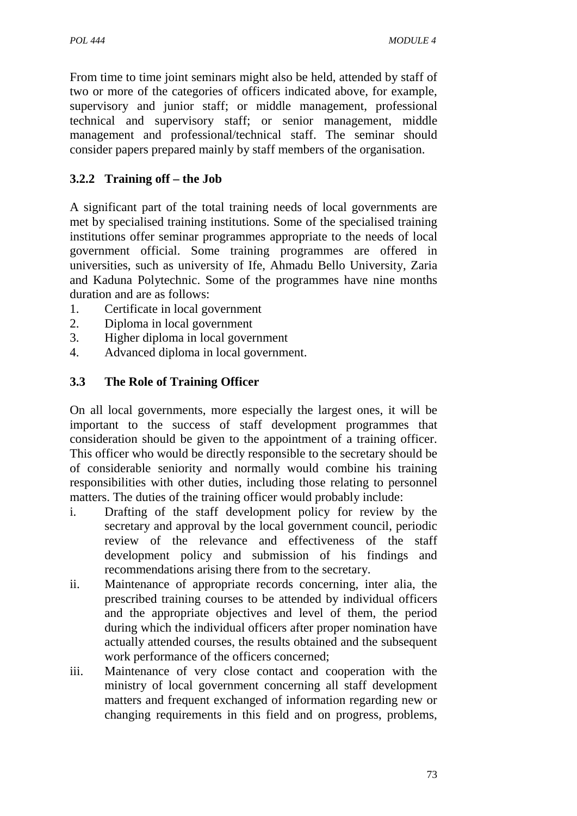From time to time joint seminars might also be held, attended by staff of two or more of the categories of officers indicated above, for example, supervisory and junior staff; or middle management, professional technical and supervisory staff; or senior management, middle management and professional/technical staff. The seminar should consider papers prepared mainly by staff members of the organisation.

# **3.2.2 Training off – the Job**

A significant part of the total training needs of local governments are met by specialised training institutions. Some of the specialised training institutions offer seminar programmes appropriate to the needs of local government official. Some training programmes are offered in universities, such as university of Ife, Ahmadu Bello University, Zaria and Kaduna Polytechnic. Some of the programmes have nine months duration and are as follows:

- 1. Certificate in local government
- 2. Diploma in local government
- 3. Higher diploma in local government
- 4. Advanced diploma in local government.

### **3.3 The Role of Training Officer**

On all local governments, more especially the largest ones, it will be important to the success of staff development programmes that consideration should be given to the appointment of a training officer. This officer who would be directly responsible to the secretary should be of considerable seniority and normally would combine his training responsibilities with other duties, including those relating to personnel matters. The duties of the training officer would probably include:

- i. Drafting of the staff development policy for review by the secretary and approval by the local government council, periodic review of the relevance and effectiveness of the staff development policy and submission of his findings and recommendations arising there from to the secretary.
- ii. Maintenance of appropriate records concerning, inter alia, the prescribed training courses to be attended by individual officers and the appropriate objectives and level of them, the period during which the individual officers after proper nomination have actually attended courses, the results obtained and the subsequent work performance of the officers concerned;
- iii. Maintenance of very close contact and cooperation with the ministry of local government concerning all staff development matters and frequent exchanged of information regarding new or changing requirements in this field and on progress, problems,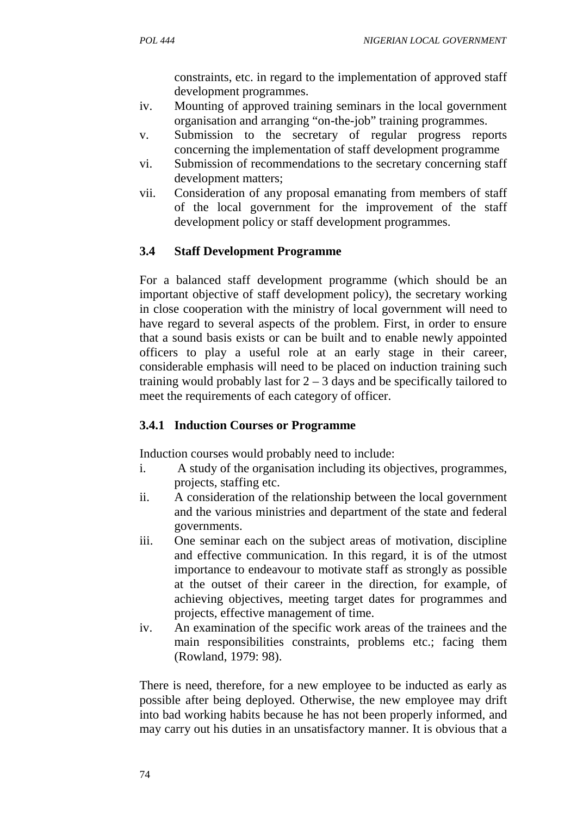constraints, etc. in regard to the implementation of approved staff development programmes.

- iv. Mounting of approved training seminars in the local government organisation and arranging "on-the-job" training programmes.
- v. Submission to the secretary of regular progress reports concerning the implementation of staff development programme
- vi. Submission of recommendations to the secretary concerning staff development matters;
- vii. Consideration of any proposal emanating from members of staff of the local government for the improvement of the staff development policy or staff development programmes.

# **3.4 Staff Development Programme**

For a balanced staff development programme (which should be an important objective of staff development policy), the secretary working in close cooperation with the ministry of local government will need to have regard to several aspects of the problem. First, in order to ensure that a sound basis exists or can be built and to enable newly appointed officers to play a useful role at an early stage in their career, considerable emphasis will need to be placed on induction training such training would probably last for  $2 - 3$  days and be specifically tailored to meet the requirements of each category of officer.

# **3.4.1 Induction Courses or Programme**

Induction courses would probably need to include:

- i. A study of the organisation including its objectives, programmes, projects, staffing etc.
- ii. A consideration of the relationship between the local government and the various ministries and department of the state and federal governments.
- iii. One seminar each on the subject areas of motivation, discipline and effective communication. In this regard, it is of the utmost importance to endeavour to motivate staff as strongly as possible at the outset of their career in the direction, for example, of achieving objectives, meeting target dates for programmes and projects, effective management of time.
- iv. An examination of the specific work areas of the trainees and the main responsibilities constraints, problems etc.; facing them (Rowland, 1979: 98).

There is need, therefore, for a new employee to be inducted as early as possible after being deployed. Otherwise, the new employee may drift into bad working habits because he has not been properly informed, and may carry out his duties in an unsatisfactory manner. It is obvious that a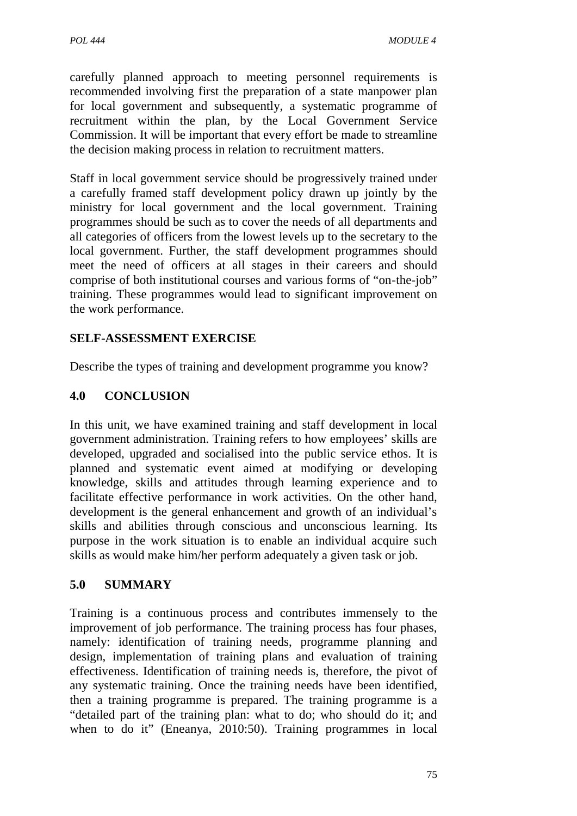carefully planned approach to meeting personnel requirements is recommended involving first the preparation of a state manpower plan for local government and subsequently, a systematic programme of recruitment within the plan, by the Local Government Service Commission. It will be important that every effort be made to streamline the decision making process in relation to recruitment matters.

Staff in local government service should be progressively trained under a carefully framed staff development policy drawn up jointly by the ministry for local government and the local government. Training programmes should be such as to cover the needs of all departments and all categories of officers from the lowest levels up to the secretary to the local government. Further, the staff development programmes should meet the need of officers at all stages in their careers and should comprise of both institutional courses and various forms of "on-the-job" training. These programmes would lead to significant improvement on the work performance.

# **SELF-ASSESSMENT EXERCISE**

Describe the types of training and development programme you know?

### **4.0 CONCLUSION**

In this unit, we have examined training and staff development in local government administration. Training refers to how employees' skills are developed, upgraded and socialised into the public service ethos. It is planned and systematic event aimed at modifying or developing knowledge, skills and attitudes through learning experience and to facilitate effective performance in work activities. On the other hand, development is the general enhancement and growth of an individual's skills and abilities through conscious and unconscious learning. Its purpose in the work situation is to enable an individual acquire such skills as would make him/her perform adequately a given task or job.

# **5.0 SUMMARY**

Training is a continuous process and contributes immensely to the improvement of job performance. The training process has four phases, namely: identification of training needs, programme planning and design, implementation of training plans and evaluation of training effectiveness. Identification of training needs is, therefore, the pivot of any systematic training. Once the training needs have been identified, then a training programme is prepared. The training programme is a "detailed part of the training plan: what to do; who should do it; and when to do it" (Eneanya, 2010:50). Training programmes in local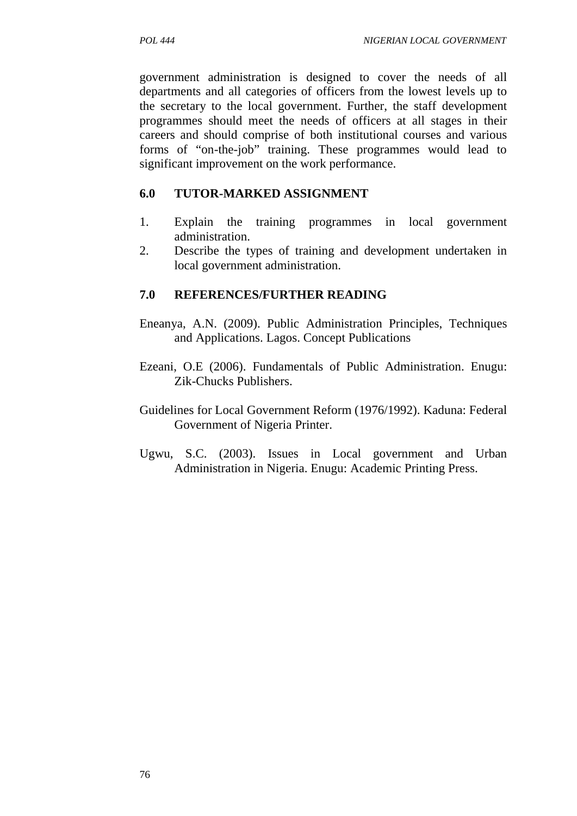government administration is designed to cover the needs of all departments and all categories of officers from the lowest levels up to the secretary to the local government. Further, the staff development programmes should meet the needs of officers at all stages in their careers and should comprise of both institutional courses and various forms of "on-the-job" training. These programmes would lead to significant improvement on the work performance.

### **6.0 TUTOR-MARKED ASSIGNMENT**

- 1. Explain the training programmes in local government administration.
- 2. Describe the types of training and development undertaken in local government administration.

### **7.0 REFERENCES/FURTHER READING**

- Eneanya, A.N. (2009). Public Administration Principles, Techniques and Applications. Lagos. Concept Publications
- Ezeani, O.E (2006). Fundamentals of Public Administration. Enugu: Zik-Chucks Publishers.
- Guidelines for Local Government Reform (1976/1992). Kaduna: Federal Government of Nigeria Printer.
- Ugwu, S.C. (2003). Issues in Local government and Urban Administration in Nigeria. Enugu: Academic Printing Press.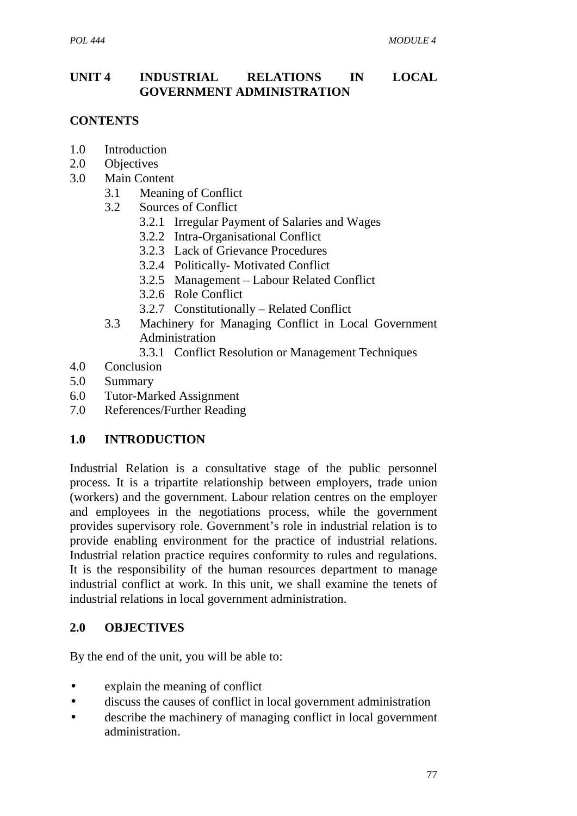## **UNIT 4 INDUSTRIAL RELATIONS IN LOCAL GOVERNMENT ADMINISTRATION**

# **CONTENTS**

- 1.0 Introduction
- 2.0 Objectives
- 3.0 Main Content
	- 3.1 Meaning of Conflict
	- 3.2 Sources of Conflict
		- 3.2.1 Irregular Payment of Salaries and Wages
		- 3.2.2 Intra-Organisational Conflict
		- 3.2.3 Lack of Grievance Procedures
		- 3.2.4 Politically- Motivated Conflict
		- 3.2.5 Management Labour Related Conflict
		- 3.2.6 Role Conflict
		- 3.2.7 Constitutionally Related Conflict
	- 3.3 Machinery for Managing Conflict in Local Government Administration
		- 3.3.1 Conflict Resolution or Management Techniques
- 4.0 Conclusion
- 5.0 Summary
- 6.0 Tutor-Marked Assignment
- 7.0 References/Further Reading

# **1.0 INTRODUCTION**

Industrial Relation is a consultative stage of the public personnel process. It is a tripartite relationship between employers, trade union (workers) and the government. Labour relation centres on the employer and employees in the negotiations process, while the government provides supervisory role. Government's role in industrial relation is to provide enabling environment for the practice of industrial relations. Industrial relation practice requires conformity to rules and regulations. It is the responsibility of the human resources department to manage industrial conflict at work. In this unit, we shall examine the tenets of industrial relations in local government administration.

#### **2.0 OBJECTIVES**

By the end of the unit, you will be able to:

- explain the meaning of conflict
- discuss the causes of conflict in local government administration
- describe the machinery of managing conflict in local government administration.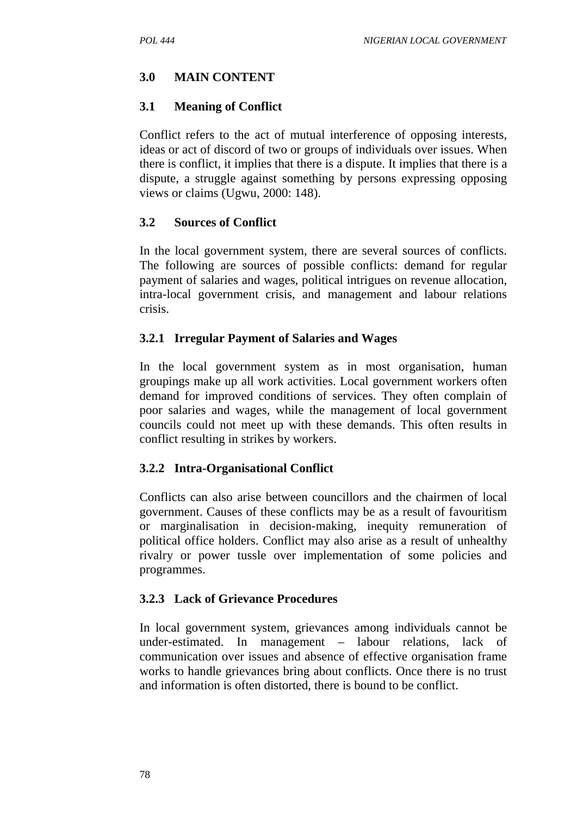### **3.0 MAIN CONTENT**

#### **3.1 Meaning of Conflict**

Conflict refers to the act of mutual interference of opposing interests, ideas or act of discord of two or groups of individuals over issues. When there is conflict, it implies that there is a dispute. It implies that there is a dispute, a struggle against something by persons expressing opposing views or claims (Ugwu, 2000: 148).

### **3.2 Sources of Conflict**

In the local government system, there are several sources of conflicts. The following are sources of possible conflicts: demand for regular payment of salaries and wages, political intrigues on revenue allocation, intra-local government crisis, and management and labour relations crisis.

#### **3.2.1 Irregular Payment of Salaries and Wages**

In the local government system as in most organisation, human groupings make up all work activities. Local government workers often demand for improved conditions of services. They often complain of poor salaries and wages, while the management of local government councils could not meet up with these demands. This often results in conflict resulting in strikes by workers.

#### **3.2.2 Intra-Organisational Conflict**

Conflicts can also arise between councillors and the chairmen of local government. Causes of these conflicts may be as a result of favouritism or marginalisation in decision-making, inequity remuneration of political office holders. Conflict may also arise as a result of unhealthy rivalry or power tussle over implementation of some policies and programmes.

#### **3.2.3 Lack of Grievance Procedures**

In local government system, grievances among individuals cannot be under-estimated. In management  $-$  labour relations, lack communication over issues and absence of effective organisation frame works to handle grievances bring about conflicts. Once there is no trust and information is often distorted, there is bound to be conflict.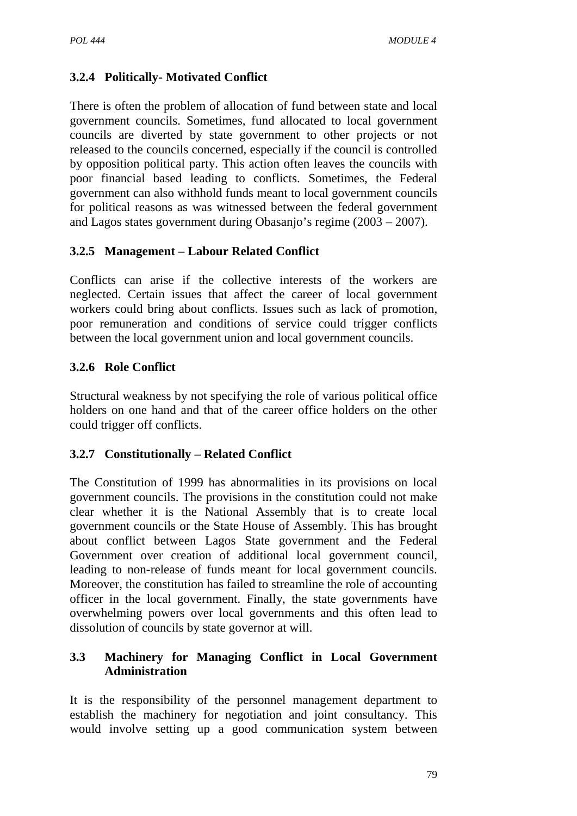# **3.2.4 Politically- Motivated Conflict**

There is often the problem of allocation of fund between state and local government councils. Sometimes, fund allocated to local government councils are diverted by state government to other projects or not released to the councils concerned, especially if the council is controlled by opposition political party. This action often leaves the councils with poor financial based leading to conflicts. Sometimes, the Federal government can also withhold funds meant to local government councils for political reasons as was witnessed between the federal government and Lagos states government during Obasanjo's regime (2003 – 2007).

### **3.2.5 Management – Labour Related Conflict**

Conflicts can arise if the collective interests of the workers are neglected. Certain issues that affect the career of local government workers could bring about conflicts. Issues such as lack of promotion, poor remuneration and conditions of service could trigger conflicts between the local government union and local government councils.

# **3.2.6 Role Conflict**

Structural weakness by not specifying the role of various political office holders on one hand and that of the career office holders on the other could trigger off conflicts.

#### **3.2.7 Constitutionally – Related Conflict**

The Constitution of 1999 has abnormalities in its provisions on local government councils. The provisions in the constitution could not make clear whether it is the National Assembly that is to create local government councils or the State House of Assembly. This has brought about conflict between Lagos State government and the Federal Government over creation of additional local government council, leading to non-release of funds meant for local government councils. Moreover, the constitution has failed to streamline the role of accounting officer in the local government. Finally, the state governments have overwhelming powers over local governments and this often lead to dissolution of councils by state governor at will.

### **3.3 Machinery for Managing Conflict in Local Government Administration**

It is the responsibility of the personnel management department to establish the machinery for negotiation and joint consultancy. This would involve setting up a good communication system between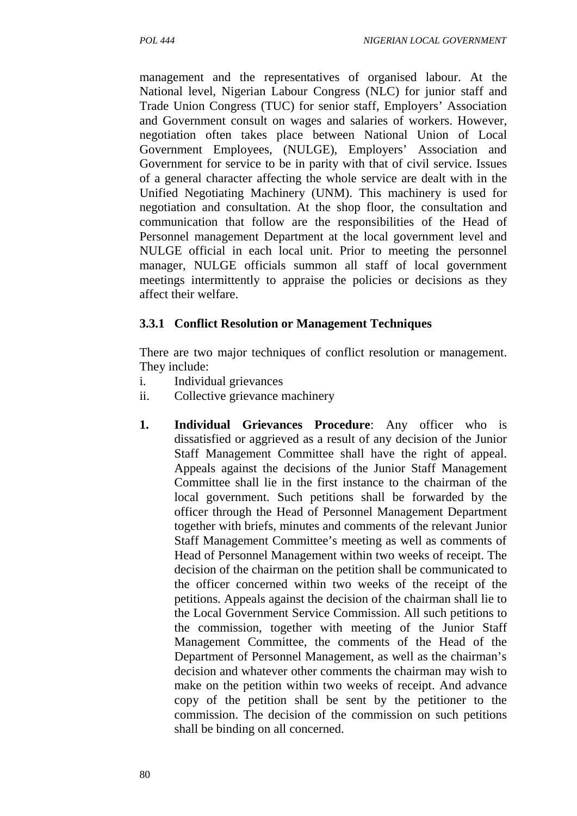management and the representatives of organised labour. At the National level, Nigerian Labour Congress (NLC) for junior staff and Trade Union Congress (TUC) for senior staff, Employers' Association and Government consult on wages and salaries of workers. However, negotiation often takes place between National Union of Local Government Employees, (NULGE), Employers' Association and Government for service to be in parity with that of civil service. Issues of a general character affecting the whole service are dealt with in the Unified Negotiating Machinery (UNM). This machinery is used for negotiation and consultation. At the shop floor, the consultation and communication that follow are the responsibilities of the Head of Personnel management Department at the local government level and NULGE official in each local unit. Prior to meeting the personnel manager, NULGE officials summon all staff of local government meetings intermittently to appraise the policies or decisions as they affect their welfare.

#### **3.3.1 Conflict Resolution or Management Techniques**

There are two major techniques of conflict resolution or management. They include:

- i. Individual grievances
- ii. Collective grievance machinery
- **1. Individual Grievances Procedure**: Any officer who is dissatisfied or aggrieved as a result of any decision of the Junior Staff Management Committee shall have the right of appeal. Appeals against the decisions of the Junior Staff Management Committee shall lie in the first instance to the chairman of the local government. Such petitions shall be forwarded by the officer through the Head of Personnel Management Department together with briefs, minutes and comments of the relevant Junior Staff Management Committee's meeting as well as comments of Head of Personnel Management within two weeks of receipt. The decision of the chairman on the petition shall be communicated to the officer concerned within two weeks of the receipt of the petitions. Appeals against the decision of the chairman shall lie to the Local Government Service Commission. All such petitions to the commission, together with meeting of the Junior Staff Management Committee, the comments of the Head of the Department of Personnel Management, as well as the chairman's decision and whatever other comments the chairman may wish to make on the petition within two weeks of receipt. And advance copy of the petition shall be sent by the petitioner to the commission. The decision of the commission on such petitions shall be binding on all concerned.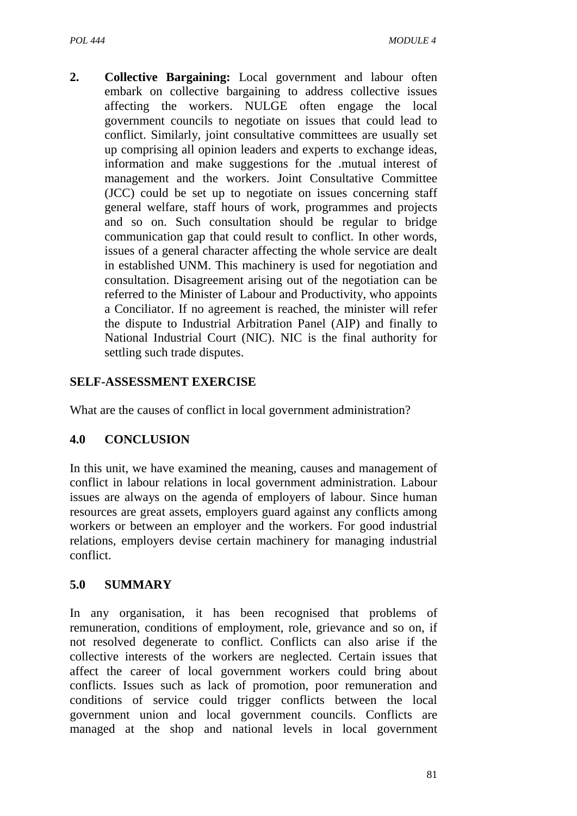**2. Collective Bargaining:** Local government and labour often embark on collective bargaining to address collective issues affecting the workers. NULGE often engage the local government councils to negotiate on issues that could lead to conflict. Similarly, joint consultative committees are usually set up comprising all opinion leaders and experts to exchange ideas, information and make suggestions for the .mutual interest of management and the workers. Joint Consultative Committee (JCC) could be set up to negotiate on issues concerning staff general welfare, staff hours of work, programmes and projects and so on. Such consultation should be regular to bridge communication gap that could result to conflict. In other words, issues of a general character affecting the whole service are dealt in established UNM. This machinery is used for negotiation and consultation. Disagreement arising out of the negotiation can be referred to the Minister of Labour and Productivity, who appoints a Conciliator. If no agreement is reached, the minister will refer the dispute to Industrial Arbitration Panel (AIP) and finally to National Industrial Court (NIC). NIC is the final authority for settling such trade disputes.

### **SELF-ASSESSMENT EXERCISE**

What are the causes of conflict in local government administration?

# **4.0 CONCLUSION**

In this unit, we have examined the meaning, causes and management of conflict in labour relations in local government administration. Labour issues are always on the agenda of employers of labour. Since human resources are great assets, employers guard against any conflicts among workers or between an employer and the workers. For good industrial relations, employers devise certain machinery for managing industrial conflict.

#### **5.0 SUMMARY**

In any organisation, it has been recognised that problems of remuneration, conditions of employment, role, grievance and so on, if not resolved degenerate to conflict. Conflicts can also arise if the collective interests of the workers are neglected. Certain issues that affect the career of local government workers could bring about conflicts. Issues such as lack of promotion, poor remuneration and conditions of service could trigger conflicts between the local government union and local government councils. Conflicts are managed at the shop and national levels in local government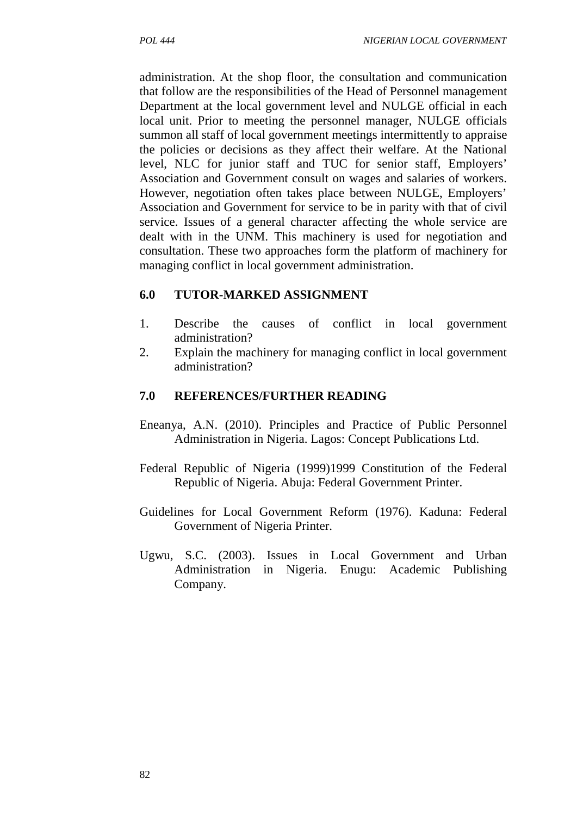administration. At the shop floor, the consultation and communication that follow are the responsibilities of the Head of Personnel management Department at the local government level and NULGE official in each local unit. Prior to meeting the personnel manager, NULGE officials summon all staff of local government meetings intermittently to appraise the policies or decisions as they affect their welfare. At the National level, NLC for junior staff and TUC for senior staff, Employers' Association and Government consult on wages and salaries of workers. However, negotiation often takes place between NULGE, Employers' Association and Government for service to be in parity with that of civil service. Issues of a general character affecting the whole service are dealt with in the UNM. This machinery is used for negotiation and consultation. These two approaches form the platform of machinery for managing conflict in local government administration.

#### **6.0 TUTOR-MARKED ASSIGNMENT**

- 1. Describe the causes of conflict in local government administration?
- 2. Explain the machinery for managing conflict in local government administration?

### **7.0 REFERENCES/FURTHER READING**

- Eneanya, A.N. (2010). Principles and Practice of Public Personnel Administration in Nigeria. Lagos: Concept Publications Ltd.
- Federal Republic of Nigeria (1999)1999 Constitution of the Federal Republic of Nigeria. Abuja: Federal Government Printer.
- Guidelines for Local Government Reform (1976). Kaduna: Federal Government of Nigeria Printer.
- Ugwu, S.C. (2003). Issues in Local Government and Urban Administration in Nigeria. Enugu: Academic Publishing Company.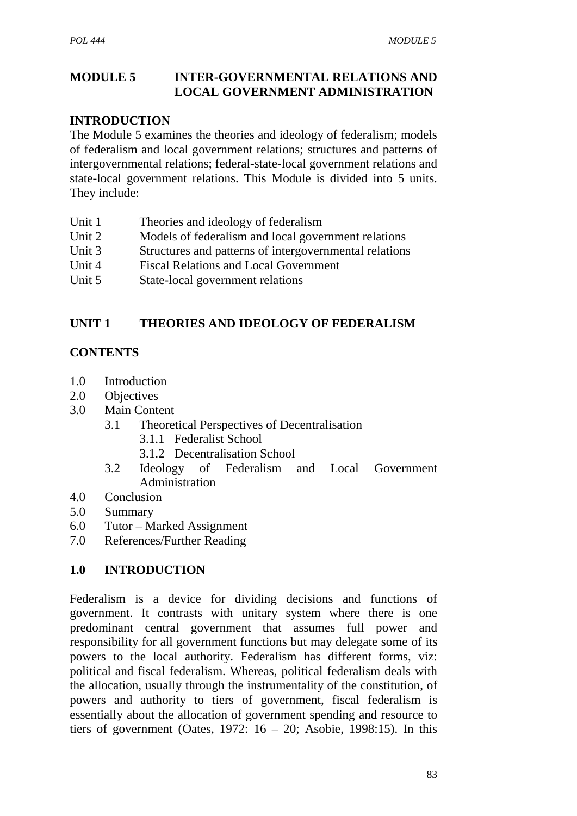### **MODULE 5 INTER-GOVERNMENTAL RELATIONS AND LOCAL GOVERNMENT ADMINISTRATION**

### **INTRODUCTION**

The Module 5 examines the theories and ideology of federalism; models of federalism and local government relations; structures and patterns of intergovernmental relations; federal-state-local government relations and state-local government relations. This Module is divided into 5 units. They include:

- Unit 1 Theories and ideology of federalism
- Unit 2 Models of federalism and local government relations
- Unit 3 Structures and patterns of intergovernmental relations
- Unit 4 Fiscal Relations and Local Government
- Unit 5 State-local government relations

# **UNIT 1 THEORIES AND IDEOLOGY OF FEDERALISM**

### **CONTENTS**

- 1.0 Introduction
- 2.0 Objectives
- 3.0 Main Content
	- 3.1 Theoretical Perspectives of Decentralisation
		- 3.1.1 Federalist School
		- 3.1.2 Decentralisation School
	- 3.2 Ideology of Federalism and Local Government Administration
- 4.0 Conclusion
- 5.0 Summary
- 6.0 Tutor Marked Assignment
- 7.0 References/Further Reading

#### **1.0 INTRODUCTION**

Federalism is a device for dividing decisions and functions of government. It contrasts with unitary system where there is one predominant central government that assumes full power and responsibility for all government functions but may delegate some of its powers to the local authority. Federalism has different forms, viz: political and fiscal federalism. Whereas, political federalism deals with the allocation, usually through the instrumentality of the constitution, of powers and authority to tiers of government, fiscal federalism is essentially about the allocation of government spending and resource to tiers of government (Oates, 1972:  $16 - 20$ ; Asobie, 1998:15). In this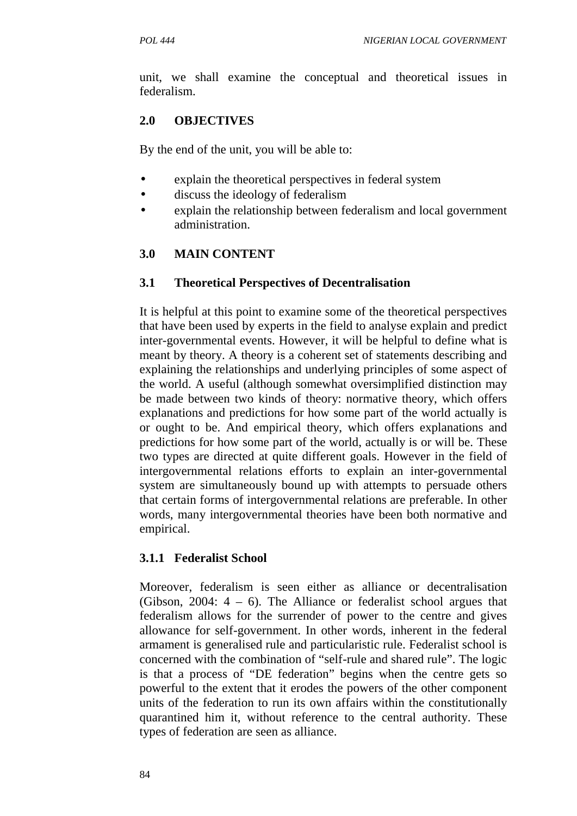unit, we shall examine the conceptual and theoretical issues in federalism.

# **2.0 OBJECTIVES**

By the end of the unit, you will be able to:

- explain the theoretical perspectives in federal system
- discuss the ideology of federalism
- explain the relationship between federalism and local government administration.

# **3.0 MAIN CONTENT**

### **3.1 Theoretical Perspectives of Decentralisation**

It is helpful at this point to examine some of the theoretical perspectives that have been used by experts in the field to analyse explain and predict inter-governmental events. However, it will be helpful to define what is meant by theory. A theory is a coherent set of statements describing and explaining the relationships and underlying principles of some aspect of the world. A useful (although somewhat oversimplified distinction may be made between two kinds of theory: normative theory, which offers explanations and predictions for how some part of the world actually is or ought to be. And empirical theory, which offers explanations and predictions for how some part of the world, actually is or will be. These two types are directed at quite different goals. However in the field of intergovernmental relations efforts to explain an inter-governmental system are simultaneously bound up with attempts to persuade others that certain forms of intergovernmental relations are preferable. In other words, many intergovernmental theories have been both normative and empirical.

#### **3.1.1 Federalist School**

Moreover, federalism is seen either as alliance or decentralisation (Gibson, 2004: 4 – 6). The Alliance or federalist school argues that federalism allows for the surrender of power to the centre and gives allowance for self-government. In other words, inherent in the federal armament is generalised rule and particularistic rule. Federalist school is concerned with the combination of "self-rule and shared rule". The logic is that a process of "DE federation" begins when the centre gets so powerful to the extent that it erodes the powers of the other component units of the federation to run its own affairs within the constitutionally quarantined him it, without reference to the central authority. These types of federation are seen as alliance.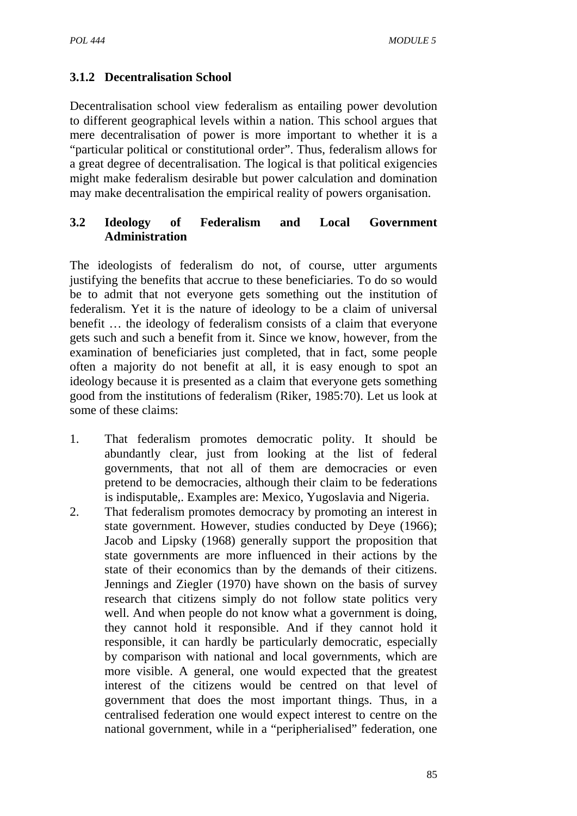# **3.1.2 Decentralisation School**

Decentralisation school view federalism as entailing power devolution to different geographical levels within a nation. This school argues that mere decentralisation of power is more important to whether it is a "particular political or constitutional order". Thus, federalism allows for a great degree of decentralisation. The logical is that political exigencies might make federalism desirable but power calculation and domination may make decentralisation the empirical reality of powers organisation.

### **3.2 Ideology of Federalism and Local Government Administration**

The ideologists of federalism do not, of course, utter arguments justifying the benefits that accrue to these beneficiaries. To do so would be to admit that not everyone gets something out the institution of federalism. Yet it is the nature of ideology to be a claim of universal benefit … the ideology of federalism consists of a claim that everyone gets such and such a benefit from it. Since we know, however, from the examination of beneficiaries just completed, that in fact, some people often a majority do not benefit at all, it is easy enough to spot an ideology because it is presented as a claim that everyone gets something good from the institutions of federalism (Riker, 1985:70). Let us look at some of these claims:

- 1. That federalism promotes democratic polity. It should be abundantly clear, just from looking at the list of federal governments, that not all of them are democracies or even pretend to be democracies, although their claim to be federations is indisputable,. Examples are: Mexico, Yugoslavia and Nigeria.
- 2. That federalism promotes democracy by promoting an interest in state government. However, studies conducted by Deye (1966); Jacob and Lipsky (1968) generally support the proposition that state governments are more influenced in their actions by the state of their economics than by the demands of their citizens. Jennings and Ziegler (1970) have shown on the basis of survey research that citizens simply do not follow state politics very well. And when people do not know what a government is doing, they cannot hold it responsible. And if they cannot hold it responsible, it can hardly be particularly democratic, especially by comparison with national and local governments, which are more visible. A general, one would expected that the greatest interest of the citizens would be centred on that level of government that does the most important things. Thus, in a centralised federation one would expect interest to centre on the national government, while in a "peripherialised" federation, one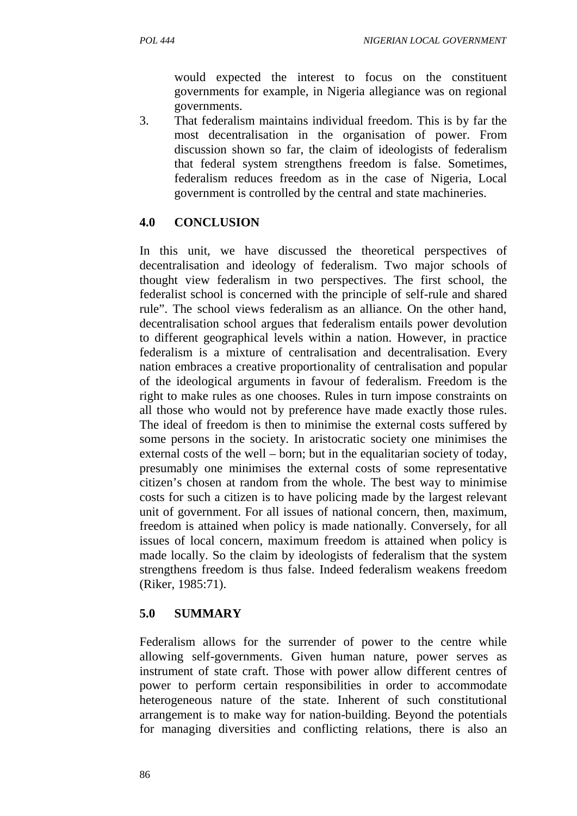would expected the interest to focus on the constituent governments for example, in Nigeria allegiance was on regional governments.

3. That federalism maintains individual freedom. This is by far the most decentralisation in the organisation of power. From discussion shown so far, the claim of ideologists of federalism that federal system strengthens freedom is false. Sometimes, federalism reduces freedom as in the case of Nigeria, Local government is controlled by the central and state machineries.

### **4.0 CONCLUSION**

In this unit, we have discussed the theoretical perspectives of decentralisation and ideology of federalism. Two major schools of thought view federalism in two perspectives. The first school, the federalist school is concerned with the principle of self-rule and shared rule". The school views federalism as an alliance. On the other hand, decentralisation school argues that federalism entails power devolution to different geographical levels within a nation. However, in practice federalism is a mixture of centralisation and decentralisation. Every nation embraces a creative proportionality of centralisation and popular of the ideological arguments in favour of federalism. Freedom is the right to make rules as one chooses. Rules in turn impose constraints on all those who would not by preference have made exactly those rules. The ideal of freedom is then to minimise the external costs suffered by some persons in the society. In aristocratic society one minimises the external costs of the well – born; but in the equalitarian society of today, presumably one minimises the external costs of some representative citizen's chosen at random from the whole. The best way to minimise costs for such a citizen is to have policing made by the largest relevant unit of government. For all issues of national concern, then, maximum, freedom is attained when policy is made nationally. Conversely, for all issues of local concern, maximum freedom is attained when policy is made locally. So the claim by ideologists of federalism that the system strengthens freedom is thus false. Indeed federalism weakens freedom (Riker, 1985:71).

# **5.0 SUMMARY**

Federalism allows for the surrender of power to the centre while allowing self-governments. Given human nature, power serves as instrument of state craft. Those with power allow different centres of power to perform certain responsibilities in order to accommodate heterogeneous nature of the state. Inherent of such constitutional arrangement is to make way for nation-building. Beyond the potentials for managing diversities and conflicting relations, there is also an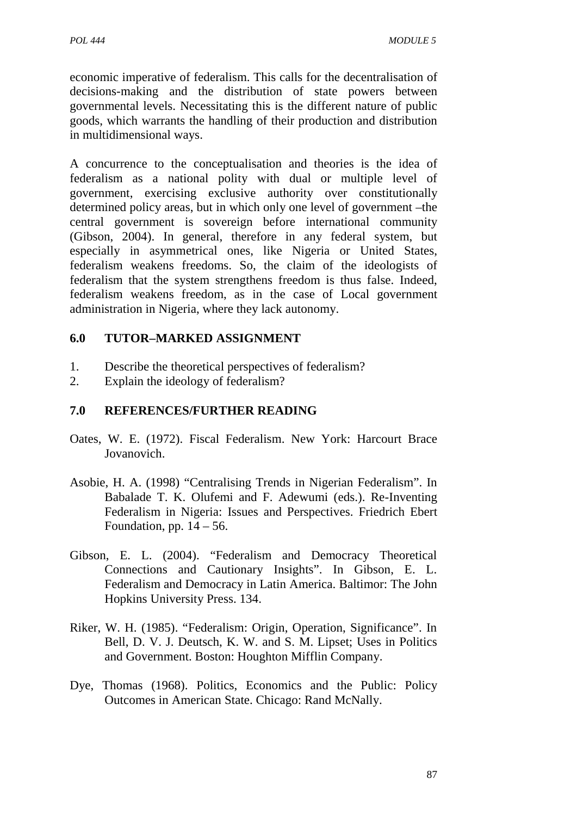economic imperative of federalism. This calls for the decentralisation of decisions-making and the distribution of state powers between governmental levels. Necessitating this is the different nature of public goods, which warrants the handling of their production and distribution in multidimensional ways.

A concurrence to the conceptualisation and theories is the idea of federalism as a national polity with dual or multiple level of government, exercising exclusive authority over constitutionally determined policy areas, but in which only one level of government –the central government is sovereign before international community (Gibson, 2004). In general, therefore in any federal system, but especially in asymmetrical ones, like Nigeria or United States, federalism weakens freedoms. So, the claim of the ideologists of federalism that the system strengthens freedom is thus false. Indeed, federalism weakens freedom, as in the case of Local government administration in Nigeria, where they lack autonomy.

### **6.0 TUTOR–MARKED ASSIGNMENT**

- 1. Describe the theoretical perspectives of federalism?
- 2. Explain the ideology of federalism?

## **7.0 REFERENCES/FURTHER READING**

- Oates, W. E. (1972). Fiscal Federalism. New York: Harcourt Brace Jovanovich.
- Asobie, H. A. (1998) "Centralising Trends in Nigerian Federalism". In Babalade T. K. Olufemi and F. Adewumi (eds.). Re-Inventing Federalism in Nigeria: Issues and Perspectives. Friedrich Ebert Foundation, pp.  $14 - 56$ .
- Gibson, E. L. (2004). "Federalism and Democracy Theoretical Connections and Cautionary Insights". In Gibson, E. L. Federalism and Democracy in Latin America. Baltimor: The John Hopkins University Press. 134.
- Riker, W. H. (1985). "Federalism: Origin, Operation, Significance". In Bell, D. V. J. Deutsch, K. W. and S. M. Lipset; Uses in Politics and Government. Boston: Houghton Mifflin Company.
- Dye, Thomas (1968). Politics, Economics and the Public: Policy Outcomes in American State. Chicago: Rand McNally.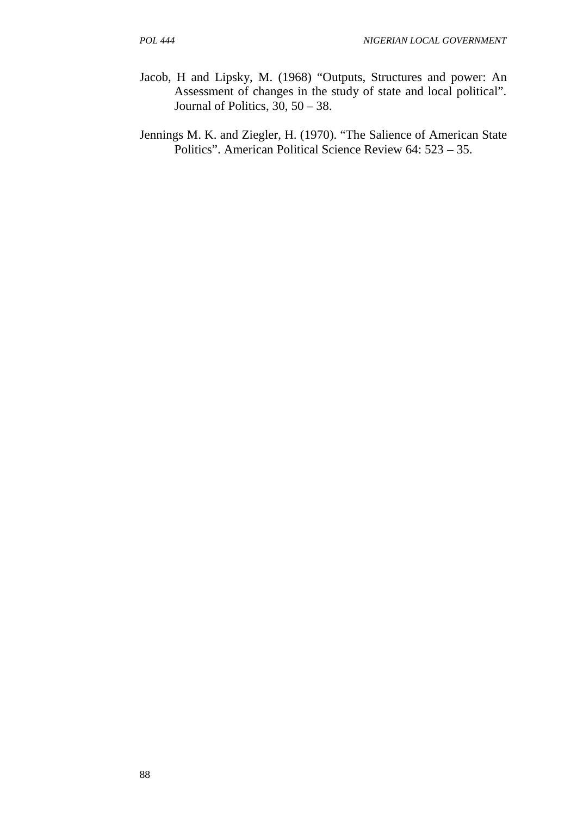- Jacob, H and Lipsky, M. (1968) "Outputs, Structures and power: An Assessment of changes in the study of state and local political". Journal of Politics, 30, 50 – 38.
- Jennings M. K. and Ziegler, H. (1970). "The Salience of American State Politics". American Political Science Review 64: 523 – 35.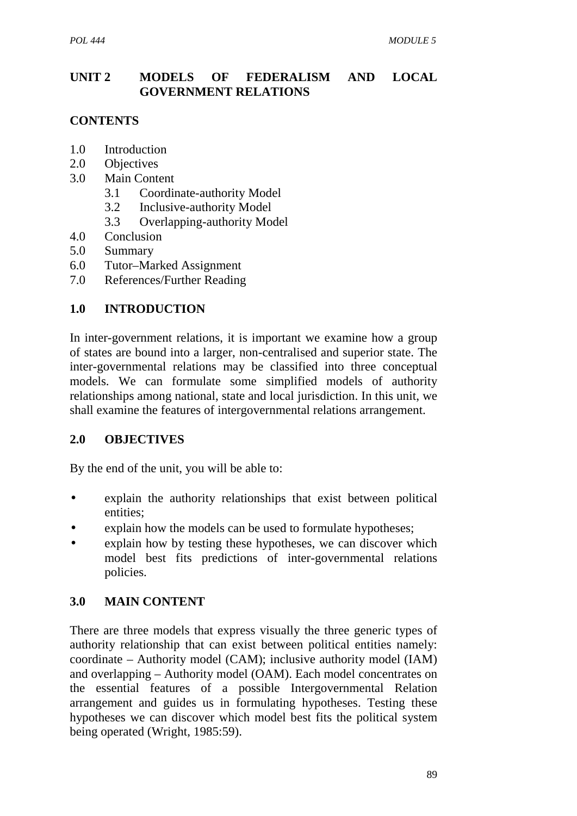## **UNIT 2 MODELS OF FEDERALISM AND LOCAL GOVERNMENT RELATIONS**

# **CONTENTS**

- 1.0 Introduction
- 2.0 Objectives
- 3.0 Main Content
	- 3.1 Coordinate-authority Model
	- 3.2 Inclusive-authority Model
	- 3.3 Overlapping-authority Model
- 4.0 Conclusion
- 5.0 Summary
- 6.0 Tutor–Marked Assignment
- 7.0 References/Further Reading

### **1.0 INTRODUCTION**

In inter-government relations, it is important we examine how a group of states are bound into a larger, non-centralised and superior state. The inter-governmental relations may be classified into three conceptual models. We can formulate some simplified models of authority relationships among national, state and local jurisdiction. In this unit, we shall examine the features of intergovernmental relations arrangement.

#### **2.0 OBJECTIVES**

By the end of the unit, you will be able to:

- explain the authority relationships that exist between political entities;
- explain how the models can be used to formulate hypotheses;
- explain how by testing these hypotheses, we can discover which model best fits predictions of inter-governmental relations policies.

#### **3.0 MAIN CONTENT**

There are three models that express visually the three generic types of authority relationship that can exist between political entities namely: coordinate – Authority model (CAM); inclusive authority model (IAM) and overlapping – Authority model (OAM). Each model concentrates on the essential features of a possible Intergovernmental Relation arrangement and guides us in formulating hypotheses. Testing these hypotheses we can discover which model best fits the political system being operated (Wright, 1985:59).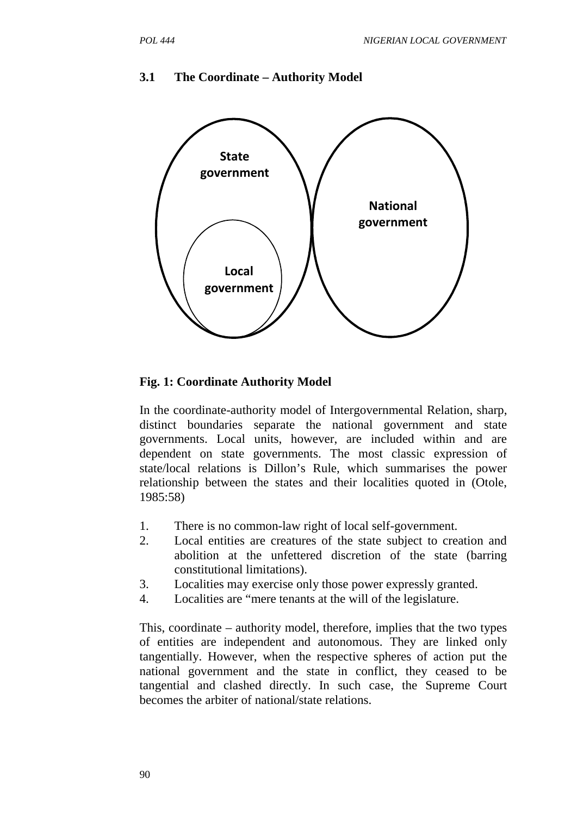

#### **3.1 The Coordinate – Authority Model**

#### **Fig. 1: Coordinate Authority Model**

In the coordinate-authority model of Intergovernmental Relation, sharp, distinct boundaries separate the national government and state governments. Local units, however, are included within and are dependent on state governments. The most classic expression of state/local relations is Dillon's Rule, which summarises the power relationship between the states and their localities quoted in (Otole, 1985:58)

- 1. There is no common-law right of local self-government.
- 2. Local entities are creatures of the state subject to creation and abolition at the unfettered discretion of the state (barring constitutional limitations).
- 3. Localities may exercise only those power expressly granted.
- 4. Localities are "mere tenants at the will of the legislature.

This, coordinate – authority model, therefore, implies that the two types of entities are independent and autonomous. They are linked only tangentially. However, when the respective spheres of action put the national government and the state in conflict, they ceased to be tangential and clashed directly. In such case, the Supreme Court becomes the arbiter of national/state relations.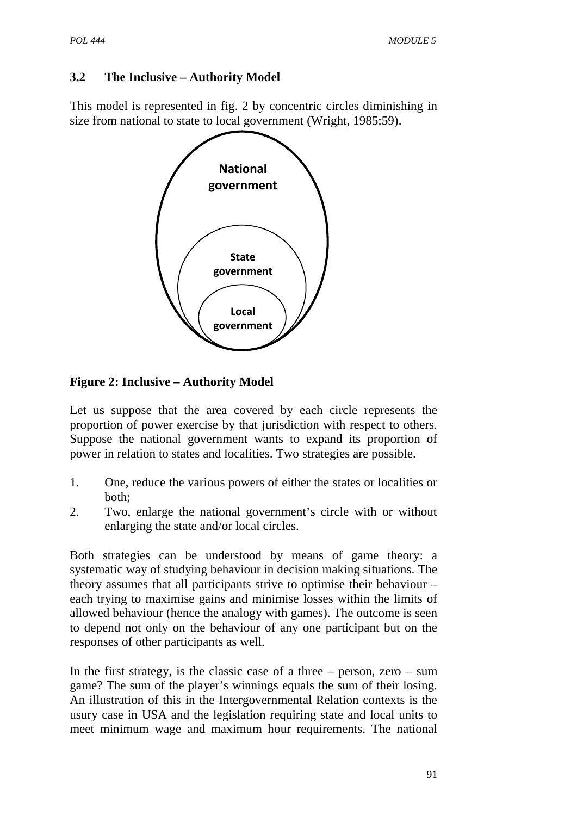# **3.2 The Inclusive – Authority Model**

This model is represented in fig. 2 by concentric circles diminishing in size from national to state to local government (Wright, 1985:59).



# **Figure 2: Inclusive – Authority Model**

Let us suppose that the area covered by each circle represents the proportion of power exercise by that jurisdiction with respect to others. Suppose the national government wants to expand its proportion of power in relation to states and localities. Two strategies are possible.

- 1. One, reduce the various powers of either the states or localities or both;
- 2. Two, enlarge the national government's circle with or without enlarging the state and/or local circles.

Both strategies can be understood by means of game theory: a systematic way of studying behaviour in decision making situations. The theory assumes that all participants strive to optimise their behaviour – each trying to maximise gains and minimise losses within the limits of allowed behaviour (hence the analogy with games). The outcome is seen to depend not only on the behaviour of any one participant but on the responses of other participants as well.

In the first strategy, is the classic case of a three  $-$  person, zero  $-$  sum game? The sum of the player's winnings equals the sum of their losing. An illustration of this in the Intergovernmental Relation contexts is the usury case in USA and the legislation requiring state and local units to meet minimum wage and maximum hour requirements. The national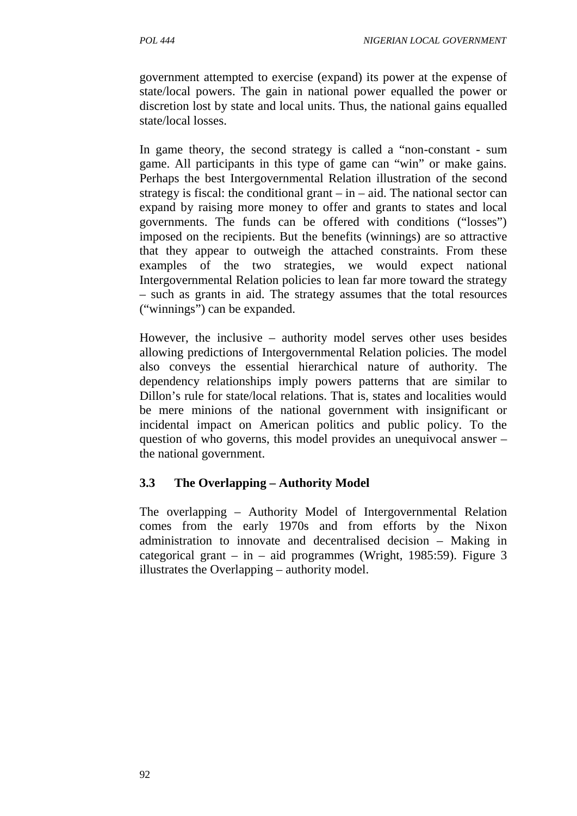government attempted to exercise (expand) its power at the expense of state/local powers. The gain in national power equalled the power or discretion lost by state and local units. Thus, the national gains equalled state/local losses.

In game theory, the second strategy is called a "non-constant - sum game. All participants in this type of game can "win" or make gains. Perhaps the best Intergovernmental Relation illustration of the second strategy is fiscal: the conditional grant  $-\text{ in } -$  aid. The national sector can expand by raising more money to offer and grants to states and local governments. The funds can be offered with conditions ("losses") imposed on the recipients. But the benefits (winnings) are so attractive that they appear to outweigh the attached constraints. From these examples of the two strategies, we would expect national Intergovernmental Relation policies to lean far more toward the strategy – such as grants in aid. The strategy assumes that the total resources ("winnings") can be expanded.

However, the inclusive – authority model serves other uses besides allowing predictions of Intergovernmental Relation policies. The model also conveys the essential hierarchical nature of authority. The dependency relationships imply powers patterns that are similar to Dillon's rule for state/local relations. That is, states and localities would be mere minions of the national government with insignificant or incidental impact on American politics and public policy. To the question of who governs, this model provides an unequivocal answer – the national government.

# **3.3 The Overlapping – Authority Model**

The overlapping – Authority Model of Intergovernmental Relation comes from the early 1970s and from efforts by the Nixon administration to innovate and decentralised decision – Making in categorical grant – in – aid programmes (Wright, 1985:59). Figure 3 illustrates the Overlapping – authority model.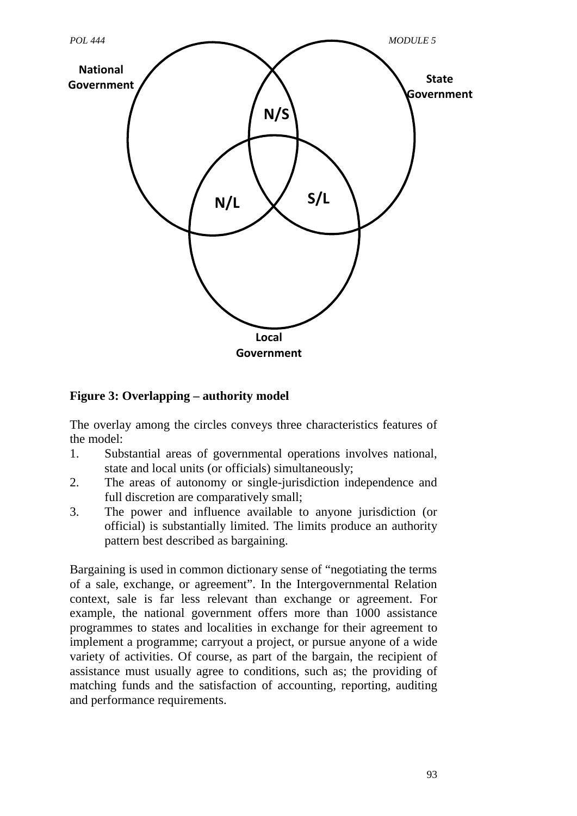

## **Figure 3: Overlapping – authority model**

The overlay among the circles conveys three characteristics features of the model:

- 1. Substantial areas of governmental operations involves national, state and local units (or officials) simultaneously;
- 2. The areas of autonomy or single-jurisdiction independence and full discretion are comparatively small;
- 3. The power and influence available to anyone jurisdiction (or official) is substantially limited. The limits produce an authority pattern best described as bargaining.

Bargaining is used in common dictionary sense of "negotiating the terms of a sale, exchange, or agreement". In the Intergovernmental Relation context, sale is far less relevant than exchange or agreement. For example, the national government offers more than 1000 assistance programmes to states and localities in exchange for their agreement to implement a programme; carryout a project, or pursue anyone of a wide variety of activities. Of course, as part of the bargain, the recipient of assistance must usually agree to conditions, such as; the providing of matching funds and the satisfaction of accounting, reporting, auditing and performance requirements.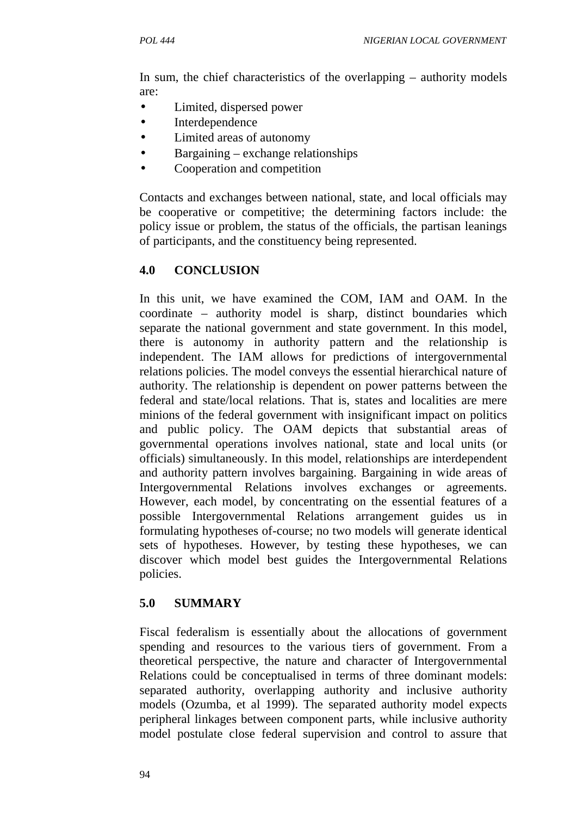In sum, the chief characteristics of the overlapping – authority models are:

- Limited, dispersed power
- Interdependence
- Limited areas of autonomy
- Bargaining exchange relationships
- Cooperation and competition

Contacts and exchanges between national, state, and local officials may be cooperative or competitive; the determining factors include: the policy issue or problem, the status of the officials, the partisan leanings of participants, and the constituency being represented.

# **4.0 CONCLUSION**

In this unit, we have examined the COM, IAM and OAM. In the coordinate – authority model is sharp, distinct boundaries which separate the national government and state government. In this model, there is autonomy in authority pattern and the relationship is independent. The IAM allows for predictions of intergovernmental relations policies. The model conveys the essential hierarchical nature of authority. The relationship is dependent on power patterns between the federal and state/local relations. That is, states and localities are mere minions of the federal government with insignificant impact on politics and public policy. The OAM depicts that substantial areas of governmental operations involves national, state and local units (or officials) simultaneously. In this model, relationships are interdependent and authority pattern involves bargaining. Bargaining in wide areas of Intergovernmental Relations involves exchanges or agreements. However, each model, by concentrating on the essential features of a possible Intergovernmental Relations arrangement guides us in formulating hypotheses of-course; no two models will generate identical sets of hypotheses. However, by testing these hypotheses, we can discover which model best guides the Intergovernmental Relations policies.

# **5.0 SUMMARY**

Fiscal federalism is essentially about the allocations of government spending and resources to the various tiers of government. From a theoretical perspective, the nature and character of Intergovernmental Relations could be conceptualised in terms of three dominant models: separated authority, overlapping authority and inclusive authority models (Ozumba, et al 1999). The separated authority model expects peripheral linkages between component parts, while inclusive authority model postulate close federal supervision and control to assure that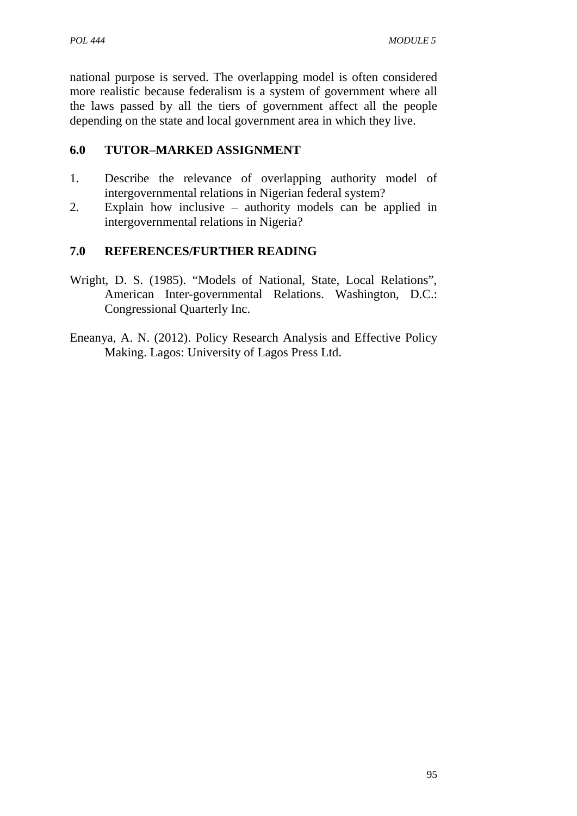national purpose is served. The overlapping model is often considered more realistic because federalism is a system of government where all the laws passed by all the tiers of government affect all the people depending on the state and local government area in which they live.

## **6.0 TUTOR–MARKED ASSIGNMENT**

- 1. Describe the relevance of overlapping authority model of intergovernmental relations in Nigerian federal system?
- 2. Explain how inclusive authority models can be applied in intergovernmental relations in Nigeria?

# **7.0 REFERENCES/FURTHER READING**

- Wright, D. S. (1985). "Models of National, State, Local Relations", American Inter-governmental Relations. Washington, D.C.: Congressional Quarterly Inc.
- Eneanya, A. N. (2012). Policy Research Analysis and Effective Policy Making. Lagos: University of Lagos Press Ltd.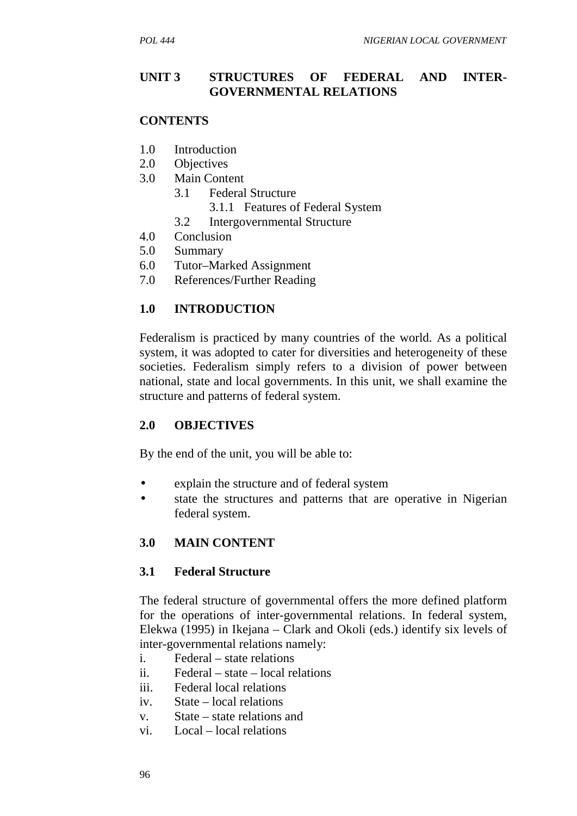#### **UNIT 3 STRUCTURES OF FEDERAL AND INTER- GOVERNMENTAL RELATIONS**

#### **CONTENTS**

- 1.0 Introduction
- 2.0 Objectives
- 3.0 Main Content
	- 3.1 Federal Structure
		- 3.1.1 Features of Federal System
	- 3.2 Intergovernmental Structure
- 4.0 Conclusion
- 5.0 Summary
- 6.0 Tutor–Marked Assignment
- 7.0 References/Further Reading

## **1.0 INTRODUCTION**

Federalism is practiced by many countries of the world. As a political system, it was adopted to cater for diversities and heterogeneity of these societies. Federalism simply refers to a division of power between national, state and local governments. In this unit, we shall examine the structure and patterns of federal system.

#### **2.0 OBJECTIVES**

By the end of the unit, you will be able to:

- explain the structure and of federal system
- state the structures and patterns that are operative in Nigerian federal system.

## **3.0 MAIN CONTENT**

#### **3.1 Federal Structure**

The federal structure of governmental offers the more defined platform for the operations of inter-governmental relations. In federal system, Elekwa (1995) in Ikejana – Clark and Okoli (eds.) identify six levels of inter-governmental relations namely:

- i. Federal state relations
- ii. Federal state local relations
- iii. Federal local relations
- iv. State local relations
- v. State state relations and
- vi. Local local relations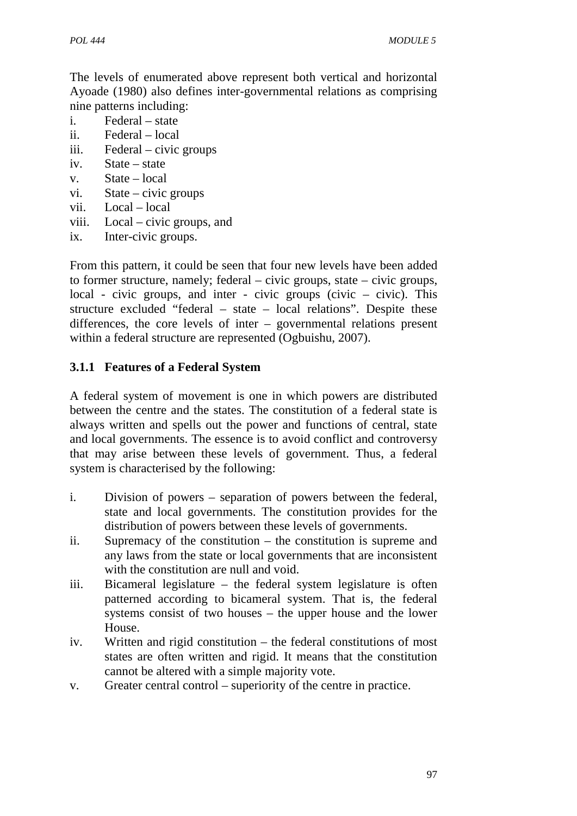The levels of enumerated above represent both vertical and horizontal Ayoade (1980) also defines inter-governmental relations as comprising nine patterns including:

- i. Federal state
- ii. Federal local
- iii. Federal civic groups
- iv. State state
- v. State local
- vi. State civic groups
- vii. Local local
- viii. Local civic groups, and
- ix. Inter-civic groups.

From this pattern, it could be seen that four new levels have been added to former structure, namely; federal – civic groups, state – civic groups, local - civic groups, and inter - civic groups (civic – civic). This structure excluded "federal – state – local relations". Despite these differences, the core levels of inter – governmental relations present within a federal structure are represented (Ogbuishu, 2007).

# **3.1.1 Features of a Federal System**

A federal system of movement is one in which powers are distributed between the centre and the states. The constitution of a federal state is always written and spells out the power and functions of central, state and local governments. The essence is to avoid conflict and controversy that may arise between these levels of government. Thus, a federal system is characterised by the following:

- i. Division of powers separation of powers between the federal, state and local governments. The constitution provides for the distribution of powers between these levels of governments.
- ii. Supremacy of the constitution the constitution is supreme and any laws from the state or local governments that are inconsistent with the constitution are null and void.
- iii. Bicameral legislature the federal system legislature is often patterned according to bicameral system. That is, the federal systems consist of two houses – the upper house and the lower House.
- iv. Written and rigid constitution the federal constitutions of most states are often written and rigid. It means that the constitution cannot be altered with a simple majority vote.
- v. Greater central control superiority of the centre in practice.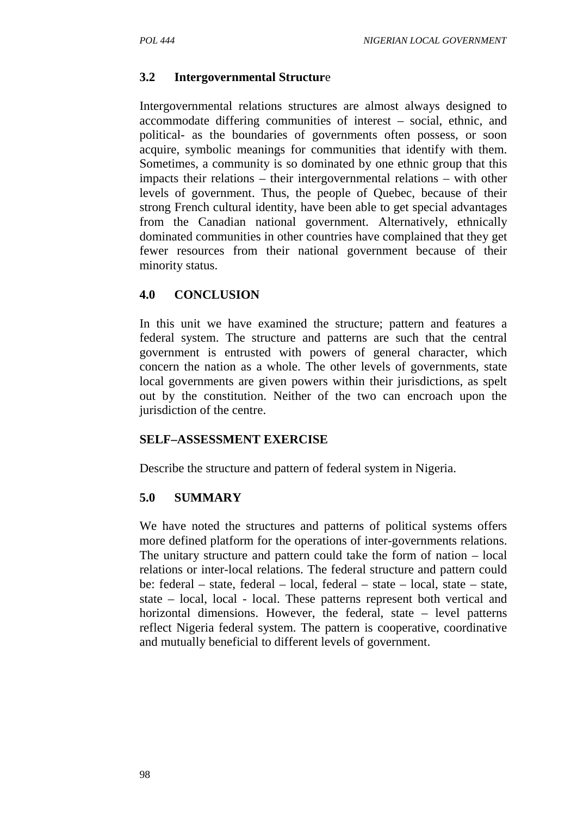## **3.2 Intergovernmental Structur**e

Intergovernmental relations structures are almost always designed to accommodate differing communities of interest – social, ethnic, and political- as the boundaries of governments often possess, or soon acquire, symbolic meanings for communities that identify with them. Sometimes, a community is so dominated by one ethnic group that this impacts their relations – their intergovernmental relations – with other levels of government. Thus, the people of Quebec, because of their strong French cultural identity, have been able to get special advantages from the Canadian national government. Alternatively, ethnically dominated communities in other countries have complained that they get fewer resources from their national government because of their minority status.

#### **4.0 CONCLUSION**

In this unit we have examined the structure; pattern and features a federal system. The structure and patterns are such that the central government is entrusted with powers of general character, which concern the nation as a whole. The other levels of governments, state local governments are given powers within their jurisdictions, as spelt out by the constitution. Neither of the two can encroach upon the jurisdiction of the centre.

## **SELF–ASSESSMENT EXERCISE**

Describe the structure and pattern of federal system in Nigeria.

## **5.0 SUMMARY**

We have noted the structures and patterns of political systems offers more defined platform for the operations of inter-governments relations. The unitary structure and pattern could take the form of nation – local relations or inter-local relations. The federal structure and pattern could be: federal – state, federal – local, federal – state – local, state – state, state – local, local - local. These patterns represent both vertical and horizontal dimensions. However, the federal, state – level patterns reflect Nigeria federal system. The pattern is cooperative, coordinative and mutually beneficial to different levels of government.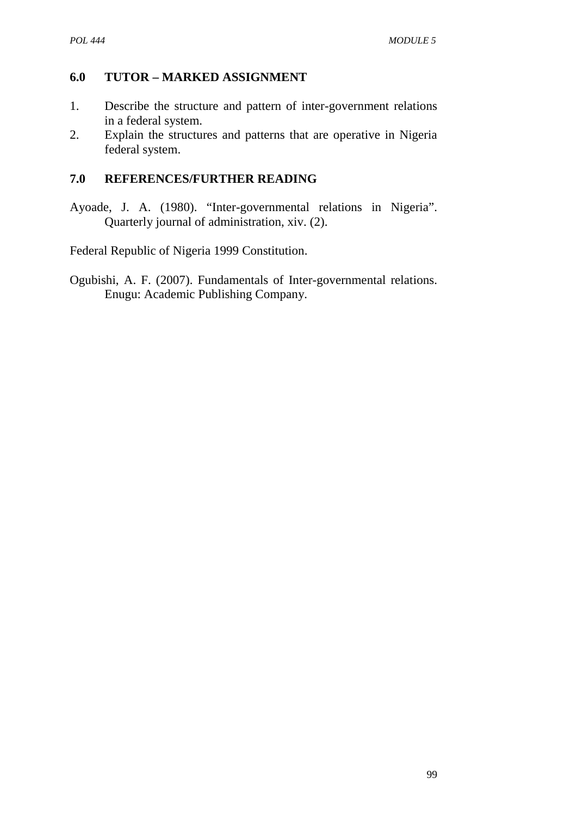# **6.0 TUTOR – MARKED ASSIGNMENT**

- 1. Describe the structure and pattern of inter-government relations in a federal system.
- 2. Explain the structures and patterns that are operative in Nigeria federal system.

# **7.0 REFERENCES/FURTHER READING**

Ayoade, J. A. (1980). "Inter-governmental relations in Nigeria". Quarterly journal of administration, xiv. (2).

Federal Republic of Nigeria 1999 Constitution.

Ogubishi, A. F. (2007). Fundamentals of Inter-governmental relations. Enugu: Academic Publishing Company.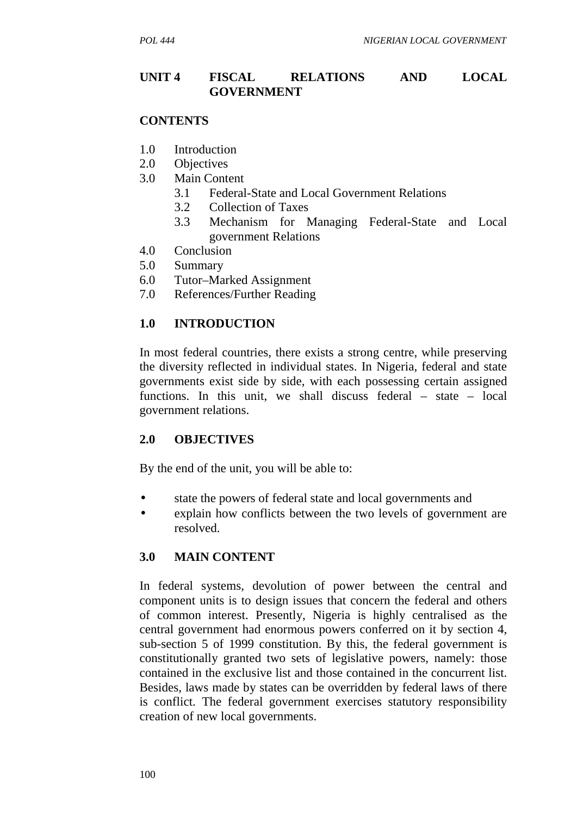#### **UNIT 4 FISCAL RELATIONS AND LOCAL GOVERNMENT**

#### **CONTENTS**

- 1.0 Introduction
- 2.0 Objectives
- 3.0 Main Content
	- 3.1 Federal-State and Local Government Relations
	- 3.2 Collection of Taxes
	- 3.3 Mechanism for Managing Federal-State and Local government Relations
- 4.0 Conclusion
- 5.0 Summary
- 6.0 Tutor–Marked Assignment
- 7.0 References/Further Reading

#### **1.0 INTRODUCTION**

In most federal countries, there exists a strong centre, while preserving the diversity reflected in individual states. In Nigeria, federal and state governments exist side by side, with each possessing certain assigned functions. In this unit, we shall discuss federal – state – local government relations.

#### **2.0 OBJECTIVES**

By the end of the unit, you will be able to:

- state the powers of federal state and local governments and
- explain how conflicts between the two levels of government are resolved.

## **3.0 MAIN CONTENT**

In federal systems, devolution of power between the central and component units is to design issues that concern the federal and others of common interest. Presently, Nigeria is highly centralised as the central government had enormous powers conferred on it by section 4, sub-section 5 of 1999 constitution. By this, the federal government is constitutionally granted two sets of legislative powers, namely: those contained in the exclusive list and those contained in the concurrent list. Besides, laws made by states can be overridden by federal laws of there is conflict. The federal government exercises statutory responsibility creation of new local governments.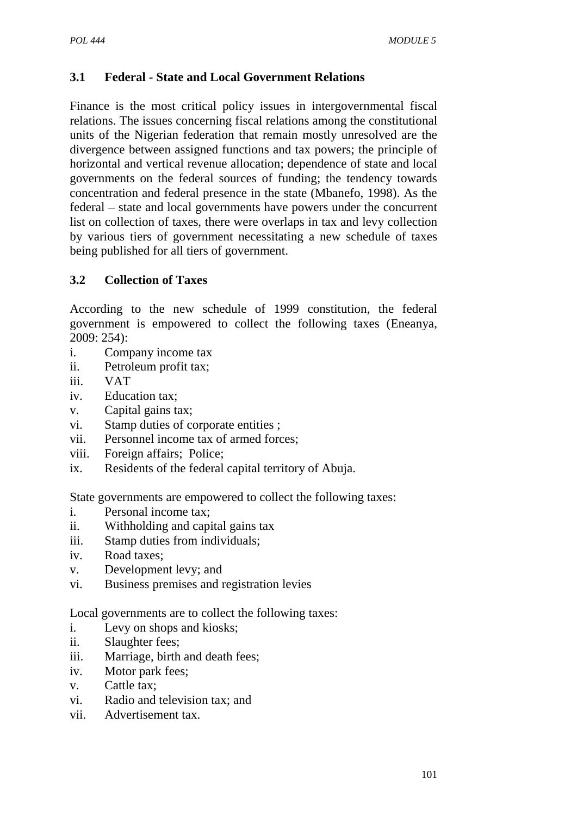# **3.1 Federal - State and Local Government Relations**

Finance is the most critical policy issues in intergovernmental fiscal relations. The issues concerning fiscal relations among the constitutional units of the Nigerian federation that remain mostly unresolved are the divergence between assigned functions and tax powers; the principle of horizontal and vertical revenue allocation; dependence of state and local governments on the federal sources of funding; the tendency towards concentration and federal presence in the state (Mbanefo, 1998). As the federal – state and local governments have powers under the concurrent list on collection of taxes, there were overlaps in tax and levy collection by various tiers of government necessitating a new schedule of taxes being published for all tiers of government.

# **3.2 Collection of Taxes**

According to the new schedule of 1999 constitution, the federal government is empowered to collect the following taxes (Eneanya, 2009: 254):

- i. Company income tax
- ii. Petroleum profit tax;
- iii. VAT
- iv. Education tax;
- v. Capital gains tax;
- vi. Stamp duties of corporate entities ;
- vii. Personnel income tax of armed forces;
- viii. Foreign affairs; Police;
- ix. Residents of the federal capital territory of Abuja.

State governments are empowered to collect the following taxes:

- i. Personal income tax;
- ii. Withholding and capital gains tax
- iii. Stamp duties from individuals;
- iv. Road taxes;
- v. Development levy; and
- vi. Business premises and registration levies

Local governments are to collect the following taxes:

- i. Levy on shops and kiosks;
- ii. Slaughter fees;
- iii. Marriage, birth and death fees;
- iv. Motor park fees;
- v. Cattle tax;
- vi. Radio and television tax; and
- vii. Advertisement tax.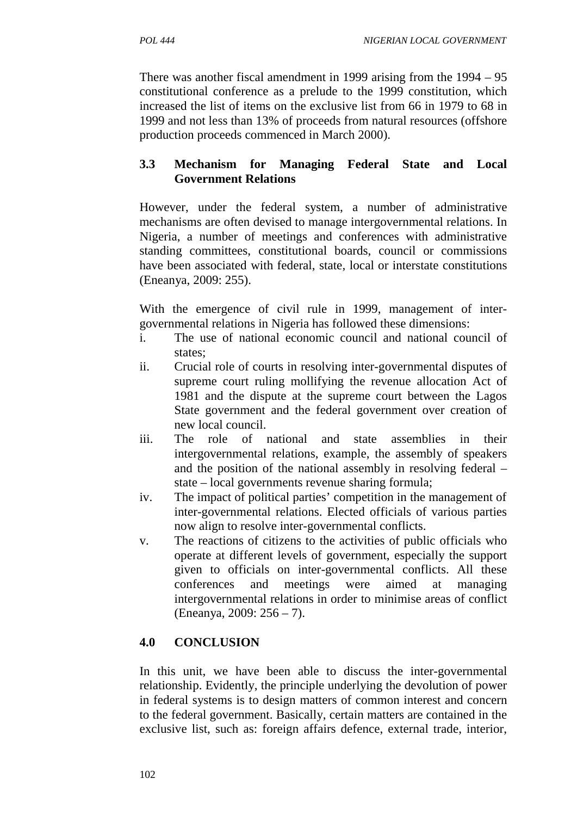There was another fiscal amendment in 1999 arising from the 1994 – 95 constitutional conference as a prelude to the 1999 constitution, which increased the list of items on the exclusive list from 66 in 1979 to 68 in 1999 and not less than 13% of proceeds from natural resources (offshore production proceeds commenced in March 2000).

# **3.3 Mechanism for Managing Federal State and Local Government Relations**

However, under the federal system, a number of administrative mechanisms are often devised to manage intergovernmental relations. In Nigeria, a number of meetings and conferences with administrative standing committees, constitutional boards, council or commissions have been associated with federal, state, local or interstate constitutions (Eneanya, 2009: 255).

With the emergence of civil rule in 1999, management of inter governmental relations in Nigeria has followed these dimensions:

- i. The use of national economic council and national council of states;
- ii. Crucial role of courts in resolving inter-governmental disputes of supreme court ruling mollifying the revenue allocation Act of 1981 and the dispute at the supreme court between the Lagos State government and the federal government over creation of new local council.
- iii. The role of national and state assemblies in their intergovernmental relations, example, the assembly of speakers and the position of the national assembly in resolving federal – state – local governments revenue sharing formula;
- iv. The impact of political parties' competition in the management of inter-governmental relations. Elected officials of various parties now align to resolve inter-governmental conflicts.
- v. The reactions of citizens to the activities of public officials who operate at different levels of government, especially the support given to officials on inter-governmental conflicts. All these conferences and meetings were aimed at managing intergovernmental relations in order to minimise areas of conflict (Eneanya, 2009: 256 – 7).

# **4.0 CONCLUSION**

In this unit, we have been able to discuss the inter-governmental relationship. Evidently, the principle underlying the devolution of power in federal systems is to design matters of common interest and concern to the federal government. Basically, certain matters are contained in the exclusive list, such as: foreign affairs defence, external trade, interior,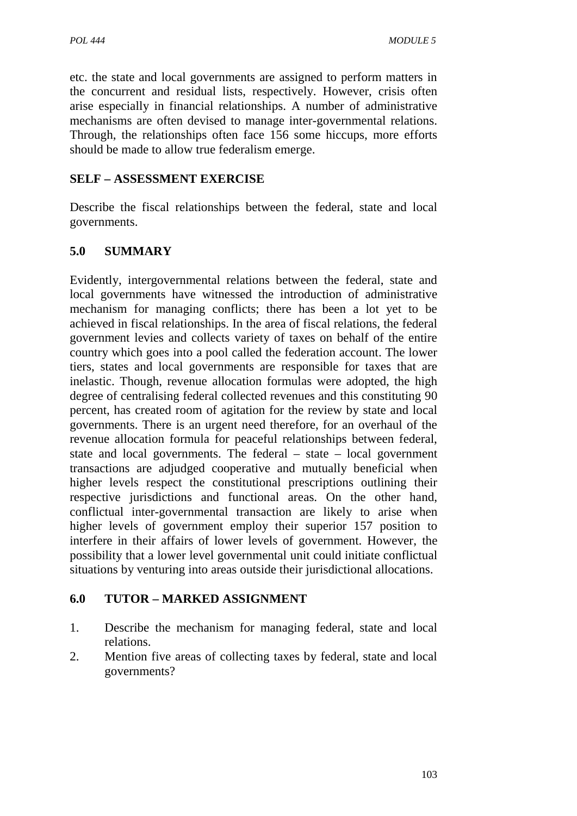etc. the state and local governments are assigned to perform matters in the concurrent and residual lists, respectively. However, crisis often arise especially in financial relationships. A number of administrative mechanisms are often devised to manage inter-governmental relations. Through, the relationships often face 156 some hiccups, more efforts should be made to allow true federalism emerge.

# **SELF –ASSESSMENT EXERCISE**

Describe the fiscal relationships between the federal, state and local governments.

# **5.0 SUMMARY**

Evidently, intergovernmental relations between the federal, state and local governments have witnessed the introduction of administrative mechanism for managing conflicts; there has been a lot yet to be achieved in fiscal relationships. In the area of fiscal relations, the federal government levies and collects variety of taxes on behalf of the entire country which goes into a pool called the federation account. The lower tiers, states and local governments are responsible for taxes that are inelastic. Though, revenue allocation formulas were adopted, the high degree of centralising federal collected revenues and this constituting 90 percent, has created room of agitation for the review by state and local governments. There is an urgent need therefore, for an overhaul of the revenue allocation formula for peaceful relationships between federal, state and local governments. The federal – state – local government transactions are adjudged cooperative and mutually beneficial when higher levels respect the constitutional prescriptions outlining their respective jurisdictions and functional areas. On the other hand, conflictual inter-governmental transaction are likely to arise when higher levels of government employ their superior 157 position to interfere in their affairs of lower levels of government. However, the possibility that a lower level governmental unit could initiate conflictual situations by venturing into areas outside their jurisdictional allocations.

## **6.0 TUTOR – MARKED ASSIGNMENT**

- 1. Describe the mechanism for managing federal, state and local relations.
- 2. Mention five areas of collecting taxes by federal, state and local governments?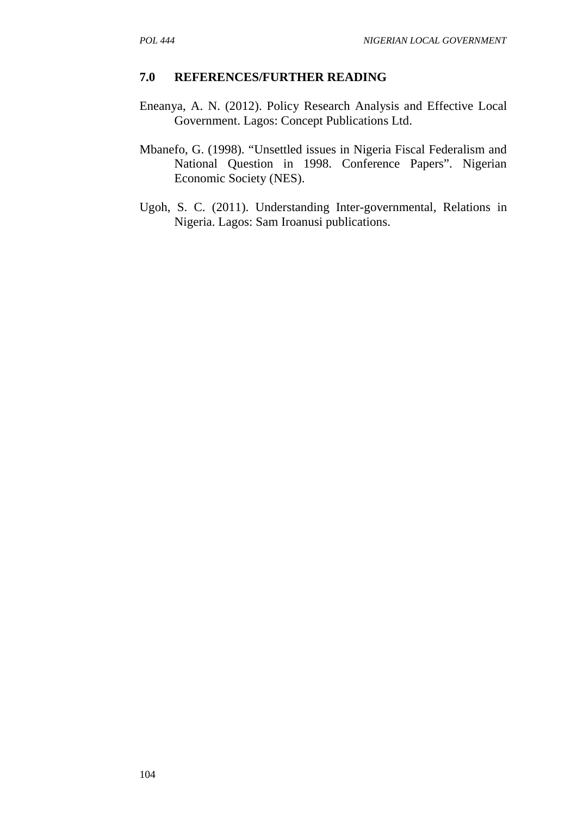#### **7.0 REFERENCES/FURTHER READING**

- Eneanya, A. N. (2012). Policy Research Analysis and Effective Local Government. Lagos: Concept Publications Ltd.
- Mbanefo, G. (1998). "Unsettled issues in Nigeria Fiscal Federalism and National Question in 1998. Conference Papers". Nigerian Economic Society (NES).
- Ugoh, S. C. (2011). Understanding Inter-governmental, Relations in Nigeria. Lagos: Sam Iroanusi publications.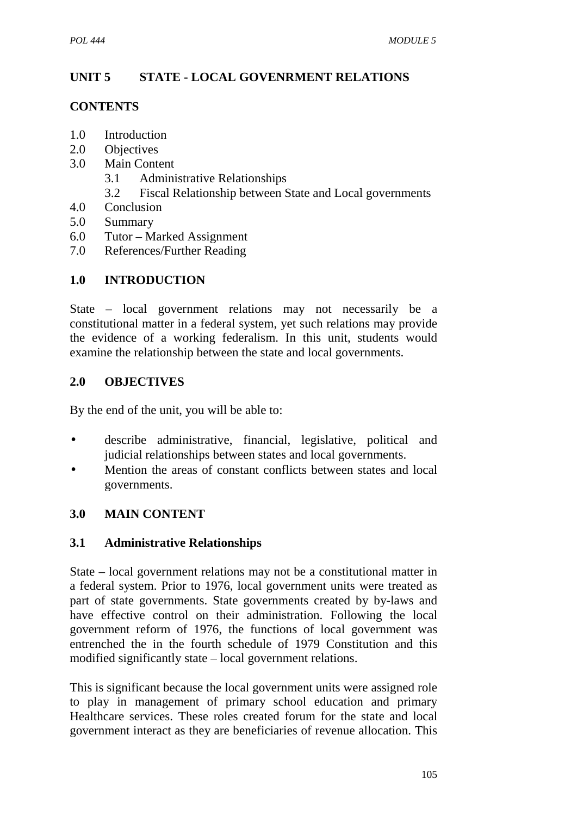# **UNIT 5 STATE - LOCAL GOVENRMENT RELATIONS**

## **CONTENTS**

- 1.0 Introduction
- 2.0 Objectives
- 3.0 Main Content
	- 3.1 Administrative Relationships
	- 3.2 Fiscal Relationship between State and Local governments
- 4.0 Conclusion
- 5.0 Summary
- 6.0 Tutor Marked Assignment
- 7.0 References/Further Reading

# **1.0 INTRODUCTION**

State – local government relations may not necessarily be a constitutional matter in a federal system, yet such relations may provide the evidence of a working federalism. In this unit, students would examine the relationship between the state and local governments.

# **2.0 OBJECTIVES**

By the end of the unit, you will be able to:

- describe administrative, financial, legislative, political and judicial relationships between states and local governments.
- Mention the areas of constant conflicts between states and local governments.

# **3.0 MAIN CONTENT**

## **3.1 Administrative Relationships**

State – local government relations may not be a constitutional matter in a federal system. Prior to 1976, local government units were treated as part of state governments. State governments created by by-laws and have effective control on their administration. Following the local government reform of 1976, the functions of local government was entrenched the in the fourth schedule of 1979 Constitution and this modified significantly state – local government relations.

This is significant because the local government units were assigned role to play in management of primary school education and primary Healthcare services. These roles created forum for the state and local government interact as they are beneficiaries of revenue allocation. This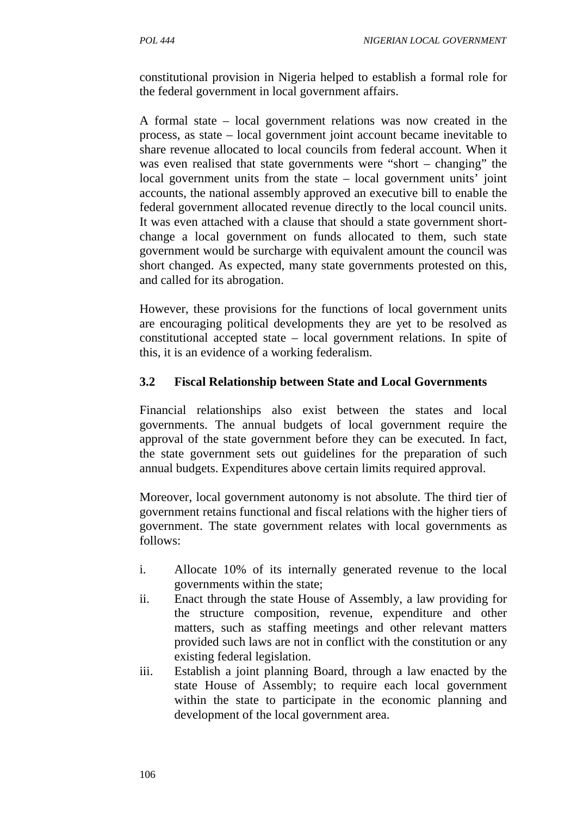constitutional provision in Nigeria helped to establish a formal role for the federal government in local government affairs.

A formal state – local government relations was now created in the process, as state – local government joint account became inevitable to share revenue allocated to local councils from federal account. When it was even realised that state governments were "short – changing" the local government units from the state – local government units' joint accounts, the national assembly approved an executive bill to enable the federal government allocated revenue directly to the local council units. It was even attached with a clause that should a state government short change a local government on funds allocated to them, such state government would be surcharge with equivalent amount the council was short changed. As expected, many state governments protested on this, and called for its abrogation.

However, these provisions for the functions of local government units are encouraging political developments they are yet to be resolved as constitutional accepted state – local government relations. In spite of this, it is an evidence of a working federalism.

# **3.2 Fiscal Relationship between State and Local Governments**

Financial relationships also exist between the states and local governments. The annual budgets of local government require the approval of the state government before they can be executed. In fact, the state government sets out guidelines for the preparation of such annual budgets. Expenditures above certain limits required approval.

Moreover, local government autonomy is not absolute. The third tier of government retains functional and fiscal relations with the higher tiers of government. The state government relates with local governments as follows:

- i. Allocate 10% of its internally generated revenue to the local governments within the state;
- ii. Enact through the state House of Assembly, a law providing for the structure composition, revenue, expenditure and other matters, such as staffing meetings and other relevant matters provided such laws are not in conflict with the constitution or any existing federal legislation.
- iii. Establish a joint planning Board, through a law enacted by the state House of Assembly; to require each local government within the state to participate in the economic planning and development of the local government area.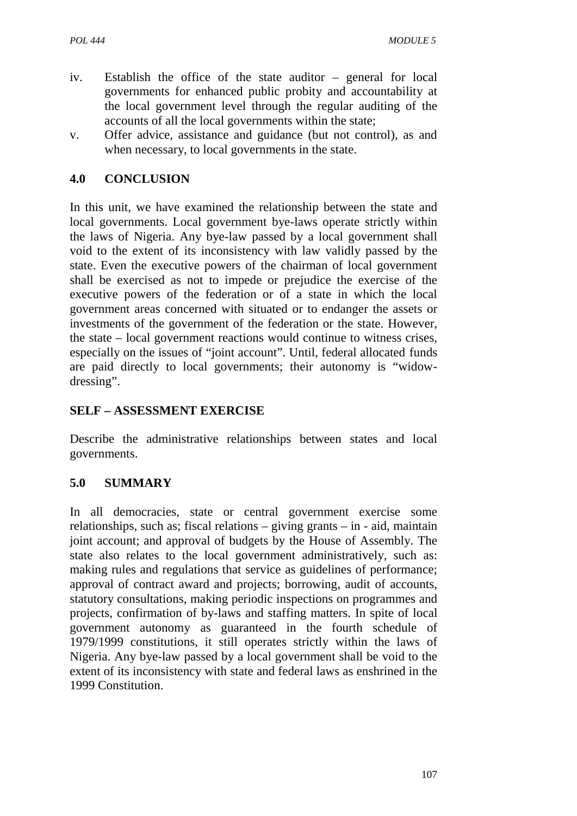- iv. Establish the office of the state auditor general for local governments for enhanced public probity and accountability at the local government level through the regular auditing of the accounts of all the local governments within the state;
- v. Offer advice, assistance and guidance (but not control), as and when necessary, to local governments in the state.

## **4.0 CONCLUSION**

In this unit, we have examined the relationship between the state and local governments. Local government bye-laws operate strictly within the laws of Nigeria. Any bye-law passed by a local government shall void to the extent of its inconsistency with law validly passed by the state. Even the executive powers of the chairman of local government shall be exercised as not to impede or prejudice the exercise of the executive powers of the federation or of a state in which the local government areas concerned with situated or to endanger the assets or investments of the government of the federation or the state. However, the state – local government reactions would continue to witness crises, especially on the issues of "joint account". Until, federal allocated funds are paid directly to local governments; their autonomy is "widow dressing".

## **SELF –ASSESSMENT EXERCISE**

Describe the administrative relationships between states and local governments.

## **5.0 SUMMARY**

In all democracies, state or central government exercise some relationships, such as; fiscal relations – giving grants – in - aid, maintain joint account; and approval of budgets by the House of Assembly. The state also relates to the local government administratively, such as: making rules and regulations that service as guidelines of performance; approval of contract award and projects; borrowing, audit of accounts, statutory consultations, making periodic inspections on programmes and projects, confirmation of by-laws and staffing matters. In spite of local government autonomy as guaranteed in the fourth schedule of 1979/1999 constitutions, it still operates strictly within the laws of Nigeria. Any bye-law passed by a local government shall be void to the extent of its inconsistency with state and federal laws as enshrined in the 1999 Constitution.